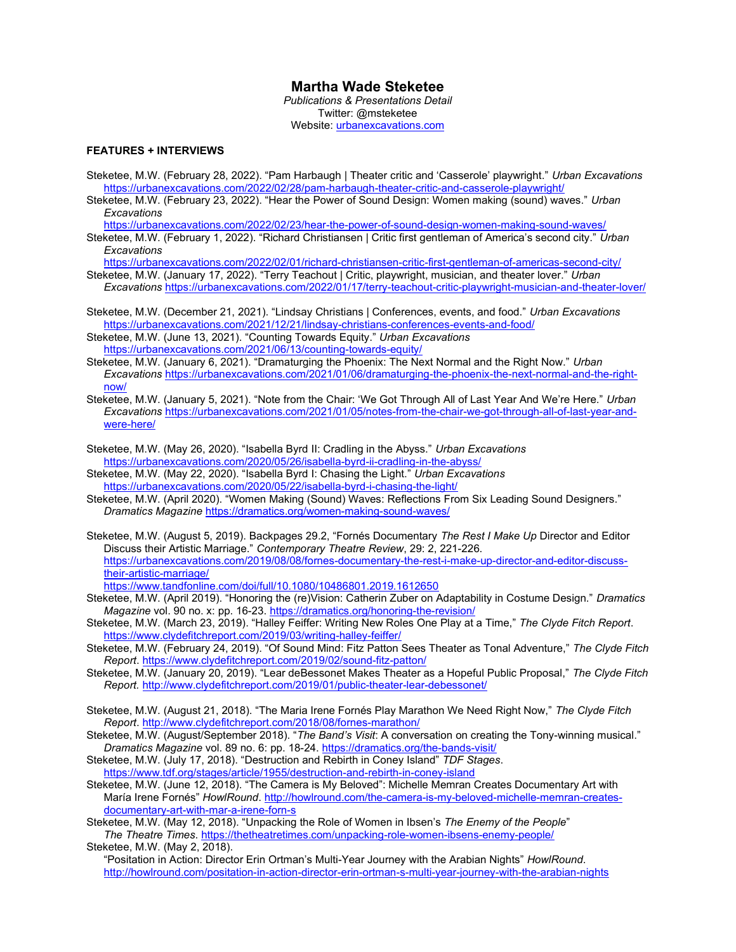# Martha Wade Steketee

Publications & Presentations Detail Twitter: @msteketee Website: urbanexcavations.com

## FEATURES + INTERVIEWS

- Steketee, M.W. (February 28, 2022). "Pam Harbaugh | Theater critic and 'Casserole' playwright." Urban Excavations https://urbanexcavations.com/2022/02/28/pam-harbaugh-theater-critic-and-casserole-playwright/
- Steketee, M.W. (February 23, 2022). "Hear the Power of Sound Design: Women making (sound) waves." Urban **Excavations**

https://urbanexcavations.com/2022/02/23/hear-the-power-of-sound-design-women-making-sound-waves/

Steketee, M.W. (February 1, 2022). "Richard Christiansen | Critic first gentleman of America's second city." Urban **Excavations** 

https://urbanexcavations.com/2022/02/01/richard-christiansen-critic-first-gentleman-of-americas-second-city/

- Steketee, M.W. (January 17, 2022). "Terry Teachout | Critic, playwright, musician, and theater lover." Urban Excavations https://urbanexcavations.com/2022/01/17/terry-teachout-critic-playwright-musician-and-theater-lover/
- Steketee, M.W. (December 21, 2021). "Lindsay Christians | Conferences, events, and food." Urban Excavations https://urbanexcavations.com/2021/12/21/lindsay-christians-conferences-events-and-food/
- Steketee, M.W. (June 13, 2021). "Counting Towards Equity." Urban Excavations https://urbanexcavations.com/2021/06/13/counting-towards-equity/
- Steketee, M.W. (January 6, 2021). "Dramaturging the Phoenix: The Next Normal and the Right Now." Urban Excavations https://urbanexcavations.com/2021/01/06/dramaturging-the-phoenix-the-next-normal-and-the-rightnow/
- Steketee, M.W. (January 5, 2021). "Note from the Chair: 'We Got Through All of Last Year And We're Here." Urban Excavations https://urbanexcavations.com/2021/01/05/notes-from-the-chair-we-got-through-all-of-last-year-andwere-here/
- Steketee, M.W. (May 26, 2020). "Isabella Byrd II: Cradling in the Abyss." Urban Excavations https://urbanexcavations.com/2020/05/26/isabella-byrd-ii-cradling-in-the-abyss/
- Steketee, M.W. (May 22, 2020). "Isabella Byrd I: Chasing the Light." Urban Excavations https://urbanexcavations.com/2020/05/22/isabella-byrd-i-chasing-the-light/
- Steketee, M.W. (April 2020). "Women Making (Sound) Waves: Reflections From Six Leading Sound Designers." Dramatics Magazine https://dramatics.org/women-making-sound-waves/
- Steketee, M.W. (August 5, 2019). Backpages 29.2, "Fornés Documentary The Rest I Make Up Director and Editor Discuss their Artistic Marriage." Contemporary Theatre Review, 29: 2, 221-226. https://urbanexcavations.com/2019/08/08/fornes-documentary-the-rest-i-make-up-director-and-editor-discusstheir-artistic-marriage/
	- https://www.tandfonline.com/doi/full/10.1080/10486801.2019.1612650
- Steketee, M.W. (April 2019). "Honoring the (re)Vision: Catherin Zuber on Adaptability in Costume Design." Dramatics Magazine vol. 90 no. x: pp. 16-23. https://dramatics.org/honoring-the-revision/
- Steketee, M.W. (March 23, 2019). "Halley Feiffer: Writing New Roles One Play at a Time," The Clyde Fitch Report. https://www.clydefitchreport.com/2019/03/writing-halley-feiffer/
- Steketee, M.W. (February 24, 2019). "Of Sound Mind: Fitz Patton Sees Theater as Tonal Adventure," The Clyde Fitch Report. https://www.clydefitchreport.com/2019/02/sound-fitz-patton/
- Steketee, M.W. (January 20, 2019). "Lear deBessonet Makes Theater as a Hopeful Public Proposal," The Clyde Fitch Report. http://www.clydefitchreport.com/2019/01/public-theater-lear-debessonet/
- Steketee, M.W. (August 21, 2018). "The Maria Irene Fornés Play Marathon We Need Right Now," The Clyde Fitch Report. http://www.clydefitchreport.com/2018/08/fornes-marathon/
- Steketee, M.W. (August/September 2018). "The Band's Visit: A conversation on creating the Tony-winning musical." Dramatics Magazine vol. 89 no. 6: pp. 18-24. https://dramatics.org/the-bands-visit/
- Steketee, M.W. (July 17, 2018). "Destruction and Rebirth in Coney Island" TDF Stages. https://www.tdf.org/stages/article/1955/destruction-and-rebirth-in-coney-island
- Steketee, M.W. (June 12, 2018). "The Camera is My Beloved": Michelle Memran Creates Documentary Art with María Irene Fornés" HowlRound. http://howlround.com/the-camera-is-my-beloved-michelle-memran-createsdocumentary-art-with-mar-a-irene-forn-s
- Steketee, M.W. (May 12, 2018). "Unpacking the Role of Women in Ibsen's The Enemy of the People" The Theatre Times. https://thetheatretimes.com/unpacking-role-women-ibsens-enemy-people/

Steketee, M.W. (May 2, 2018).

"Positation in Action: Director Erin Ortman's Multi-Year Journey with the Arabian Nights" HowlRound. http://howlround.com/positation-in-action-director-erin-ortman-s-multi-year-journey-with-the-arabian-nights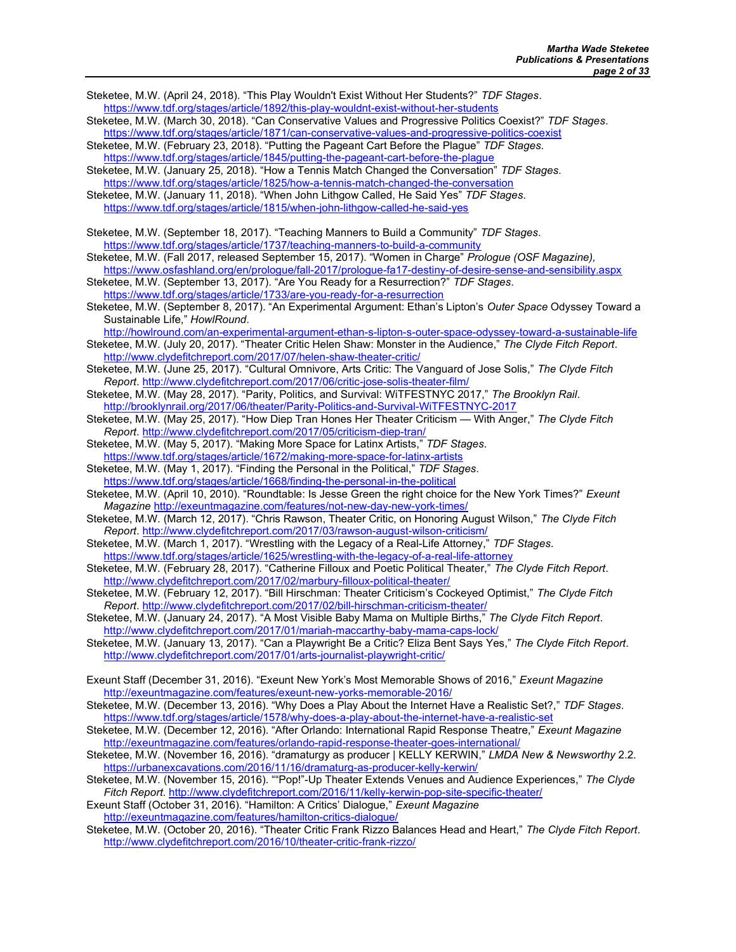Steketee, M.W. (April 24, 2018). "This Play Wouldn't Exist Without Her Students?" TDF Stages. https://www.tdf.org/stages/article/1892/this-play-wouldnt-exist-without-her-students Steketee, M.W. (March 30, 2018). "Can Conservative Values and Progressive Politics Coexist?" TDF Stages. https://www.tdf.org/stages/article/1871/can-conservative-values-and-progressive-politics-coexist Steketee, M.W. (February 23, 2018). "Putting the Pageant Cart Before the Plague" TDF Stages. https://www.tdf.org/stages/article/1845/putting-the-pageant-cart-before-the-plague Steketee, M.W. (January 25, 2018). "How a Tennis Match Changed the Conversation" TDF Stages. https://www.tdf.org/stages/article/1825/how-a-tennis-match-changed-the-conversation Steketee, M.W. (January 11, 2018). "When John Lithgow Called, He Said Yes" TDF Stages. https://www.tdf.org/stages/article/1815/when-john-lithgow-called-he-said-yes Steketee, M.W. (September 18, 2017). "Teaching Manners to Build a Community" TDF Stages. https://www.tdf.org/stages/article/1737/teaching-manners-to-build-a-community Steketee, M.W. (Fall 2017, released September 15, 2017). "Women in Charge" Prologue (OSF Magazine), https://www.osfashland.org/en/prologue/fall-2017/prologue-fa17-destiny-of-desire-sense-and-sensibility.aspx Steketee, M.W. (September 13, 2017). "Are You Ready for a Resurrection?" TDF Stages. https://www.tdf.org/stages/article/1733/are-you-ready-for-a-resurrection Steketee, M.W. (September 8, 2017). "An Experimental Argument: Ethan's Lipton's Outer Space Odyssey Toward a Sustainable Life," HowlRound. http://howlround.com/an-experimental-argument-ethan-s-lipton-s-outer-space-odyssey-toward-a-sustainable-life Steketee, M.W. (July 20, 2017). "Theater Critic Helen Shaw: Monster in the Audience," The Clyde Fitch Report. http://www.clydefitchreport.com/2017/07/helen-shaw-theater-critic/ Steketee, M.W. (June 25, 2017). "Cultural Omnivore, Arts Critic: The Vanguard of Jose Solis," The Clyde Fitch Report. http://www.clydefitchreport.com/2017/06/critic-jose-solis-theater-film/ Steketee, M.W. (May 28, 2017). "Parity, Politics, and Survival: WiTFESTNYC 2017," The Brooklyn Rail. http://brooklynrail.org/2017/06/theater/Parity-Politics-and-Survival-WiTFESTNYC-2017 Steketee, M.W. (May 25, 2017). "How Diep Tran Hones Her Theater Criticism — With Anger," The Clyde Fitch Report. http://www.clydefitchreport.com/2017/05/criticism-diep-tran/ Steketee, M.W. (May 5, 2017). "Making More Space for Latinx Artists," TDF Stages. https://www.tdf.org/stages/article/1672/making-more-space-for-latinx-artists Steketee, M.W. (May 1, 2017). "Finding the Personal in the Political," TDF Stages. https://www.tdf.org/stages/article/1668/finding-the-personal-in-the-political Steketee, M.W. (April 10, 2010). "Roundtable: Is Jesse Green the right choice for the New York Times?" Exeunt Magazine http://exeuntmagazine.com/features/not-new-day-new-york-times/ Steketee, M.W. (March 12, 2017). "Chris Rawson, Theater Critic, on Honoring August Wilson," The Clyde Fitch Report. http://www.clydefitchreport.com/2017/03/rawson-august-wilson-criticism/ Steketee, M.W. (March 1, 2017). "Wrestling with the Legacy of a Real-Life Attorney," TDF Stages. https://www.tdf.org/stages/article/1625/wrestling-with-the-legacy-of-a-real-life-attorney Steketee, M.W. (February 28, 2017). "Catherine Filloux and Poetic Political Theater," The Clyde Fitch Report. http://www.clydefitchreport.com/2017/02/marbury-filloux-political-theater/ Steketee, M.W. (February 12, 2017). "Bill Hirschman: Theater Criticism's Cockeyed Optimist," The Clyde Fitch Report. http://www.clydefitchreport.com/2017/02/bill-hirschman-criticism-theater/ Steketee, M.W. (January 24, 2017). "A Most Visible Baby Mama on Multiple Births," The Clyde Fitch Report. http://www.clydefitchreport.com/2017/01/mariah-maccarthy-baby-mama-caps-lock/ Steketee, M.W. (January 13, 2017). "Can a Playwright Be a Critic? Eliza Bent Says Yes," The Clyde Fitch Report. http://www.clydefitchreport.com/2017/01/arts-journalist-playwright-critic/ Exeunt Staff (December 31, 2016). "Exeunt New York's Most Memorable Shows of 2016," Exeunt Magazine http://exeuntmagazine.com/features/exeunt-new-yorks-memorable-2016/ Steketee, M.W. (December 13, 2016). "Why Does a Play About the Internet Have a Realistic Set?," TDF Stages. https://www.tdf.org/stages/article/1578/why-does-a-play-about-the-internet-have-a-realistic-set Steketee, M.W. (December 12, 2016). "After Orlando: International Rapid Response Theatre," Exeunt Magazine http://exeuntmagazine.com/features/orlando-rapid-response-theater-goes-international/ Steketee, M.W. (November 16, 2016). "dramaturgy as producer | KELLY KERWIN," LMDA New & Newsworthy 2.2. https://urbanexcavations.com/2016/11/16/dramaturg-as-producer-kelly-kerwin/ Steketee, M.W. (November 15, 2016). ""Pop!"-Up Theater Extends Venues and Audience Experiences," The Clyde Fitch Report. http://www.clydefitchreport.com/2016/11/kelly-kerwin-pop-site-specific-theater/

Exeunt Staff (October 31, 2016). "Hamilton: A Critics' Dialogue," Exeunt Magazine http://exeuntmagazine.com/features/hamilton-critics-dialogue/

Steketee, M.W. (October 20, 2016). "Theater Critic Frank Rizzo Balances Head and Heart," The Clyde Fitch Report. http://www.clydefitchreport.com/2016/10/theater-critic-frank-rizzo/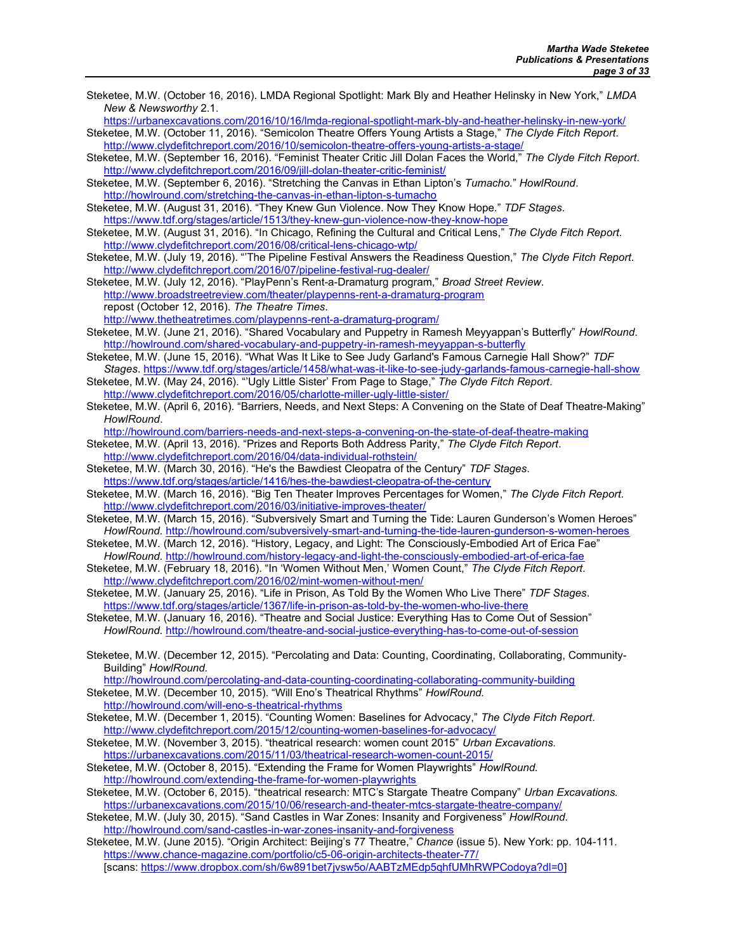Steketee, M.W. (October 16, 2016). LMDA Regional Spotlight: Mark Bly and Heather Helinsky in New York," LMDA New & Newsworthy 2.1. https://urbanexcavations.com/2016/10/16/lmda-regional-spotlight-mark-bly-and-heather-helinsky-in-new-york/ Steketee, M.W. (October 11, 2016). "Semicolon Theatre Offers Young Artists a Stage," The Clyde Fitch Report. http://www.clydefitchreport.com/2016/10/semicolon-theatre-offers-young-artists-a-stage/ Steketee, M.W. (September 16, 2016). "Feminist Theater Critic Jill Dolan Faces the World," The Clyde Fitch Report. http://www.clydefitchreport.com/2016/09/jill-dolan-theater-critic-feminist/ Steketee, M.W. (September 6, 2016). "Stretching the Canvas in Ethan Lipton's Tumacho." HowlRound. http://howlround.com/stretching-the-canvas-in-ethan-lipton-s-tumacho Steketee, M.W. (August 31, 2016). "They Knew Gun Violence. Now They Know Hope." TDF Stages. https://www.tdf.org/stages/article/1513/they-knew-gun-violence-now-they-know-hope Steketee, M.W. (August 31, 2016). "In Chicago, Refining the Cultural and Critical Lens," The Clyde Fitch Report. http://www.clydefitchreport.com/2016/08/critical-lens-chicago-wtp/ Steketee, M.W. (July 19, 2016). "The Pipeline Festival Answers the Readiness Question," The Clyde Fitch Report. http://www.clydefitchreport.com/2016/07/pipeline-festival-rug-dealer/ Steketee, M.W. (July 12, 2016). "PlayPenn's Rent-a-Dramaturg program," Broad Street Review. http://www.broadstreetreview.com/theater/playpenns-rent-a-dramaturg-program repost (October 12, 2016). The Theatre Times. http://www.thetheatretimes.com/playpenns-rent-a-dramaturg-program/ Steketee, M.W. (June 21, 2016). "Shared Vocabulary and Puppetry in Ramesh Meyyappan's Butterfly" HowlRound. http://howlround.com/shared-vocabulary-and-puppetry-in-ramesh-meyyappan-s-butterfly Steketee, M.W. (June 15, 2016). "What Was It Like to See Judy Garland's Famous Carnegie Hall Show?" TDF Stages. https://www.tdf.org/stages/article/1458/what-was-it-like-to-see-judy-garlands-famous-carnegie-hall-show Steketee, M.W. (May 24, 2016). "'Ugly Little Sister' From Page to Stage," The Clyde Fitch Report. http://www.clydefitchreport.com/2016/05/charlotte-miller-ugly-little-sister/ Steketee, M.W. (April 6, 2016). "Barriers, Needs, and Next Steps: A Convening on the State of Deaf Theatre-Making" HowlRound. http://howlround.com/barriers-needs-and-next-steps-a-convening-on-the-state-of-deaf-theatre-making Steketee, M.W. (April 13, 2016). "Prizes and Reports Both Address Parity," The Clyde Fitch Report. http://www.clydefitchreport.com/2016/04/data-individual-rothstein/ Steketee, M.W. (March 30, 2016). "He's the Bawdiest Cleopatra of the Century" TDF Stages. https://www.tdf.org/stages/article/1416/hes-the-bawdiest-cleopatra-of-the-century Steketee, M.W. (March 16, 2016). "Big Ten Theater Improves Percentages for Women," The Clyde Fitch Report. http://www.clydefitchreport.com/2016/03/initiative-improves-theater/ Steketee, M.W. (March 15, 2016). "Subversively Smart and Turning the Tide: Lauren Gunderson's Women Heroes" HowlRound. http://howlround.com/subversively-smart-and-turning-the-tide-lauren-gunderson-s-women-heroes Steketee, M.W. (March 12, 2016). "History, Legacy, and Light: The Consciously-Embodied Art of Erica Fae" HowlRound. http://howlround.com/history-legacy-and-light-the-consciously-embodied-art-of-erica-fae Steketee, M.W. (February 18, 2016). "In 'Women Without Men,' Women Count," The Clyde Fitch Report. http://www.clydefitchreport.com/2016/02/mint-women-without-men/ Steketee, M.W. (January 25, 2016). "Life in Prison, As Told By the Women Who Live There" TDF Stages. https://www.tdf.org/stages/article/1367/life-in-prison-as-told-by-the-women-who-live-there Steketee, M.W. (January 16, 2016). "Theatre and Social Justice: Everything Has to Come Out of Session" HowlRound. http://howlround.com/theatre-and-social-justice-everything-has-to-come-out-of-session Steketee, M.W. (December 12, 2015). "Percolating and Data: Counting, Coordinating, Collaborating, Community-Building" HowlRound. http://howlround.com/percolating-and-data-counting-coordinating-collaborating-community-building Steketee, M.W. (December 10, 2015). "Will Eno's Theatrical Rhythms" HowlRound. http://howlround.com/will-eno-s-theatrical-rhythms Steketee, M.W. (December 1, 2015). "Counting Women: Baselines for Advocacy," The Clyde Fitch Report. http://www.clydefitchreport.com/2015/12/counting-women-baselines-for-advocacy/ Steketee, M.W. (November 3, 2015). "theatrical research: women count 2015" Urban Excavations. https://urbanexcavations.com/2015/11/03/theatrical-research-women-count-2015/ Steketee, M.W. (October 8, 2015). "Extending the Frame for Women Playwrights" HowlRound. http://howlround.com/extending-the-frame-for-women-playwrights Steketee, M.W. (October 6, 2015). "theatrical research: MTC's Stargate Theatre Company" Urban Excavations. https://urbanexcavations.com/2015/10/06/research-and-theater-mtcs-stargate-theatre-company/ Steketee, M.W. (July 30, 2015). "Sand Castles in War Zones: Insanity and Forgiveness" HowlRound. http://howlround.com/sand-castles-in-war-zones-insanity-and-forgiveness Steketee, M.W. (June 2015). "Origin Architect: Beijing's 77 Theatre," Chance (issue 5). New York: pp. 104-111. https://www.chance-magazine.com/portfolio/c5-06-origin-architects-theater-77/ [scans: https://www.dropbox.com/sh/6w891bet7jvsw5o/AABTzMEdp5qhfUMhRWPCodoya?dl=0]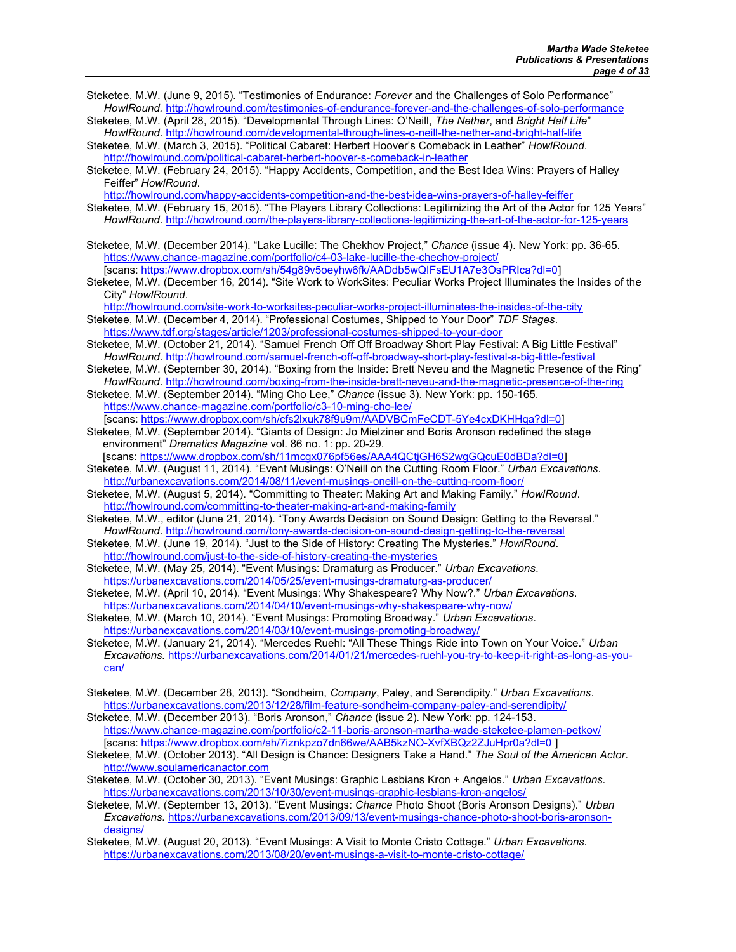- Steketee, M.W. (June 9, 2015). "Testimonies of Endurance: Forever and the Challenges of Solo Performance" HowlRound. http://howlround.com/testimonies-of-endurance-forever-and-the-challenges-of-solo-performance
- Steketee, M.W. (April 28, 2015). "Developmental Through Lines: O'Neill, The Nether, and Bright Half Life" HowlRound. http://howlround.com/developmental-through-lines-o-neill-the-nether-and-bright-half-life
- Steketee, M.W. (March 3, 2015). "Political Cabaret: Herbert Hoover's Comeback in Leather" HowlRound. http://howlround.com/political-cabaret-herbert-hoover-s-comeback-in-leather
- Steketee, M.W. (February 24, 2015). "Happy Accidents, Competition, and the Best Idea Wins: Prayers of Halley Feiffer" HowlRound.

http://howlround.com/happy-accidents-competition-and-the-best-idea-wins-prayers-of-halley-feiffer

- Steketee, M.W. (February 15, 2015). "The Players Library Collections: Legitimizing the Art of the Actor for 125 Years" HowlRound. http://howlround.com/the-players-library-collections-legitimizing-the-art-of-the-actor-for-125-years
- Steketee, M.W. (December 2014). "Lake Lucille: The Chekhov Project," Chance (issue 4). New York: pp. 36-65. https://www.chance-magazine.com/portfolio/c4-03-lake-lucille-the-chechov-project/ [scans: https://www.dropbox.com/sh/54g89v5oeyhw6fk/AADdb5wQIFsEU1A7e3OsPRIca?dl=0]
- Steketee, M.W. (December 16, 2014). "Site Work to WorkSites: Peculiar Works Project Illuminates the Insides of the City" HowlRound.

http://howlround.com/site-work-to-worksites-peculiar-works-project-illuminates-the-insides-of-the-city

- Steketee, M.W. (December 4, 2014). "Professional Costumes, Shipped to Your Door" TDF Stages. https://www.tdf.org/stages/article/1203/professional-costumes-shipped-to-your-door
- Steketee, M.W. (October 21, 2014). "Samuel French Off Off Broadway Short Play Festival: A Big Little Festival" HowlRound. http://howlround.com/samuel-french-off-off-broadway-short-play-festival-a-big-little-festival
- Steketee, M.W. (September 30, 2014). "Boxing from the Inside: Brett Neveu and the Magnetic Presence of the Ring" HowlRound. http://howlround.com/boxing-from-the-inside-brett-neveu-and-the-magnetic-presence-of-the-ring

Steketee, M.W. (September 2014). "Ming Cho Lee," Chance (issue 3). New York: pp. 150-165. https://www.chance-magazine.com/portfolio/c3-10-ming-cho-lee/

[scans: https://www.dropbox.com/sh/cfs2lxuk78f9u9m/AADVBCmFeCDT-5Ye4cxDKHHqa?dl=0] Steketee, M.W. (September 2014). "Giants of Design: Jo Mielziner and Boris Aronson redefined the stage environment" Dramatics Magazine vol. 86 no. 1: pp. 20-29.

- [scans: https://www.dropbox.com/sh/11mcgx076pf56es/AAA4QCtjGH6S2wgGQcuE0dBDa?dl=0] Steketee, M.W. (August 11, 2014). "Event Musings: O'Neill on the Cutting Room Floor." Urban Excavations.
- http://urbanexcavations.com/2014/08/11/event-musings-oneill-on-the-cutting-room-floor/
- Steketee, M.W. (August 5, 2014). "Committing to Theater: Making Art and Making Family." HowlRound. http://howlround.com/committing-to-theater-making-art-and-making-family
- Steketee, M.W., editor (June 21, 2014). "Tony Awards Decision on Sound Design: Getting to the Reversal." HowlRound. http://howlround.com/tony-awards-decision-on-sound-design-getting-to-the-reversal
- Steketee, M.W. (June 19, 2014). "Just to the Side of History: Creating The Mysteries." HowlRound. http://howlround.com/just-to-the-side-of-history-creating-the-mysteries
- Steketee, M.W. (May 25, 2014). "Event Musings: Dramaturg as Producer." Urban Excavations. https://urbanexcavations.com/2014/05/25/event-musings-dramaturg-as-producer/
- Steketee, M.W. (April 10, 2014). "Event Musings: Why Shakespeare? Why Now?." Urban Excavations. https://urbanexcavations.com/2014/04/10/event-musings-why-shakespeare-why-now/
- Steketee, M.W. (March 10, 2014). "Event Musings: Promoting Broadway." Urban Excavations. https://urbanexcavations.com/2014/03/10/event-musings-promoting-broadway/
- Steketee, M.W. (January 21, 2014). "Mercedes Ruehl: "All These Things Ride into Town on Your Voice." Urban Excavations. https://urbanexcavations.com/2014/01/21/mercedes-ruehl-you-try-to-keep-it-right-as-long-as-youcan/
- Steketee, M.W. (December 28, 2013). "Sondheim, Company, Paley, and Serendipity." Urban Excavations. https://urbanexcavations.com/2013/12/28/film-feature-sondheim-company-paley-and-serendipity/
- Steketee, M.W. (December 2013). "Boris Aronson," Chance (issue 2). New York: pp. 124-153. https://www.chance-magazine.com/portfolio/c2-11-boris-aronson-martha-wade-steketee-plamen-petkov/ [scans: https://www.dropbox.com/sh/7iznkpzo7dn66we/AAB5kzNO-XvfXBQz2ZJuHpr0a?dl=0 ]
- Steketee, M.W. (October 2013). "All Design is Chance: Designers Take a Hand." The Soul of the American Actor. http://www.soulamericanactor.com
- Steketee, M.W. (October 30, 2013). "Event Musings: Graphic Lesbians Kron + Angelos." Urban Excavations. https://urbanexcavations.com/2013/10/30/event-musings-graphic-lesbians-kron-angelos/
- Steketee, M.W. (September 13, 2013). "Event Musings: Chance Photo Shoot (Boris Aronson Designs)." Urban Excavations. https://urbanexcavations.com/2013/09/13/event-musings-chance-photo-shoot-boris-aronsondesigns/
- Steketee, M.W. (August 20, 2013). "Event Musings: A Visit to Monte Cristo Cottage." Urban Excavations. https://urbanexcavations.com/2013/08/20/event-musings-a-visit-to-monte-cristo-cottage/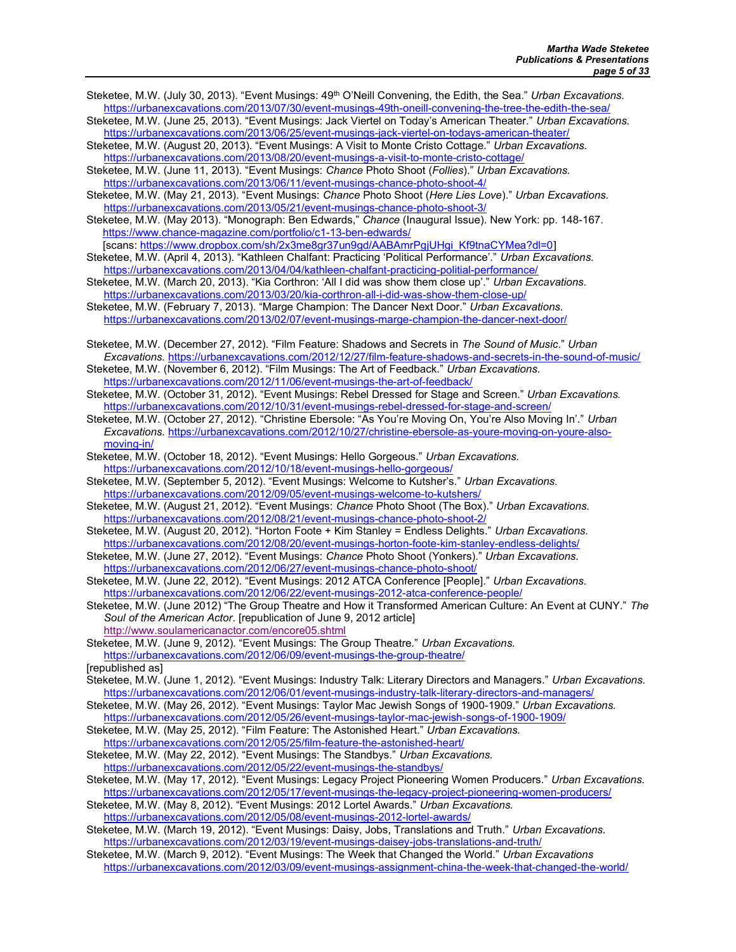- Steketee, M.W. (July 30, 2013). "Event Musings: 49<sup>th</sup> O'Neill Convening, the Edith, the Sea." Urban Excavations. https://urbanexcavations.com/2013/07/30/event-musings-49th-oneill-convening-the-tree-the-edith-the-sea/
- Steketee, M.W. (June 25, 2013). "Event Musings: Jack Viertel on Today's American Theater." Urban Excavations. https://urbanexcavations.com/2013/06/25/event-musings-jack-viertel-on-todays-american-theater/
- Steketee, M.W. (August 20, 2013). "Event Musings: A Visit to Monte Cristo Cottage." Urban Excavations. https://urbanexcavations.com/2013/08/20/event-musings-a-visit-to-monte-cristo-cottage/

Steketee, M.W. (June 11, 2013). "Event Musings: Chance Photo Shoot (Follies)." Urban Excavations. https://urbanexcavations.com/2013/06/11/event-musings-chance-photo-shoot-4/

Steketee, M.W. (May 21, 2013). "Event Musings: Chance Photo Shoot (Here Lies Love)." Urban Excavations. https://urbanexcavations.com/2013/05/21/event-musings-chance-photo-shoot-3/

Steketee, M.W. (May 2013). "Monograph: Ben Edwards," Chance (Inaugural Issue). New York: pp. 148-167. https://www.chance-magazine.com/portfolio/c1-13-ben-edwards/

[scans: https://www.dropbox.com/sh/2x3me8gr37un9gd/AABAmrPgjUHgi\_Kf9tnaCYMea?dl=0]

- Steketee, M.W. (April 4, 2013). "Kathleen Chalfant: Practicing 'Political Performance'." Urban Excavations. https://urbanexcavations.com/2013/04/04/kathleen-chalfant-practicing-politial-performance/
- Steketee, M.W. (March 20, 2013). "Kia Corthron: 'All I did was show them close up'." Urban Excavations. https://urbanexcavations.com/2013/03/20/kia-corthron-all-i-did-was-show-them-close-up/
- Steketee, M.W. (February 7, 2013). "Marge Champion: The Dancer Next Door." Urban Excavations. https://urbanexcavations.com/2013/02/07/event-musings-marge-champion-the-dancer-next-door/
- Steketee, M.W. (December 27, 2012). "Film Feature: Shadows and Secrets in The Sound of Music." Urban Excavations. https://urbanexcavations.com/2012/12/27/film-feature-shadows-and-secrets-in-the-sound-of-music/

Steketee, M.W. (November 6, 2012). "Film Musings: The Art of Feedback." Urban Excavations. https://urbanexcavations.com/2012/11/06/event-musings-the-art-of-feedback/

Steketee, M.W. (October 31, 2012). "Event Musings: Rebel Dressed for Stage and Screen." Urban Excavations. https://urbanexcavations.com/2012/10/31/event-musings-rebel-dressed-for-stage-and-screen/

Steketee, M.W. (October 27, 2012). "Christine Ebersole: "As You're Moving On, You're Also Moving In'." Urban Excavations. https://urbanexcavations.com/2012/10/27/christine-ebersole-as-youre-moving-on-youre-alsomoving-in/

Steketee, M.W. (October 18, 2012). "Event Musings: Hello Gorgeous." Urban Excavations. https://urbanexcavations.com/2012/10/18/event-musings-hello-gorgeous/

Steketee, M.W. (September 5, 2012). "Event Musings: Welcome to Kutsher's." Urban Excavations. https://urbanexcavations.com/2012/09/05/event-musings-welcome-to-kutshers/

Steketee, M.W. (August 21, 2012). "Event Musings: Chance Photo Shoot (The Box)." Urban Excavations. https://urbanexcavations.com/2012/08/21/event-musings-chance-photo-shoot-2/

Steketee, M.W. (August 20, 2012). "Horton Foote + Kim Stanley = Endless Delights." Urban Excavations. https://urbanexcavations.com/2012/08/20/event-musings-horton-foote-kim-stanley-endless-delights/

- Steketee, M.W. (June 27, 2012). "Event Musings: Chance Photo Shoot (Yonkers)." Urban Excavations. https://urbanexcavations.com/2012/06/27/event-musings-chance-photo-shoot/
- Steketee, M.W. (June 22, 2012). "Event Musings: 2012 ATCA Conference [People]." Urban Excavations. https://urbanexcavations.com/2012/06/22/event-musings-2012-atca-conference-people/
- Steketee, M.W. (June 2012) "The Group Theatre and How it Transformed American Culture: An Event at CUNY." The Soul of the American Actor. [republication of June 9, 2012 article] http://www.soulamericanactor.com/encore05.shtml
- Steketee, M.W. (June 9, 2012). "Event Musings: The Group Theatre." Urban Excavations. https://urbanexcavations.com/2012/06/09/event-musings-the-group-theatre/

[republished as]

- Steketee, M.W. (June 1, 2012). "Event Musings: Industry Talk: Literary Directors and Managers." Urban Excavations. https://urbanexcavations.com/2012/06/01/event-musings-industry-talk-literary-directors-and-managers/
- Steketee, M.W. (May 26, 2012). "Event Musings: Taylor Mac Jewish Songs of 1900-1909." Urban Excavations.
- https://urbanexcavations.com/2012/05/26/event-musings-taylor-mac-jewish-songs-of-1900-1909/ Steketee, M.W. (May 25, 2012). "Film Feature: The Astonished Heart." Urban Excavations.
- https://urbanexcavations.com/2012/05/25/film-feature-the-astonished-heart/
- Steketee, M.W. (May 22, 2012). "Event Musings: The Standbys." Urban Excavations. https://urbanexcavations.com/2012/05/22/event-musings-the-standbys/
- Steketee, M.W. (May 17, 2012). "Event Musings: Legacy Project Pioneering Women Producers." Urban Excavations. https://urbanexcavations.com/2012/05/17/event-musings-the-legacy-project-pioneering-women-producers/
- Steketee, M.W. (May 8, 2012). "Event Musings: 2012 Lortel Awards." Urban Excavations. https://urbanexcavations.com/2012/05/08/event-musings-2012-lortel-awards/
- Steketee, M.W. (March 19, 2012). "Event Musings: Daisy, Jobs, Translations and Truth." Urban Excavations. https://urbanexcavations.com/2012/03/19/event-musings-daisey-jobs-translations-and-truth/

Steketee, M.W. (March 9, 2012). "Event Musings: The Week that Changed the World." Urban Excavations https://urbanexcavations.com/2012/03/09/event-musings-assignment-china-the-week-that-changed-the-world/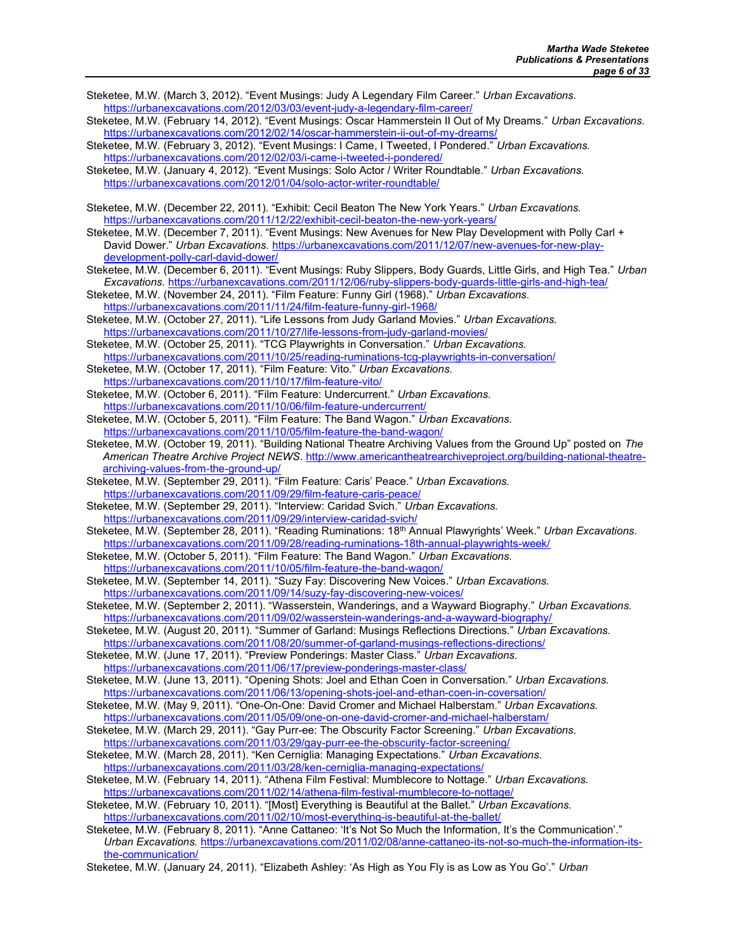- Steketee, M.W. (March 3, 2012). "Event Musings: Judy A Legendary Film Career." Urban Excavations. https://urbanexcavations.com/2012/03/03/event-judy-a-legendary-film-career/
- Steketee, M.W. (February 14, 2012). "Event Musings: Oscar Hammerstein II Out of My Dreams." Urban Excavations. https://urbanexcavations.com/2012/02/14/oscar-hammerstein-ii-out-of-my-dreams/
- Steketee, M.W. (February 3, 2012). "Event Musings: I Came, I Tweeted, I Pondered." Urban Excavations. https://urbanexcavations.com/2012/02/03/i-came-i-tweeted-i-pondered/
- Steketee, M.W. (January 4, 2012). "Event Musings: Solo Actor / Writer Roundtable." Urban Excavations. https://urbanexcavations.com/2012/01/04/solo-actor-writer-roundtable/
- Steketee, M.W. (December 22, 2011). "Exhibit: Cecil Beaton The New York Years." Urban Excavations. https://urbanexcavations.com/2011/12/22/exhibit-cecil-beaton-the-new-york-years/

Steketee, M.W. (December 7, 2011). "Event Musings: New Avenues for New Play Development with Polly Carl + David Dower." Urban Excavations. https://urbanexcavations.com/2011/12/07/new-avenues-for-new-playdevelopment-polly-carl-david-dower/

- Steketee, M.W. (December 6, 2011). "Event Musings: Ruby Slippers, Body Guards, Little Girls, and High Tea." Urban Excavations. https://urbanexcavations.com/2011/12/06/ruby-slippers-body-guards-little-girls-and-high-tea/
- Steketee, M.W. (November 24, 2011). "Film Feature: Funny Girl (1968)." Urban Excavations. https://urbanexcavations.com/2011/11/24/film-feature-funny-girl-1968/
- Steketee, M.W. (October 27, 2011). "Life Lessons from Judy Garland Movies." Urban Excavations. https://urbanexcavations.com/2011/10/27/life-lessons-from-judy-garland-movies/

Steketee, M.W. (October 25, 2011). "TCG Playwrights in Conversation." Urban Excavations. https://urbanexcavations.com/2011/10/25/reading-ruminations-tcg-playwrights-in-conversation/

- Steketee, M.W. (October 17, 2011). "Film Feature: Vito." Urban Excavations. https://urbanexcavations.com/2011/10/17/film-feature-vito/
- Steketee, M.W. (October 6, 2011). "Film Feature: Undercurrent." Urban Excavations. https://urbanexcavations.com/2011/10/06/film-feature-undercurrent/
- Steketee, M.W. (October 5, 2011). "Film Feature: The Band Wagon." Urban Excavations. https://urbanexcavations.com/2011/10/05/film-feature-the-band-wagon/
- Steketee, M.W. (October 19, 2011). "Building National Theatre Archiving Values from the Ground Up" posted on The American Theatre Archive Project NEWS. http://www.americantheatrearchiveproject.org/building-national-theatrearchiving-values-from-the-ground-up/
- Steketee, M.W. (September 29, 2011). "Film Feature: Caris' Peace." Urban Excavations. https://urbanexcavations.com/2011/09/29/film-feature-caris-peace/
- Steketee, M.W. (September 29, 2011). "Interview: Caridad Svich." Urban Excavations. https://urbanexcavations.com/2011/09/29/interview-caridad-svich/
- Steketee, M.W. (September 28, 2011). "Reading Ruminations: 18<sup>th</sup> Annual Plawyrights' Week." Urban Excavations. https://urbanexcavations.com/2011/09/28/reading-ruminations-18th-annual-playwrights-week/
- Steketee, M.W. (October 5, 2011). "Film Feature: The Band Wagon." Urban Excavations. https://urbanexcavations.com/2011/10/05/film-feature-the-band-wagon/
- Steketee, M.W. (September 14, 2011). "Suzy Fay: Discovering New Voices." Urban Excavations. https://urbanexcavations.com/2011/09/14/suzy-fay-discovering-new-voices/
- Steketee, M.W. (September 2, 2011). "Wasserstein, Wanderings, and a Wayward Biography." Urban Excavations. https://urbanexcavations.com/2011/09/02/wasserstein-wanderings-and-a-wayward-biography/
- Steketee, M.W. (August 20, 2011). "Summer of Garland: Musings Reflections Directions." Urban Excavations.
- https://urbanexcavations.com/2011/08/20/summer-of-garland-musings-reflections-directions/ Steketee, M.W. (June 17, 2011). "Preview Ponderings: Master Class." Urban Excavations.
- https://urbanexcavations.com/2011/06/17/preview-ponderings-master-class/
- Steketee, M.W. (June 13, 2011). "Opening Shots: Joel and Ethan Coen in Conversation." Urban Excavations. https://urbanexcavations.com/2011/06/13/opening-shots-joel-and-ethan-coen-in-coversation/
- Steketee, M.W. (May 9, 2011). "One-On-One: David Cromer and Michael Halberstam." Urban Excavations. https://urbanexcavations.com/2011/05/09/one-on-one-david-cromer-and-michael-halberstam/
- Steketee, M.W. (March 29, 2011). "Gay Purr-ee: The Obscurity Factor Screening." Urban Excavations. https://urbanexcavations.com/2011/03/29/gay-purr-ee-the-obscurity-factor-screening/
- Steketee, M.W. (March 28, 2011). "Ken Cerniglia: Managing Expectations." Urban Excavations. https://urbanexcavations.com/2011/03/28/ken-cerniglia-managing-expectations/
- Steketee, M.W. (February 14, 2011). "Athena Film Festival: Mumblecore to Nottage." Urban Excavations. https://urbanexcavations.com/2011/02/14/athena-film-festival-mumblecore-to-nottage/
- Steketee, M.W. (February 10, 2011). "[Most] Everything is Beautiful at the Ballet." Urban Excavations. https://urbanexcavations.com/2011/02/10/most-everything-is-beautiful-at-the-ballet/
- Steketee, M.W. (February 8, 2011). "Anne Cattaneo: 'It's Not So Much the Information, It's the Communication'." Urban Excavations. https://urbanexcavations.com/2011/02/08/anne-cattaneo-its-not-so-much-the-information-itsthe-communication/
- Steketee, M.W. (January 24, 2011). "Elizabeth Ashley: 'As High as You Fly is as Low as You Go'." Urban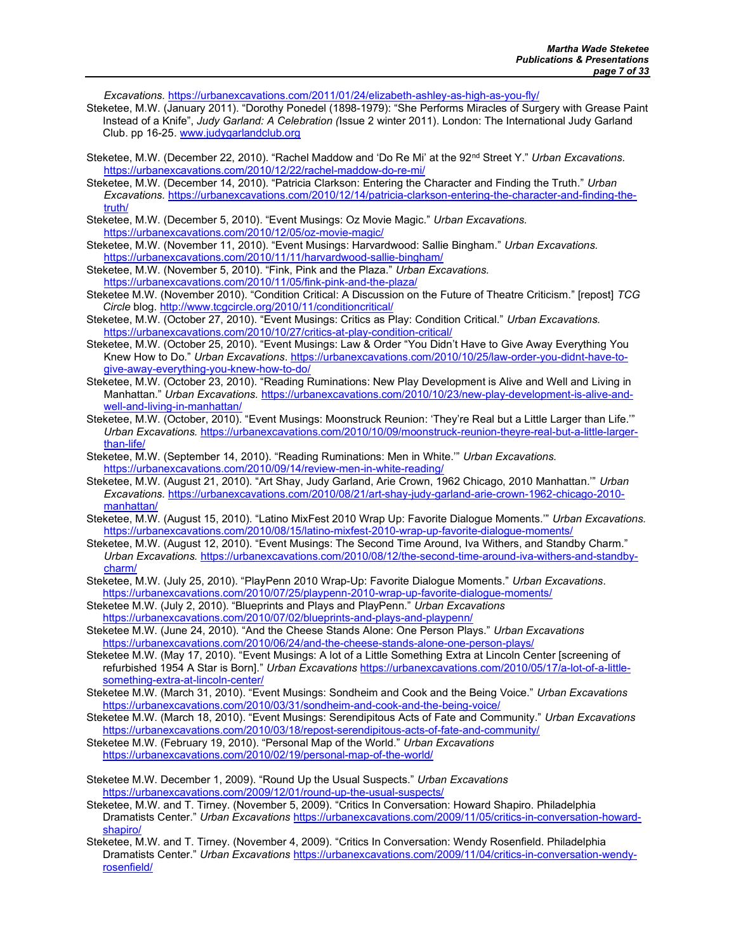Excavations. https://urbanexcavations.com/2011/01/24/elizabeth-ashley-as-high-as-you-fly/

- Steketee, M.W. (January 2011). "Dorothy Ponedel (1898-1979): "She Performs Miracles of Surgery with Grease Paint Instead of a Knife", Judy Garland: A Celebration (Issue 2 winter 2011). London: The International Judy Garland Club. pp 16-25. www.judygarlandclub.org
- Steketee, M.W. (December 22, 2010). "Rachel Maddow and 'Do Re Mi' at the 92<sup>nd</sup> Street Y." Urban Excavations. https://urbanexcavations.com/2010/12/22/rachel-maddow-do-re-mi/
- Steketee, M.W. (December 14, 2010). "Patricia Clarkson: Entering the Character and Finding the Truth." Urban Excavations. https://urbanexcavations.com/2010/12/14/patricia-clarkson-entering-the-character-and-finding-thetruth/
- Steketee, M.W. (December 5, 2010). "Event Musings: Oz Movie Magic." Urban Excavations. https://urbanexcavations.com/2010/12/05/oz-movie-magic/
- Steketee, M.W. (November 11, 2010). "Event Musings: Harvardwood: Sallie Bingham." Urban Excavations. https://urbanexcavations.com/2010/11/11/harvardwood-sallie-bingham/
- Steketee, M.W. (November 5, 2010). "Fink, Pink and the Plaza." Urban Excavations.
- https://urbanexcavations.com/2010/11/05/fink-pink-and-the-plaza/
- Steketee M.W. (November 2010). "Condition Critical: A Discussion on the Future of Theatre Criticism." [repost] TCG Circle blog. http://www.tcgcircle.org/2010/11/conditioncritical/
- Steketee, M.W. (October 27, 2010). "Event Musings: Critics as Play: Condition Critical." Urban Excavations. https://urbanexcavations.com/2010/10/27/critics-at-play-condition-critical/
- Steketee, M.W. (October 25, 2010). "Event Musings: Law & Order "You Didn't Have to Give Away Everything You Knew How to Do." Urban Excavations. https://urbanexcavations.com/2010/10/25/law-order-you-didnt-have-togive-away-everything-you-knew-how-to-do/
- Steketee, M.W. (October 23, 2010). "Reading Ruminations: New Play Development is Alive and Well and Living in Manhattan." Urban Excavations. https://urbanexcavations.com/2010/10/23/new-play-development-is-alive-andwell-and-living-in-manhattan/
- Steketee, M.W. (October, 2010). "Event Musings: Moonstruck Reunion: 'They're Real but a Little Larger than Life.'" Urban Excavations. https://urbanexcavations.com/2010/10/09/moonstruck-reunion-theyre-real-but-a-little-largerthan-life/
- Steketee, M.W. (September 14, 2010). "Reading Ruminations: Men in White.'" Urban Excavations. https://urbanexcavations.com/2010/09/14/review-men-in-white-reading/
- Steketee, M.W. (August 21, 2010). "Art Shay, Judy Garland, Arie Crown, 1962 Chicago, 2010 Manhattan.'" Urban Excavations. https://urbanexcavations.com/2010/08/21/art-shay-judy-garland-arie-crown-1962-chicago-2010 manhattan/
- Steketee, M.W. (August 15, 2010). "Latino MixFest 2010 Wrap Up: Favorite Dialogue Moments.'" Urban Excavations. https://urbanexcavations.com/2010/08/15/latino-mixfest-2010-wrap-up-favorite-dialogue-moments/
- Steketee, M.W. (August 12, 2010). "Event Musings: The Second Time Around, Iva Withers, and Standby Charm." Urban Excavations. https://urbanexcavations.com/2010/08/12/the-second-time-around-iva-withers-and-standbycharm/
- Steketee, M.W. (July 25, 2010). "PlayPenn 2010 Wrap-Up: Favorite Dialogue Moments." Urban Excavations. https://urbanexcavations.com/2010/07/25/playpenn-2010-wrap-up-favorite-dialogue-moments/
- Steketee M.W. (July 2, 2010). "Blueprints and Plays and PlayPenn." Urban Excavations https://urbanexcavations.com/2010/07/02/blueprints-and-plays-and-playpenn/
- Steketee M.W. (June 24, 2010). "And the Cheese Stands Alone: One Person Plays." Urban Excavations https://urbanexcavations.com/2010/06/24/and-the-cheese-stands-alone-one-person-plays/
- Steketee M.W. (May 17, 2010). "Event Musings: A lot of a Little Something Extra at Lincoln Center [screening of refurbished 1954 A Star is Born]." Urban Excavations https://urbanexcavations.com/2010/05/17/a-lot-of-a-littlesomething-extra-at-lincoln-center/
- Steketee M.W. (March 31, 2010). "Event Musings: Sondheim and Cook and the Being Voice." Urban Excavations https://urbanexcavations.com/2010/03/31/sondheim-and-cook-and-the-being-voice/
- Steketee M.W. (March 18, 2010). "Event Musings: Serendipitous Acts of Fate and Community." Urban Excavations https://urbanexcavations.com/2010/03/18/repost-serendipitous-acts-of-fate-and-community/
- Steketee M.W. (February 19, 2010). "Personal Map of the World." Urban Excavations https://urbanexcavations.com/2010/02/19/personal-map-of-the-world/
- Steketee M.W. December 1, 2009). "Round Up the Usual Suspects." Urban Excavations https://urbanexcavations.com/2009/12/01/round-up-the-usual-suspects/
- Steketee, M.W. and T. Tirney. (November 5, 2009). "Critics In Conversation: Howard Shapiro. Philadelphia Dramatists Center." Urban Excavations https://urbanexcavations.com/2009/11/05/critics-in-conversation-howardshapiro/
- Steketee, M.W. and T. Tirney. (November 4, 2009). "Critics In Conversation: Wendy Rosenfield. Philadelphia Dramatists Center." Urban Excavations https://urbanexcavations.com/2009/11/04/critics-in-conversation-wendyrosenfield/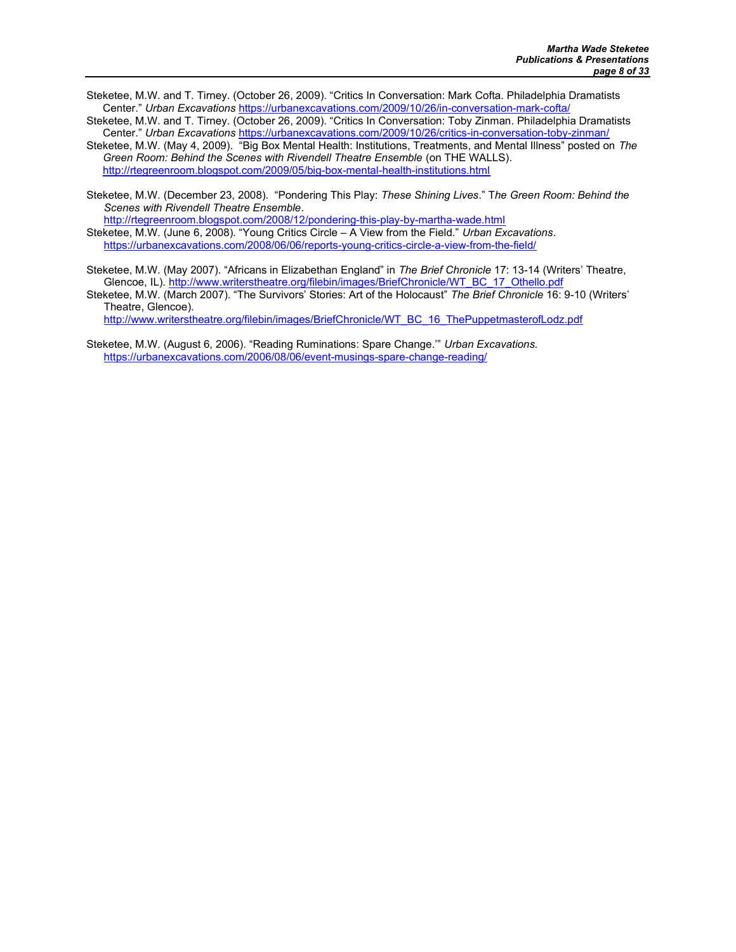- Steketee, M.W. and T. Tirney. (October 26, 2009). "Critics In Conversation: Mark Cofta. Philadelphia Dramatists Center." Urban Excavations https://urbanexcavations.com/2009/10/26/in-conversation-mark-cofta/
- Steketee, M.W. and T. Tirney. (October 26, 2009). "Critics In Conversation: Toby Zinman. Philadelphia Dramatists Center." Urban Excavations https://urbanexcavations.com/2009/10/26/critics-in-conversation-toby-zinman/
- Steketee, M.W. (May 4, 2009). "Big Box Mental Health: Institutions, Treatments, and Mental Illness" posted on The Green Room: Behind the Scenes with Rivendell Theatre Ensemble (on THE WALLS). http://rtegreenroom.blogspot.com/2009/05/big-box-mental-health-institutions.html
- Steketee, M.W. (December 23, 2008). "Pondering This Play: These Shining Lives." The Green Room: Behind the Scenes with Rivendell Theatre Ensemble.

http://rtegreenroom.blogspot.com/2008/12/pondering-this-play-by-martha-wade.html Steketee, M.W. (June 6, 2008). "Young Critics Circle  $-\overline{A}$  View from the Field." Urban Excavations. https://urbanexcavations.com/2008/06/06/reports-young-critics-circle-a-view-from-the-field/

Steketee, M.W. (May 2007). "Africans in Elizabethan England" in The Brief Chronicle 17: 13-14 (Writers' Theatre, Glencoe, IL). http://www.writerstheatre.org/filebin/images/BriefChronicle/WT\_BC\_17\_Othello.pdf

Steketee, M.W. (March 2007). "The Survivors' Stories: Art of the Holocaust" The Brief Chronicle 16: 9-10 (Writers' Theatre, Glencoe).

http://www.writerstheatre.org/filebin/images/BriefChronicle/WT\_BC\_16\_ThePuppetmasterofLodz.pdf

Steketee, M.W. (August 6, 2006). "Reading Ruminations: Spare Change.'" Urban Excavations. https://urbanexcavations.com/2006/08/06/event-musings-spare-change-reading/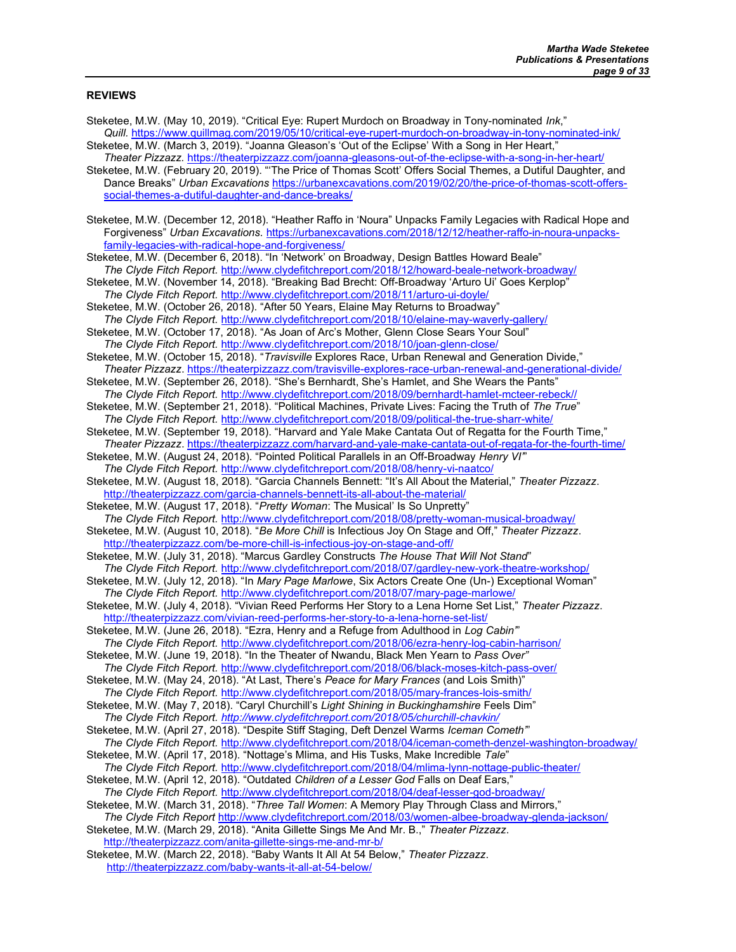#### REVIEWS

Steketee, M.W. (May 10, 2019). "Critical Eye: Rupert Murdoch on Broadway in Tony-nominated Ink," Quill. https://www.quillmag.com/2019/05/10/critical-eye-rupert-murdoch-on-broadway-in-tony-nominated-ink/ Steketee, M.W. (March 3, 2019). "Joanna Gleason's 'Out of the Eclipse' With a Song in Her Heart," Theater Pizzazz. https://theaterpizzazz.com/joanna-gleasons-out-of-the-eclipse-with-a-song-in-her-heart/ Steketee, M.W. (February 20, 2019). "'The Price of Thomas Scott' Offers Social Themes, a Dutiful Daughter, and Dance Breaks" Urban Excavations https://urbanexcavations.com/2019/02/20/the-price-of-thomas-scott-offerssocial-themes-a-dutiful-daughter-and-dance-breaks/ Steketee, M.W. (December 12, 2018). "Heather Raffo in 'Noura" Unpacks Family Legacies with Radical Hope and Forgiveness" Urban Excavations. https://urbanexcavations.com/2018/12/12/heather-raffo-in-noura-unpacksfamily-legacies-with-radical-hope-and-forgiveness/ Steketee, M.W. (December 6, 2018). "In 'Network' on Broadway, Design Battles Howard Beale" The Clyde Fitch Report. http://www.clydefitchreport.com/2018/12/howard-beale-network-broadway/ Steketee, M.W. (November 14, 2018). "Breaking Bad Brecht: Off-Broadway 'Arturo Ui' Goes Kerplop" The Clyde Fitch Report. http://www.clydefitchreport.com/2018/11/arturo-ui-doyle/ Steketee, M.W. (October 26, 2018). "After 50 Years, Elaine May Returns to Broadway" The Clyde Fitch Report. http://www.clydefitchreport.com/2018/10/elaine-may-waverly-gallery/ Steketee, M.W. (October 17, 2018). "As Joan of Arc's Mother, Glenn Close Sears Your Soul" The Clyde Fitch Report. http://www.clydefitchreport.com/2018/10/joan-glenn-close/ Steketee, M.W. (October 15, 2018). "Travisville Explores Race, Urban Renewal and Generation Divide," Theater Pizzazz. https://theaterpizzazz.com/travisville-explores-race-urban-renewal-and-generational-divide/ Steketee, M.W. (September 26, 2018). "She's Bernhardt, She's Hamlet, and She Wears the Pants" The Clyde Fitch Report. http://www.clydefitchreport.com/2018/09/bernhardt-hamlet-mcteer-rebeck// Steketee, M.W. (September 21, 2018). "Political Machines, Private Lives: Facing the Truth of The True" The Clyde Fitch Report. http://www.clydefitchreport.com/2018/09/political-the-true-sharr-white/ Steketee, M.W. (September 19, 2018). "Harvard and Yale Make Cantata Out of Regatta for the Fourth Time," Theater Pizzazz. https://theaterpizzazz.com/harvard-and-yale-make-cantata-out-of-regata-for-the-fourth-time/ Steketee, M.W. (August 24, 2018). "Pointed Political Parallels in an Off-Broadway Henry VI" The Clyde Fitch Report. http://www.clydefitchreport.com/2018/08/henry-vi-naatco/ Steketee, M.W. (August 18, 2018). "Garcia Channels Bennett: "It's All About the Material," Theater Pizzazz. http://theaterpizzazz.com/garcia-channels-bennett-its-all-about-the-material/ Steketee, M.W. (August 17, 2018). "Pretty Woman: The Musical' Is So Unpretty" The Clyde Fitch Report. http://www.clydefitchreport.com/2018/08/pretty-woman-musical-broadway/ Steketee, M.W. (August 10, 2018). "Be More Chill is Infectious Joy On Stage and Off," Theater Pizzazz. http://theaterpizzazz.com/be-more-chill-is-infectious-joy-on-stage-and-off/ Steketee, M.W. (July 31, 2018). "Marcus Gardley Constructs The House That Will Not Stand" The Clyde Fitch Report. http://www.clydefitchreport.com/2018/07/gardley-new-york-theatre-workshop/ Steketee, M.W. (July 12, 2018). "In Mary Page Marlowe, Six Actors Create One (Un-) Exceptional Woman" The Clyde Fitch Report. http://www.clydefitchreport.com/2018/07/mary-page-marlowe/ Steketee, M.W. (July 4, 2018). "Vivian Reed Performs Her Story to a Lena Horne Set List," Theater Pizzazz. http://theaterpizzazz.com/vivian-reed-performs-her-story-to-a-lena-horne-set-list/ Steketee, M.W. (June 26, 2018). "Ezra, Henry and a Refuge from Adulthood in Log Cabin'" The Clyde Fitch Report. http://www.clydefitchreport.com/2018/06/ezra-henry-log-cabin-harrison/ Steketee, M.W. (June 19, 2018). "In the Theater of Nwandu, Black Men Yearn to Pass Over" The Clyde Fitch Report. http://www.clydefitchreport.com/2018/06/black-moses-kitch-pass-over/ Steketee, M.W. (May 24, 2018). "At Last, There's Peace for Mary Frances (and Lois Smith)" The Clyde Fitch Report. http://www.clydefitchreport.com/2018/05/mary-frances-lois-smith/ Steketee, M.W. (May 7, 2018). "Caryl Churchill's Light Shining in Buckinghamshire Feels Dim" The Clyde Fitch Report. http://www.clydefitchreport.com/2018/05/churchill-chavkin/ Steketee, M.W. (April 27, 2018). "Despite Stiff Staging, Deft Denzel Warms Iceman Cometh" The Clyde Fitch Report. http://www.clydefitchreport.com/2018/04/iceman-cometh-denzel-washington-broadway/ Steketee, M.W. (April 17, 2018). "Nottage's Mlima, and His Tusks, Make Incredible Tale" The Clyde Fitch Report. http://www.clydefitchreport.com/2018/04/mlima-lynn-nottage-public-theater/ Steketee, M.W. (April 12, 2018). "Outdated Children of a Lesser God Falls on Deaf Ears," The Clyde Fitch Report. http://www.clydefitchreport.com/2018/04/deaf-lesser-god-broadway/ Steketee, M.W. (March 31, 2018). "Three Tall Women: A Memory Play Through Class and Mirrors," The Clyde Fitch Report http://www.clydefitchreport.com/2018/03/women-albee-broadway-glenda-jackson/ Steketee, M.W. (March 29, 2018). "Anita Gillette Sings Me And Mr. B.," Theater Pizzazz. http://theaterpizzazz.com/anita-gillette-sings-me-and-mr-b/ Steketee, M.W. (March 22, 2018). "Baby Wants It All At 54 Below," Theater Pizzazz. http://theaterpizzazz.com/baby-wants-it-all-at-54-below/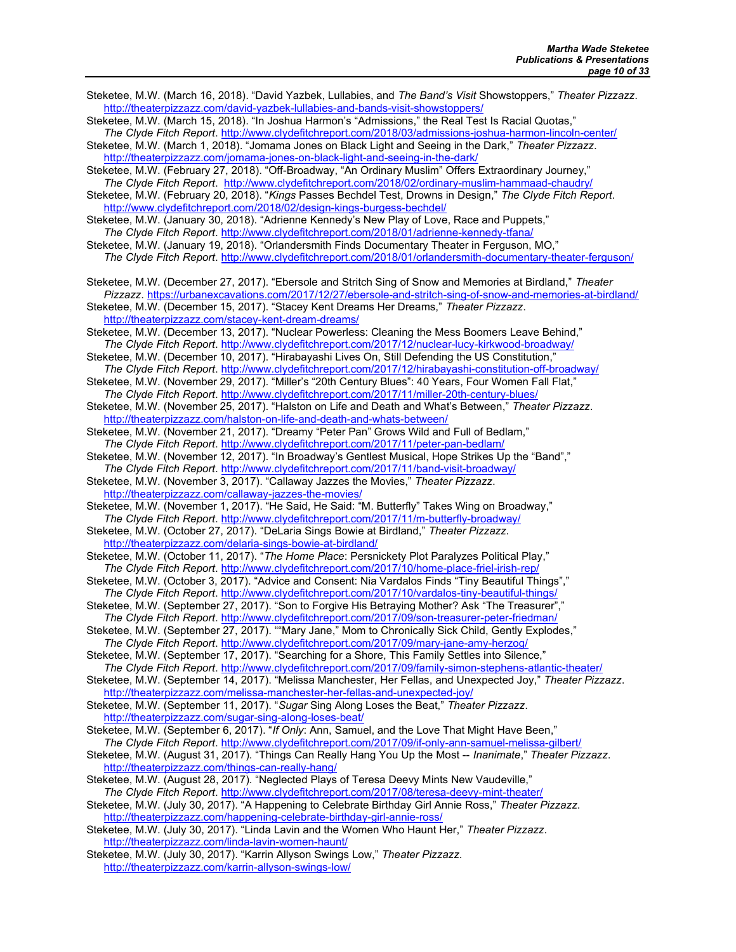- Steketee, M.W. (March 16, 2018). "David Yazbek, Lullabies, and The Band's Visit Showstoppers," Theater Pizzazz. http://theaterpizzazz.com/david-yazbek-lullabies-and-bands-visit-showstoppers/
- Steketee, M.W. (March 15, 2018). "In Joshua Harmon's "Admissions," the Real Test Is Racial Quotas," The Clyde Fitch Report. http://www.clydefitchreport.com/2018/03/admissions-joshua-harmon-lincoln-center/

Steketee, M.W. (March 1, 2018). "Jomama Jones on Black Light and Seeing in the Dark," Theater Pizzazz. http://theaterpizzazz.com/jomama-jones-on-black-light-and-seeing-in-the-dark/

Steketee, M.W. (February 27, 2018). "Off-Broadway, "An Ordinary Muslim" Offers Extraordinary Journey," The Clyde Fitch Report. http://www.clydefitchreport.com/2018/02/ordinary-muslim-hammaad-chaudry/

Steketee, M.W. (February 20, 2018). "Kings Passes Bechdel Test, Drowns in Design," The Clyde Fitch Report. http://www.clydefitchreport.com/2018/02/design-kings-burgess-bechdel/

Steketee, M.W. (January 30, 2018). "Adrienne Kennedy's New Play of Love, Race and Puppets," The Clyde Fitch Report. http://www.clydefitchreport.com/2018/01/adrienne-kennedy-tfana/

Steketee, M.W. (January 19, 2018). "Orlandersmith Finds Documentary Theater in Ferguson, MO," The Clyde Fitch Report. http://www.clydefitchreport.com/2018/01/orlandersmith-documentary-theater-ferguson/

Steketee, M.W. (December 27, 2017). "Ebersole and Stritch Sing of Snow and Memories at Birdland," Theater Pizzazz. https://urbanexcavations.com/2017/12/27/ebersole-and-stritch-sing-of-snow-and-memories-at-birdland/

Steketee, M.W. (December 15, 2017). "Stacey Kent Dreams Her Dreams," Theater Pizzazz. http://theaterpizzazz.com/stacey-kent-dream-dreams/

Steketee, M.W. (December 13, 2017). "Nuclear Powerless: Cleaning the Mess Boomers Leave Behind," The Clyde Fitch Report. http://www.clydefitchreport.com/2017/12/nuclear-lucy-kirkwood-broadway/

Steketee, M.W. (December 10, 2017). "Hirabayashi Lives On, Still Defending the US Constitution," The Clyde Fitch Report. http://www.clydefitchreport.com/2017/12/hirabayashi-constitution-off-broadway/

Steketee, M.W. (November 29, 2017). "Miller's "20th Century Blues": 40 Years, Four Women Fall Flat," The Clyde Fitch Report. http://www.clydefitchreport.com/2017/11/miller-20th-century-blues/

Steketee, M.W. (November 25, 2017). "Halston on Life and Death and What's Between," Theater Pizzazz. http://theaterpizzazz.com/halston-on-life-and-death-and-whats-between/

Steketee, M.W. (November 21, 2017). "Dreamy "Peter Pan" Grows Wild and Full of Bedlam," The Clyde Fitch Report. http://www.clydefitchreport.com/2017/11/peter-pan-bedlam/

Steketee, M.W. (November 12, 2017). "In Broadway's Gentlest Musical, Hope Strikes Up the "Band"," The Clyde Fitch Report. http://www.clydefitchreport.com/2017/11/band-visit-broadway/

Steketee, M.W. (November 3, 2017). "Callaway Jazzes the Movies," Theater Pizzazz. http://theaterpizzazz.com/callaway-jazzes-the-movies/

Steketee, M.W. (November 1, 2017). "He Said, He Said: "M. Butterfly" Takes Wing on Broadway," The Clyde Fitch Report. http://www.clydefitchreport.com/2017/11/m-butterfly-broadway/

Steketee, M.W. (October 27, 2017). "DeLaria Sings Bowie at Birdland," Theater Pizzazz. http://theaterpizzazz.com/delaria-sings-bowie-at-birdland/

Steketee, M.W. (October 11, 2017). "The Home Place: Persnickety Plot Paralyzes Political Play," The Clyde Fitch Report. http://www.clydefitchreport.com/2017/10/home-place-friel-irish-rep/

- Steketee, M.W. (October 3, 2017). "Advice and Consent: Nia Vardalos Finds "Tiny Beautiful Things"," The Clyde Fitch Report. http://www.clydefitchreport.com/2017/10/vardalos-tiny-beautiful-things/
- Steketee, M.W. (September 27, 2017). "Son to Forgive His Betraying Mother? Ask "The Treasurer"," The Clyde Fitch Report. http://www.clydefitchreport.com/2017/09/son-treasurer-peter-friedman/

Steketee, M.W. (September 27, 2017). ""Mary Jane," Mom to Chronically Sick Child, Gently Explodes," The Clyde Fitch Report. http://www.clydefitchreport.com/2017/09/mary-jane-amy-herzog/

Steketee, M.W. (September 17, 2017). "Searching for a Shore, This Family Settles into Silence," The Clyde Fitch Report. http://www.clydefitchreport.com/2017/09/family-simon-stephens-atlantic-theater/

Steketee, M.W. (September 14, 2017). "Melissa Manchester, Her Fellas, and Unexpected Joy," Theater Pizzazz. http://theaterpizzazz.com/melissa-manchester-her-fellas-and-unexpected-joy/

Steketee, M.W. (September 11, 2017). "Sugar Sing Along Loses the Beat," Theater Pizzazz. http://theaterpizzazz.com/sugar-sing-along-loses-beat/

Steketee, M.W. (September 6, 2017). "If Only: Ann, Samuel, and the Love That Might Have Been," The Clyde Fitch Report. http://www.clydefitchreport.com/2017/09/if-only-ann-samuel-melissa-gilbert/

- Steketee, M.W. (August 31, 2017). "Things Can Really Hang You Up the Most -- Inanimate," Theater Pizzazz. http://theaterpizzazz.com/things-can-really-hang/
- Steketee, M.W. (August 28, 2017). "Neglected Plays of Teresa Deevy Mints New Vaudeville," The Clyde Fitch Report. http://www.clydefitchreport.com/2017/08/teresa-deevy-mint-theater/
- Steketee, M.W. (July 30, 2017). "A Happening to Celebrate Birthday Girl Annie Ross," Theater Pizzazz. http://theaterpizzazz.com/happening-celebrate-birthday-girl-annie-ross/

Steketee, M.W. (July 30, 2017). "Linda Lavin and the Women Who Haunt Her," Theater Pizzazz. http://theaterpizzazz.com/linda-lavin-women-haunt/

Steketee, M.W. (July 30, 2017). "Karrin Allyson Swings Low," Theater Pizzazz. http://theaterpizzazz.com/karrin-allyson-swings-low/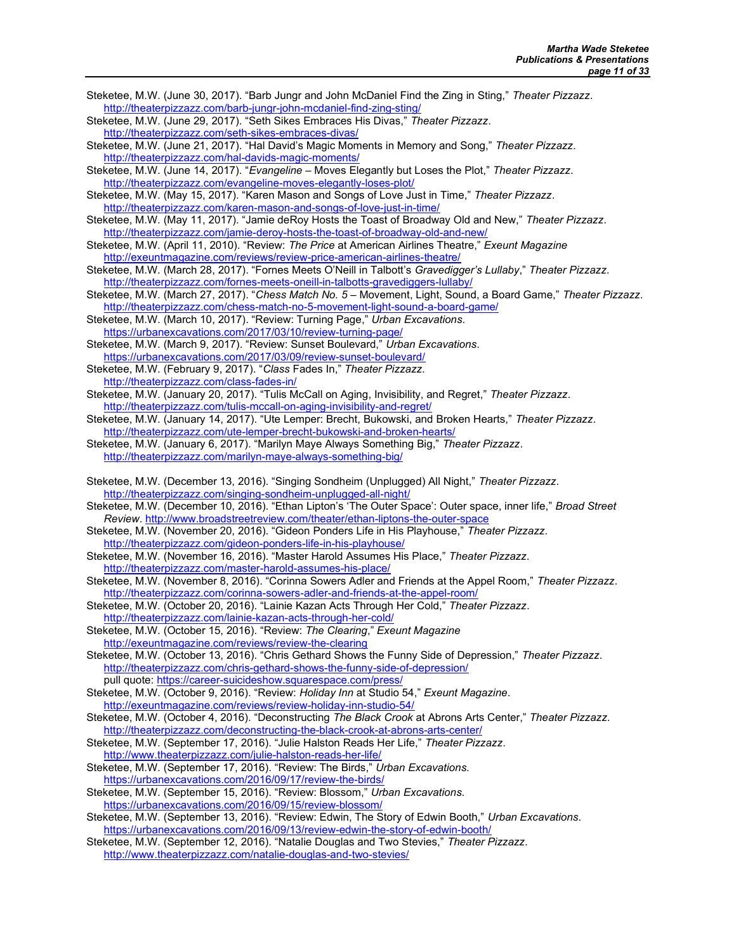- Steketee, M.W. (June 30, 2017). "Barb Jungr and John McDaniel Find the Zing in Sting," Theater Pizzazz. http://theaterpizzazz.com/barb-jungr-john-mcdaniel-find-zing-sting/
- Steketee, M.W. (June 29, 2017). "Seth Sikes Embraces His Divas," Theater Pizzazz. http://theaterpizzazz.com/seth-sikes-embraces-divas/
- Steketee, M.W. (June 21, 2017). "Hal David's Magic Moments in Memory and Song," Theater Pizzazz. http://theaterpizzazz.com/hal-davids-magic-moments/
- Steketee, M.W. (June 14, 2017). "Evangeline Moves Elegantly but Loses the Plot," Theater Pizzazz. http://theaterpizzazz.com/evangeline-moves-elegantly-loses-plot/
- Steketee, M.W. (May 15, 2017). "Karen Mason and Songs of Love Just in Time," Theater Pizzazz. http://theaterpizzazz.com/karen-mason-and-songs-of-love-just-in-time/
- Steketee, M.W. (May 11, 2017). "Jamie deRoy Hosts the Toast of Broadway Old and New," Theater Pizzazz. http://theaterpizzazz.com/jamie-deroy-hosts-the-toast-of-broadway-old-and-new/
- Steketee, M.W. (April 11, 2010). "Review: The Price at American Airlines Theatre," Exeunt Magazine http://exeuntmagazine.com/reviews/review-price-american-airlines-theatre/
- Steketee, M.W. (March 28, 2017). "Fornes Meets O'Neill in Talbott's Gravedigger's Lullaby," Theater Pizzazz. http://theaterpizzazz.com/fornes-meets-oneill-in-talbotts-gravediggers-lullaby/
- Steketee, M.W. (March 27, 2017). "Chess Match No. 5 Movement, Light, Sound, a Board Game," Theater Pizzazz. http://theaterpizzazz.com/chess-match-no-5-movement-light-sound-a-board-game/
- Steketee, M.W. (March 10, 2017). "Review: Turning Page," Urban Excavations. https://urbanexcavations.com/2017/03/10/review-turning-page/
- Steketee, M.W. (March 9, 2017). "Review: Sunset Boulevard," Urban Excavations. https://urbanexcavations.com/2017/03/09/review-sunset-boulevard/
- Steketee, M.W. (February 9, 2017). "Class Fades In," Theater Pizzazz.
- http://theaterpizzazz.com/class-fades-in/
- Steketee, M.W. (January 20, 2017). "Tulis McCall on Aging, Invisibility, and Regret," Theater Pizzazz. http://theaterpizzazz.com/tulis-mccall-on-aging-invisibility-and-regret/
- Steketee, M.W. (January 14, 2017). "Ute Lemper: Brecht, Bukowski, and Broken Hearts," Theater Pizzazz. http://theaterpizzazz.com/ute-lemper-brecht-bukowski-and-broken-hearts/
- Steketee, M.W. (January 6, 2017). "Marilyn Maye Always Something Big," Theater Pizzazz. http://theaterpizzazz.com/marilyn-maye-always-something-big/
- Steketee, M.W. (December 13, 2016). "Singing Sondheim (Unplugged) All Night," Theater Pizzazz. http://theaterpizzazz.com/singing-sondheim-unplugged-all-night/
- Steketee, M.W. (December 10, 2016). "Ethan Lipton's 'The Outer Space': Outer space, inner life," Broad Street Review. http://www.broadstreetreview.com/theater/ethan-liptons-the-outer-space
- Steketee, M.W. (November 20, 2016). "Gideon Ponders Life in His Playhouse," Theater Pizzazz. http://theaterpizzazz.com/gideon-ponders-life-in-his-playhouse/
- Steketee, M.W. (November 16, 2016). "Master Harold Assumes His Place," Theater Pizzazz. http://theaterpizzazz.com/master-harold-assumes-his-place/
- Steketee, M.W. (November 8, 2016). "Corinna Sowers Adler and Friends at the Appel Room," Theater Pizzazz. http://theaterpizzazz.com/corinna-sowers-adler-and-friends-at-the-appel-room/
- Steketee, M.W. (October 20, 2016). "Lainie Kazan Acts Through Her Cold," Theater Pizzazz. http://theaterpizzazz.com/lainie-kazan-acts-through-her-cold/
- Steketee, M.W. (October 15, 2016). "Review: The Clearing," Exeunt Magazine http://exeuntmagazine.com/reviews/review-the-clearing
- Steketee, M.W. (October 13, 2016). "Chris Gethard Shows the Funny Side of Depression," Theater Pizzazz. http://theaterpizzazz.com/chris-gethard-shows-the-funny-side-of-depression/ pull quote: https://career-suicideshow.squarespace.com/press/
- Steketee, M.W. (October 9, 2016). "Review: Holiday Inn at Studio 54," Exeunt Magazine. http://exeuntmagazine.com/reviews/review-holiday-inn-studio-54/
- Steketee, M.W. (October 4, 2016). "Deconstructing The Black Crook at Abrons Arts Center," Theater Pizzazz. http://theaterpizzazz.com/deconstructing-the-black-crook-at-abrons-arts-center/
- Steketee, M.W. (September 17, 2016). "Julie Halston Reads Her Life," Theater Pizzazz.
- http://www.theaterpizzazz.com/julie-halston-reads-her-life/ Steketee, M.W. (September 17, 2016). "Review: The Birds," Urban Excavations. https://urbanexcavations.com/2016/09/17/review-the-birds/
- Steketee, M.W. (September 15, 2016). "Review: Blossom," Urban Excavations. https://urbanexcavations.com/2016/09/15/review-blossom/
- Steketee, M.W. (September 13, 2016). "Review: Edwin, The Story of Edwin Booth," Urban Excavations. https://urbanexcavations.com/2016/09/13/review-edwin-the-story-of-edwin-booth/
- Steketee, M.W. (September 12, 2016). "Natalie Douglas and Two Stevies," Theater Pizzazz. http://www.theaterpizzazz.com/natalie-douglas-and-two-stevies/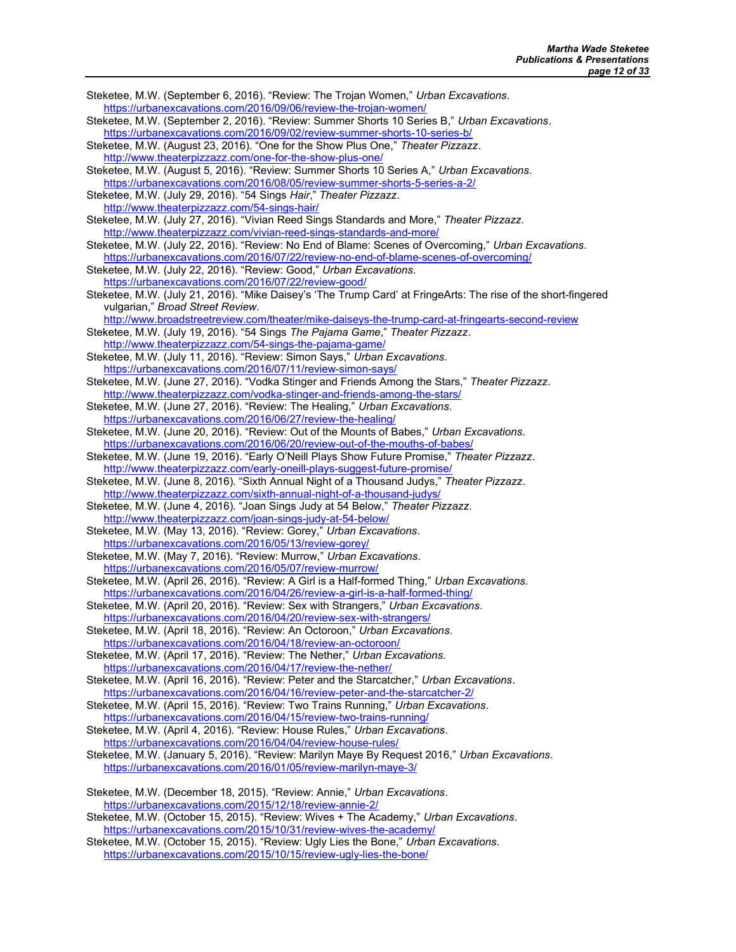Steketee, M.W. (September 6, 2016). "Review: The Trojan Women," Urban Excavations. https://urbanexcavations.com/2016/09/06/review-the-trojan-women/ Steketee, M.W. (September 2, 2016). "Review: Summer Shorts 10 Series B," Urban Excavations. https://urbanexcavations.com/2016/09/02/review-summer-shorts-10-series-b/ Steketee, M.W. (August 23, 2016). "One for the Show Plus One," Theater Pizzazz. http://www.theaterpizzazz.com/one-for-the-show-plus-one/ Steketee, M.W. (August 5, 2016). "Review: Summer Shorts 10 Series A," Urban Excavations. https://urbanexcavations.com/2016/08/05/review-summer-shorts-5-series-a-2/ Steketee, M.W. (July 29, 2016). "54 Sings Hair," Theater Pizzazz. http://www.theaterpizzazz.com/54-sings-hair/ Steketee, M.W. (July 27, 2016). "Vivian Reed Sings Standards and More," Theater Pizzazz. http://www.theaterpizzazz.com/vivian-reed-sings-standards-and-more/ Steketee, M.W. (July 22, 2016). "Review: No End of Blame: Scenes of Overcoming," Urban Excavations. https://urbanexcavations.com/2016/07/22/review-no-end-of-blame-scenes-of-overcoming/ Steketee, M.W. (July 22, 2016). "Review: Good," Urban Excavations. https://urbanexcavations.com/2016/07/22/review-good/ Steketee, M.W. (July 21, 2016). "Mike Daisey's 'The Trump Card' at FringeArts: The rise of the short-fingered vulgarian," Broad Street Review. http://www.broadstreetreview.com/theater/mike-daiseys-the-trump-card-at-fringearts-second-review Steketee, M.W. (July 19, 2016). "54 Sings The Pajama Game," Theater Pizzazz. http://www.theaterpizzazz.com/54-sings-the-pajama-game/ Steketee, M.W. (July 11, 2016). "Review: Simon Says," Urban Excavations. https://urbanexcavations.com/2016/07/11/review-simon-says/ Steketee, M.W. (June 27, 2016). "Vodka Stinger and Friends Among the Stars," Theater Pizzazz. http://www.theaterpizzazz.com/vodka-stinger-and-friends-among-the-stars/ Steketee, M.W. (June 27, 2016). "Review: The Healing," Urban Excavations. https://urbanexcavations.com/2016/06/27/review-the-healing/ Steketee, M.W. (June 20, 2016). "Review: Out of the Mounts of Babes," Urban Excavations. https://urbanexcavations.com/2016/06/20/review-out-of-the-mouths-of-babes/ Steketee, M.W. (June 19, 2016). "Early O'Neill Plays Show Future Promise," Theater Pizzazz. http://www.theaterpizzazz.com/early-oneill-plays-suggest-future-promise/ Steketee, M.W. (June 8, 2016). "Sixth Annual Night of a Thousand Judys," Theater Pizzazz. http://www.theaterpizzazz.com/sixth-annual-night-of-a-thousand-judys/ Steketee, M.W. (June 4, 2016). "Joan Sings Judy at 54 Below," Theater Pizzazz. http://www.theaterpizzazz.com/joan-sings-judy-at-54-below/ Steketee, M.W. (May 13, 2016). "Review: Gorey," Urban Excavations. https://urbanexcavations.com/2016/05/13/review-gorey/ Steketee, M.W. (May 7, 2016). "Review: Murrow," Urban Excavations. https://urbanexcavations.com/2016/05/07/review-murrow/ Steketee, M.W. (April 26, 2016). "Review: A Girl is a Half-formed Thing," Urban Excavations. https://urbanexcavations.com/2016/04/26/review-a-girl-is-a-half-formed-thing/ Steketee, M.W. (April 20, 2016). "Review: Sex with Strangers," Urban Excavations. https://urbanexcavations.com/2016/04/20/review-sex-with-strangers/ Steketee, M.W. (April 18, 2016). "Review: An Octoroon," Urban Excavations. https://urbanexcavations.com/2016/04/18/review-an-octoroon/ Steketee, M.W. (April 17, 2016). "Review: The Nether," Urban Excavations. https://urbanexcavations.com/2016/04/17/review-the-nether/ Steketee, M.W. (April 16, 2016). "Review: Peter and the Starcatcher," Urban Excavations. https://urbanexcavations.com/2016/04/16/review-peter-and-the-starcatcher-2/ Steketee, M.W. (April 15, 2016). "Review: Two Trains Running," Urban Excavations. https://urbanexcavations.com/2016/04/15/review-two-trains-running/ Steketee, M.W. (April 4, 2016). "Review: House Rules," Urban Excavations. https://urbanexcavations.com/2016/04/04/review-house-rules/ Steketee, M.W. (January 5, 2016). "Review: Marilyn Maye By Request 2016," Urban Excavations. https://urbanexcavations.com/2016/01/05/review-marilyn-maye-3/ Steketee, M.W. (December 18, 2015). "Review: Annie," Urban Excavations. https://urbanexcavations.com/2015/12/18/review-annie-2/ Steketee, M.W. (October 15, 2015). "Review: Wives + The Academy," Urban Excavations. https://urbanexcavations.com/2015/10/31/review-wives-the-academy/ Steketee, M.W. (October 15, 2015). "Review: Ugly Lies the Bone," Urban Excavations.

https://urbanexcavations.com/2015/10/15/review-ugly-lies-the-bone/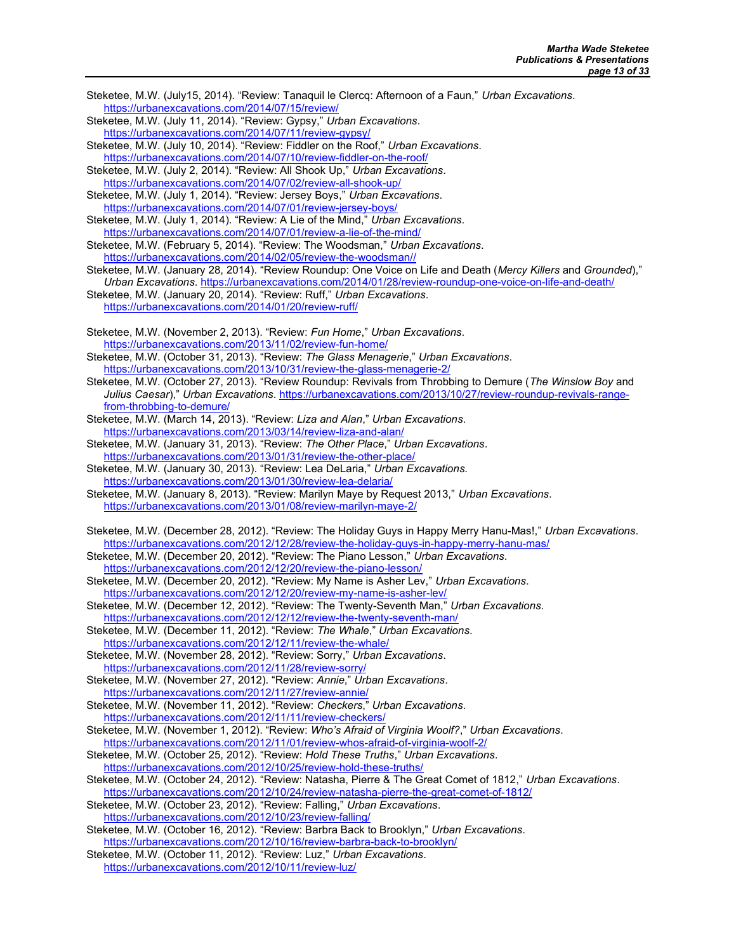- Steketee, M.W. (July15, 2014). "Review: Tanaquil le Clercq: Afternoon of a Faun," Urban Excavations. https://urbanexcavations.com/2014/07/15/review/
- Steketee, M.W. (July 11, 2014). "Review: Gypsy," Urban Excavations. https://urbanexcavations.com/2014/07/11/review-gypsy/
- Steketee, M.W. (July 10, 2014). "Review: Fiddler on the Roof," Urban Excavations.

https://urbanexcavations.com/2014/07/10/review-fiddler-on-the-roof/ Steketee, M.W. (July 2, 2014). "Review: All Shook Up," Urban Excavations. https://urbanexcavations.com/2014/07/02/review-all-shook-up/

Steketee, M.W. (July 1, 2014). "Review: Jersey Boys," Urban Excavations. https://urbanexcavations.com/2014/07/01/review-jersey-boys/

Steketee, M.W. (July 1, 2014). "Review: A Lie of the Mind," Urban Excavations. https://urbanexcavations.com/2014/07/01/review-a-lie-of-the-mind/

- Steketee, M.W. (February 5, 2014). "Review: The Woodsman," Urban Excavations. https://urbanexcavations.com/2014/02/05/review-the-woodsman//
- Steketee, M.W. (January 28, 2014). "Review Roundup: One Voice on Life and Death (Mercy Killers and Grounded),"

Urban Excavations. https://urbanexcavations.com/2014/01/28/review-roundup-one-voice-on-life-and-death/

- Steketee, M.W. (January 20, 2014). "Review: Ruff," Urban Excavations. https://urbanexcavations.com/2014/01/20/review-ruff/
- Steketee, M.W. (November 2, 2013). "Review: Fun Home," Urban Excavations. https://urbanexcavations.com/2013/11/02/review-fun-home/

Steketee, M.W. (October 31, 2013). "Review: The Glass Menagerie," Urban Excavations. https://urbanexcavations.com/2013/10/31/review-the-glass-menagerie-2/

Steketee, M.W. (October 27, 2013). "Review Roundup: Revivals from Throbbing to Demure (The Winslow Boy and Julius Caesar)," Urban Excavations. https://urbanexcavations.com/2013/10/27/review-roundup-revivals-rangefrom-throbbing-to-demure/

Steketee, M.W. (March 14, 2013). "Review: Liza and Alan," Urban Excavations. https://urbanexcavations.com/2013/03/14/review-liza-and-alan/

Steketee, M.W. (January 31, 2013). "Review: The Other Place," Urban Excavations. https://urbanexcavations.com/2013/01/31/review-the-other-place/

Steketee, M.W. (January 30, 2013). "Review: Lea DeLaria," Urban Excavations. https://urbanexcavations.com/2013/01/30/review-lea-delaria/

Steketee, M.W. (January 8, 2013). "Review: Marilyn Maye by Request 2013," Urban Excavations. https://urbanexcavations.com/2013/01/08/review-marilyn-maye-2/

Steketee, M.W. (December 28, 2012). "Review: The Holiday Guys in Happy Merry Hanu-Mas!," Urban Excavations. https://urbanexcavations.com/2012/12/28/review-the-holiday-guys-in-happy-merry-hanu-mas/

- Steketee, M.W. (December 20, 2012). "Review: The Piano Lesson," Urban Excavations. https://urbanexcavations.com/2012/12/20/review-the-piano-lesson/
- Steketee, M.W. (December 20, 2012). "Review: My Name is Asher Lev," Urban Excavations. https://urbanexcavations.com/2012/12/20/review-my-name-is-asher-lev/
- Steketee, M.W. (December 12, 2012). "Review: The Twenty-Seventh Man," Urban Excavations. https://urbanexcavations.com/2012/12/12/review-the-twenty-seventh-man/

Steketee, M.W. (December 11, 2012). "Review: The Whale," Urban Excavations.

https://urbanexcavations.com/2012/12/11/review-the-whale/

Steketee, M.W. (November 28, 2012). "Review: Sorry," Urban Excavations. https://urbanexcavations.com/2012/11/28/review-sorry/

Steketee, M.W. (November 27, 2012). "Review: Annie," Urban Excavations. https://urbanexcavations.com/2012/11/27/review-annie/

Steketee, M.W. (November 11, 2012). "Review: Checkers," Urban Excavations. https://urbanexcavations.com/2012/11/11/review-checkers/

Steketee, M.W. (November 1, 2012). "Review: Who's Afraid of Virginia Woolf?," Urban Excavations.

https://urbanexcavations.com/2012/11/01/review-whos-afraid-of-virginia-woolf-2/

Steketee, M.W. (October 25, 2012). "Review: Hold These Truths," Urban Excavations. https://urbanexcavations.com/2012/10/25/review-hold-these-truths/

Steketee, M.W. (October 24, 2012). "Review: Natasha, Pierre & The Great Comet of 1812," Urban Excavations.

https://urbanexcavations.com/2012/10/24/review-natasha-pierre-the-great-comet-of-1812/ Steketee, M.W. (October 23, 2012). "Review: Falling," Urban Excavations.

https://urbanexcavations.com/2012/10/23/review-falling/

Steketee, M.W. (October 16, 2012). "Review: Barbra Back to Brooklyn," Urban Excavations. https://urbanexcavations.com/2012/10/16/review-barbra-back-to-brooklyn/

Steketee, M.W. (October 11, 2012). "Review: Luz," Urban Excavations. https://urbanexcavations.com/2012/10/11/review-luz/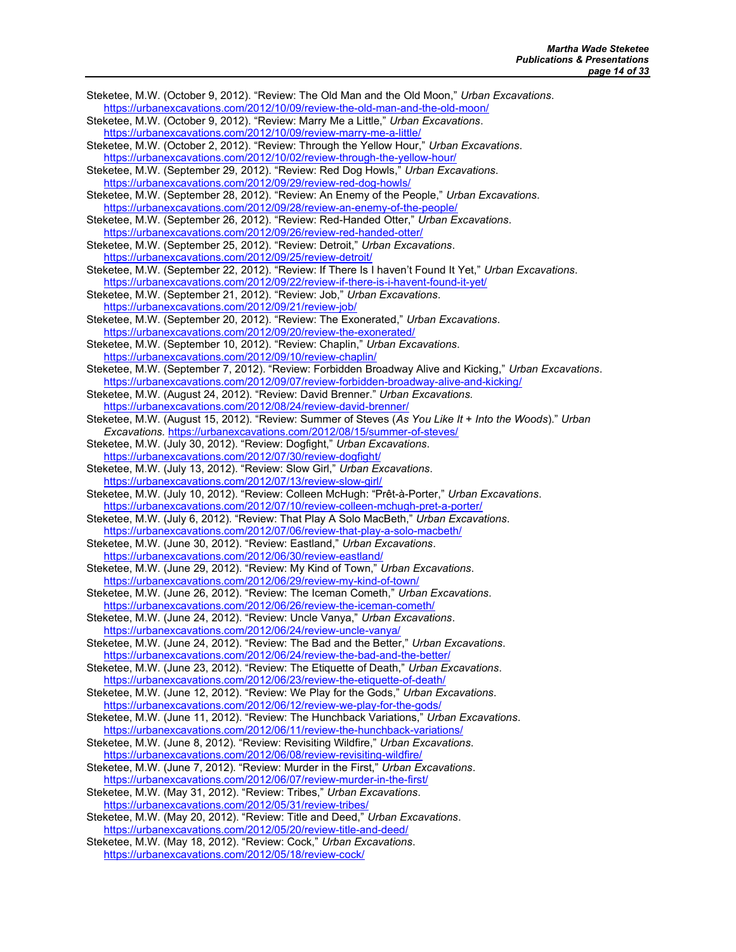Steketee, M.W. (October 9, 2012). "Review: The Old Man and the Old Moon," Urban Excavations. https://urbanexcavations.com/2012/10/09/review-the-old-man-and-the-old-moon/ Steketee, M.W. (October 9, 2012). "Review: Marry Me a Little," Urban Excavations. https://urbanexcavations.com/2012/10/09/review-marry-me-a-little/ Steketee, M.W. (October 2, 2012). "Review: Through the Yellow Hour," Urban Excavations. https://urbanexcavations.com/2012/10/02/review-through-the-yellow-hour/ Steketee, M.W. (September 29, 2012). "Review: Red Dog Howls," Urban Excavations. https://urbanexcavations.com/2012/09/29/review-red-dog-howls/ Steketee, M.W. (September 28, 2012). "Review: An Enemy of the People," Urban Excavations. https://urbanexcavations.com/2012/09/28/review-an-enemy-of-the-people/ Steketee, M.W. (September 26, 2012). "Review: Red-Handed Otter," Urban Excavations. https://urbanexcavations.com/2012/09/26/review-red-handed-otter/ Steketee, M.W. (September 25, 2012). "Review: Detroit," Urban Excavations. https://urbanexcavations.com/2012/09/25/review-detroit/ Steketee, M.W. (September 22, 2012). "Review: If There Is I haven't Found It Yet," Urban Excavations. https://urbanexcavations.com/2012/09/22/review-if-there-is-i-havent-found-it-yet/ Steketee, M.W. (September 21, 2012). "Review: Job," Urban Excavations. https://urbanexcavations.com/2012/09/21/review-job/ Steketee, M.W. (September 20, 2012). "Review: The Exonerated," Urban Excavations. https://urbanexcavations.com/2012/09/20/review-the-exonerated/ Steketee, M.W. (September 10, 2012). "Review: Chaplin," Urban Excavations. https://urbanexcavations.com/2012/09/10/review-chaplin/ Steketee, M.W. (September 7, 2012). "Review: Forbidden Broadway Alive and Kicking," Urban Excavations. https://urbanexcavations.com/2012/09/07/review-forbidden-broadway-alive-and-kicking/ Steketee, M.W. (August 24, 2012). "Review: David Brenner." Urban Excavations. https://urbanexcavations.com/2012/08/24/review-david-brenner/ Steketee, M.W. (August 15, 2012). "Review: Summer of Steves (As You Like It + Into the Woods)." Urban Excavations. https://urbanexcavations.com/2012/08/15/summer-of-steves/ Steketee, M.W. (July 30, 2012). "Review: Dogfight," Urban Excavations. https://urbanexcavations.com/2012/07/30/review-dogfight/ Steketee, M.W. (July 13, 2012). "Review: Slow Girl," Urban Excavations. https://urbanexcavations.com/2012/07/13/review-slow-girl/ Steketee, M.W. (July 10, 2012). "Review: Colleen McHugh: "Prêt-à-Porter," Urban Excavations. https://urbanexcavations.com/2012/07/10/review-colleen-mchugh-pret-a-porter/ Steketee, M.W. (July 6, 2012). "Review: That Play A Solo MacBeth," Urban Excavations. https://urbanexcavations.com/2012/07/06/review-that-play-a-solo-macbeth/ Steketee, M.W. (June 30, 2012). "Review: Eastland," Urban Excavations. https://urbanexcavations.com/2012/06/30/review-eastland/ Steketee, M.W. (June 29, 2012). "Review: My Kind of Town," Urban Excavations. https://urbanexcavations.com/2012/06/29/review-my-kind-of-town/ Steketee, M.W. (June 26, 2012). "Review: The Iceman Cometh," Urban Excavations. https://urbanexcavations.com/2012/06/26/review-the-iceman-cometh/ Steketee, M.W. (June 24, 2012). "Review: Uncle Vanya," Urban Excavations. https://urbanexcavations.com/2012/06/24/review-uncle-vanya/ Steketee, M.W. (June 24, 2012). "Review: The Bad and the Better," Urban Excavations. https://urbanexcavations.com/2012/06/24/review-the-bad-and-the-better/ Steketee, M.W. (June 23, 2012). "Review: The Etiquette of Death," Urban Excavations. https://urbanexcavations.com/2012/06/23/review-the-etiquette-of-death/ Steketee, M.W. (June 12, 2012). "Review: We Play for the Gods," Urban Excavations. https://urbanexcavations.com/2012/06/12/review-we-play-for-the-gods/ Steketee, M.W. (June 11, 2012). "Review: The Hunchback Variations," Urban Excavations. https://urbanexcavations.com/2012/06/11/review-the-hunchback-variations/ Steketee, M.W. (June 8, 2012). "Review: Revisiting Wildfire," Urban Excavations. https://urbanexcavations.com/2012/06/08/review-revisiting-wildfire/ Steketee, M.W. (June 7, 2012). "Review: Murder in the First," Urban Excavations. https://urbanexcavations.com/2012/06/07/review-murder-in-the-first/ Steketee, M.W. (May 31, 2012). "Review: Tribes," Urban Excavations. https://urbanexcavations.com/2012/05/31/review-tribes/ Steketee, M.W. (May 20, 2012). "Review: Title and Deed," Urban Excavations. https://urbanexcavations.com/2012/05/20/review-title-and-deed/ Steketee, M.W. (May 18, 2012). "Review: Cock," Urban Excavations. https://urbanexcavations.com/2012/05/18/review-cock/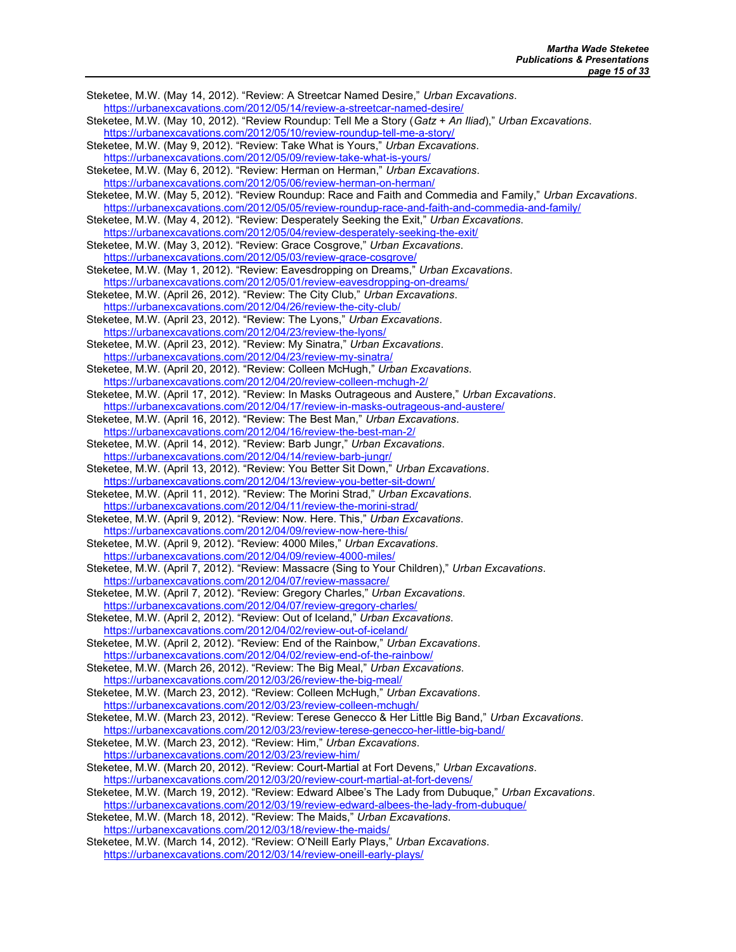Steketee, M.W. (May 14, 2012). "Review: A Streetcar Named Desire," Urban Excavations. https://urbanexcavations.com/2012/05/14/review-a-streetcar-named-desire/ Steketee, M.W. (May 10, 2012). "Review Roundup: Tell Me a Story (Gatz + An Iliad)," Urban Excavations. https://urbanexcavations.com/2012/05/10/review-roundup-tell-me-a-story/ Steketee, M.W. (May 9, 2012). "Review: Take What is Yours," Urban Excavations. https://urbanexcavations.com/2012/05/09/review-take-what-is-yours/ Steketee, M.W. (May 6, 2012). "Review: Herman on Herman," Urban Excavations. https://urbanexcavations.com/2012/05/06/review-herman-on-herman/ Steketee, M.W. (May 5, 2012). "Review Roundup: Race and Faith and Commedia and Family," Urban Excavations. https://urbanexcavations.com/2012/05/05/review-roundup-race-and-faith-and-commedia-and-family/ Steketee, M.W. (May 4, 2012). "Review: Desperately Seeking the Exit," Urban Excavations. https://urbanexcavations.com/2012/05/04/review-desperately-seeking-the-exit/ Steketee, M.W. (May 3, 2012). "Review: Grace Cosgrove," Urban Excavations. https://urbanexcavations.com/2012/05/03/review-grace-cosgrove/ Steketee, M.W. (May 1, 2012). "Review: Eavesdropping on Dreams," Urban Excavations. https://urbanexcavations.com/2012/05/01/review-eavesdropping-on-dreams/ Steketee, M.W. (April 26, 2012). "Review: The City Club," Urban Excavations. https://urbanexcavations.com/2012/04/26/review-the-city-club/ Steketee, M.W. (April 23, 2012). "Review: The Lyons," Urban Excavations. https://urbanexcavations.com/2012/04/23/review-the-lyons/ Steketee, M.W. (April 23, 2012). "Review: My Sinatra," Urban Excavations. https://urbanexcavations.com/2012/04/23/review-my-sinatra/ Steketee, M.W. (April 20, 2012). "Review: Colleen McHugh," Urban Excavations. https://urbanexcavations.com/2012/04/20/review-colleen-mchugh-2/ Steketee, M.W. (April 17, 2012). "Review: In Masks Outrageous and Austere," Urban Excavations. https://urbanexcavations.com/2012/04/17/review-in-masks-outrageous-and-austere/ Steketee, M.W. (April 16, 2012). "Review: The Best Man," Urban Excavations. https://urbanexcavations.com/2012/04/16/review-the-best-man-2/ Steketee, M.W. (April 14, 2012). "Review: Barb Jungr," Urban Excavations. https://urbanexcavations.com/2012/04/14/review-barb-jungr/ Steketee, M.W. (April 13, 2012). "Review: You Better Sit Down," Urban Excavations. https://urbanexcavations.com/2012/04/13/review-you-better-sit-down/ Steketee, M.W. (April 11, 2012). "Review: The Morini Strad," Urban Excavations. https://urbanexcavations.com/2012/04/11/review-the-morini-strad/ Steketee, M.W. (April 9, 2012). "Review: Now. Here. This," Urban Excavations. https://urbanexcavations.com/2012/04/09/review-now-here-this/ Steketee, M.W. (April 9, 2012). "Review: 4000 Miles," Urban Excavations. https://urbanexcavations.com/2012/04/09/review-4000-miles/ Steketee, M.W. (April 7, 2012). "Review: Massacre (Sing to Your Children)," Urban Excavations. https://urbanexcavations.com/2012/04/07/review-massacre/ Steketee, M.W. (April 7, 2012). "Review: Gregory Charles," Urban Excavations. https://urbanexcavations.com/2012/04/07/review-gregory-charles/ Steketee, M.W. (April 2, 2012). "Review: Out of Iceland," Urban Excavations. https://urbanexcavations.com/2012/04/02/review-out-of-iceland/ Steketee, M.W. (April 2, 2012). "Review: End of the Rainbow," Urban Excavations. https://urbanexcavations.com/2012/04/02/review-end-of-the-rainbow/ Steketee, M.W. (March 26, 2012). "Review: The Big Meal," Urban Excavations. https://urbanexcavations.com/2012/03/26/review-the-big-meal/ Steketee, M.W. (March 23, 2012). "Review: Colleen McHugh," Urban Excavations. https://urbanexcavations.com/2012/03/23/review-colleen-mchugh/ Steketee, M.W. (March 23, 2012). "Review: Terese Genecco & Her Little Big Band," Urban Excavations. https://urbanexcavations.com/2012/03/23/review-terese-genecco-her-little-big-band/ Steketee, M.W. (March 23, 2012). "Review: Him," Urban Excavations. https://urbanexcavations.com/2012/03/23/review-him/ Steketee, M.W. (March 20, 2012). "Review: Court-Martial at Fort Devens," Urban Excavations. https://urbanexcavations.com/2012/03/20/review-court-martial-at-fort-devens/ Steketee, M.W. (March 19, 2012). "Review: Edward Albee's The Lady from Dubuque," Urban Excavations. https://urbanexcavations.com/2012/03/19/review-edward-albees-the-lady-from-dubuque/ Steketee, M.W. (March 18, 2012). "Review: The Maids," Urban Excavations. https://urbanexcavations.com/2012/03/18/review-the-maids/ Steketee, M.W. (March 14, 2012). "Review: O'Neill Early Plays," Urban Excavations. https://urbanexcavations.com/2012/03/14/review-oneill-early-plays/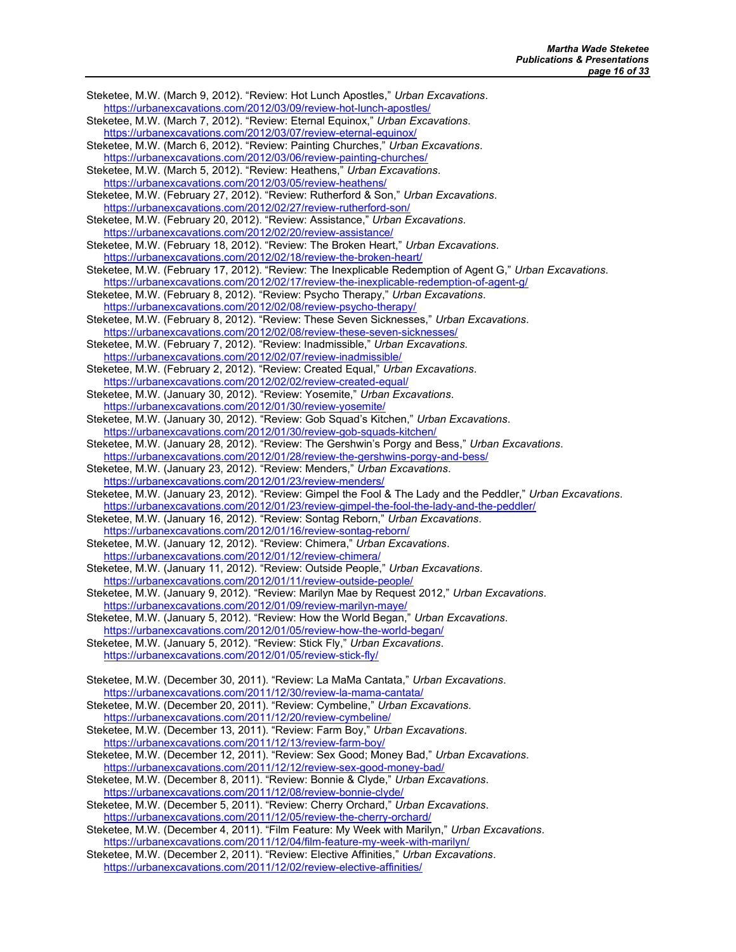Steketee, M.W. (March 9, 2012). "Review: Hot Lunch Apostles," Urban Excavations. https://urbanexcavations.com/2012/03/09/review-hot-lunch-apostles/ Steketee, M.W. (March 7, 2012). "Review: Eternal Equinox," Urban Excavations. https://urbanexcavations.com/2012/03/07/review-eternal-equinox/ Steketee, M.W. (March 6, 2012). "Review: Painting Churches," Urban Excavations. https://urbanexcavations.com/2012/03/06/review-painting-churches/ Steketee, M.W. (March 5, 2012). "Review: Heathens," Urban Excavations. https://urbanexcavations.com/2012/03/05/review-heathens/ Steketee, M.W. (February 27, 2012). "Review: Rutherford & Son," Urban Excavations. https://urbanexcavations.com/2012/02/27/review-rutherford-son/ Steketee, M.W. (February 20, 2012). "Review: Assistance," Urban Excavations. https://urbanexcavations.com/2012/02/20/review-assistance/ Steketee, M.W. (February 18, 2012). "Review: The Broken Heart," Urban Excavations. https://urbanexcavations.com/2012/02/18/review-the-broken-heart/ Steketee, M.W. (February 17, 2012). "Review: The Inexplicable Redemption of Agent G," Urban Excavations. https://urbanexcavations.com/2012/02/17/review-the-inexplicable-redemption-of-agent-g/ Steketee, M.W. (February 8, 2012). "Review: Psycho Therapy," Urban Excavations. https://urbanexcavations.com/2012/02/08/review-psycho-therapy/ Steketee, M.W. (February 8, 2012). "Review: These Seven Sicknesses," Urban Excavations. https://urbanexcavations.com/2012/02/08/review-these-seven-sicknesses/ Steketee, M.W. (February 7, 2012). "Review: Inadmissible," Urban Excavations. https://urbanexcavations.com/2012/02/07/review-inadmissible/ Steketee, M.W. (February 2, 2012). "Review: Created Equal," Urban Excavations. https://urbanexcavations.com/2012/02/02/review-created-equal/ Steketee, M.W. (January 30, 2012). "Review: Yosemite," Urban Excavations. https://urbanexcavations.com/2012/01/30/review-yosemite/ Steketee, M.W. (January 30, 2012). "Review: Gob Squad's Kitchen," Urban Excavations. https://urbanexcavations.com/2012/01/30/review-gob-squads-kitchen/ Steketee, M.W. (January 28, 2012). "Review: The Gershwin's Porgy and Bess," Urban Excavations. https://urbanexcavations.com/2012/01/28/review-the-gershwins-porgy-and-bess/ Steketee, M.W. (January 23, 2012). "Review: Menders," Urban Excavations. https://urbanexcavations.com/2012/01/23/review-menders/ Steketee, M.W. (January 23, 2012). "Review: Gimpel the Fool & The Lady and the Peddler," Urban Excavations. https://urbanexcavations.com/2012/01/23/review-gimpel-the-fool-the-lady-and-the-peddler/ Steketee, M.W. (January 16, 2012). "Review: Sontag Reborn," Urban Excavations. https://urbanexcavations.com/2012/01/16/review-sontag-reborn/ Steketee, M.W. (January 12, 2012). "Review: Chimera," Urban Excavations. https://urbanexcavations.com/2012/01/12/review-chimera/ Steketee, M.W. (January 11, 2012). "Review: Outside People," Urban Excavations. https://urbanexcavations.com/2012/01/11/review-outside-people/ Steketee, M.W. (January 9, 2012). "Review: Marilyn Mae by Request 2012," Urban Excavations. https://urbanexcavations.com/2012/01/09/review-marilyn-maye/ Steketee, M.W. (January 5, 2012). "Review: How the World Began," Urban Excavations. https://urbanexcavations.com/2012/01/05/review-how-the-world-began/ Steketee, M.W. (January 5, 2012). "Review: Stick Fly," Urban Excavations. https://urbanexcavations.com/2012/01/05/review-stick-fly/ Steketee, M.W. (December 30, 2011). "Review: La MaMa Cantata," Urban Excavations. https://urbanexcavations.com/2011/12/30/review-la-mama-cantata/ Steketee, M.W. (December 20, 2011). "Review: Cymbeline," Urban Excavations. https://urbanexcavations.com/2011/12/20/review-cymbeline/ Steketee, M.W. (December 13, 2011). "Review: Farm Boy," Urban Excavations. https://urbanexcavations.com/2011/12/13/review-farm-boy/ Steketee, M.W. (December 12, 2011). "Review: Sex Good; Money Bad," Urban Excavations. https://urbanexcavations.com/2011/12/12/review-sex-good-money-bad/ Steketee, M.W. (December 8, 2011). "Review: Bonnie & Clyde," Urban Excavations. https://urbanexcavations.com/2011/12/08/review-bonnie-clyde/ Steketee, M.W. (December 5, 2011). "Review: Cherry Orchard," Urban Excavations. https://urbanexcavations.com/2011/12/05/review-the-cherry-orchard/ Steketee, M.W. (December 4, 2011). "Film Feature: My Week with Marilyn," Urban Excavations. https://urbanexcavations.com/2011/12/04/film-feature-my-week-with-marilyn/ Steketee, M.W. (December 2, 2011). "Review: Elective Affinities," Urban Excavations. https://urbanexcavations.com/2011/12/02/review-elective-affinities/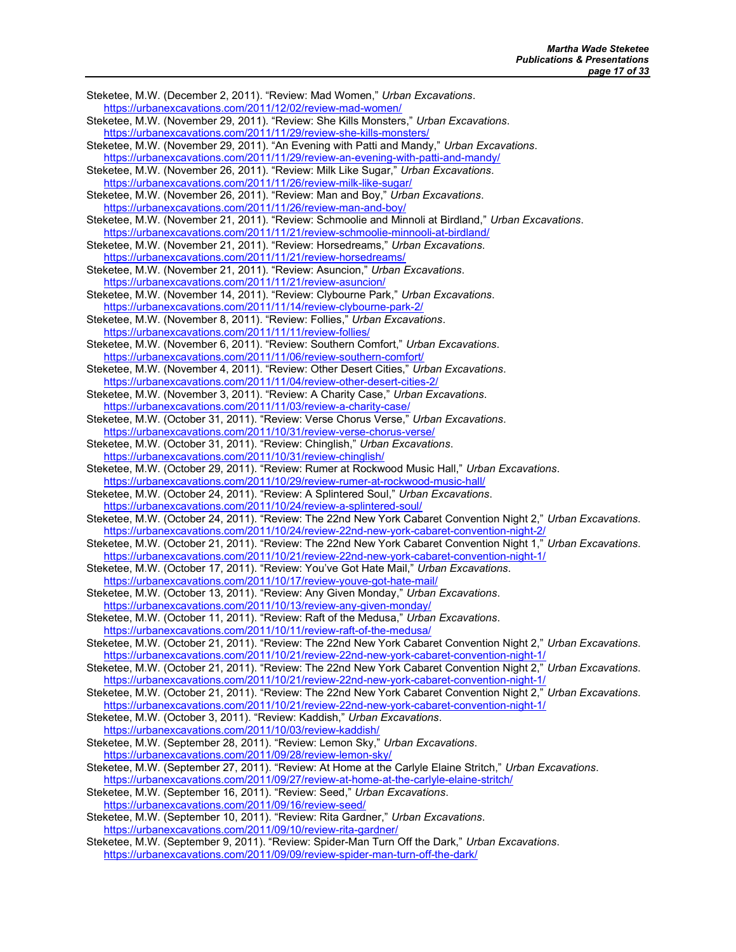Steketee, M.W. (December 2, 2011). "Review: Mad Women," Urban Excavations. https://urbanexcavations.com/2011/12/02/review-mad-women/ Steketee, M.W. (November 29, 2011). "Review: She Kills Monsters," Urban Excavations. https://urbanexcavations.com/2011/11/29/review-she-kills-monsters/ Steketee, M.W. (November 29, 2011). "An Evening with Patti and Mandy," Urban Excavations. https://urbanexcavations.com/2011/11/29/review-an-evening-with-patti-and-mandy/ Steketee, M.W. (November 26, 2011). "Review: Milk Like Sugar," Urban Excavations. https://urbanexcavations.com/2011/11/26/review-milk-like-sugar/ Steketee, M.W. (November 26, 2011). "Review: Man and Boy," Urban Excavations. https://urbanexcavations.com/2011/11/26/review-man-and-boy/ Steketee, M.W. (November 21, 2011). "Review: Schmoolie and Minnoli at Birdland," Urban Excavations. https://urbanexcavations.com/2011/11/21/review-schmoolie-minnooli-at-birdland/ Steketee, M.W. (November 21, 2011). "Review: Horsedreams," Urban Excavations. https://urbanexcavations.com/2011/11/21/review-horsedreams/ Steketee, M.W. (November 21, 2011). "Review: Asuncion," Urban Excavations. https://urbanexcavations.com/2011/11/21/review-asuncion/ Steketee, M.W. (November 14, 2011). "Review: Clybourne Park," Urban Excavations. https://urbanexcavations.com/2011/11/14/review-clybourne-park-2/ Steketee, M.W. (November 8, 2011). "Review: Follies," Urban Excavations. https://urbanexcavations.com/2011/11/11/review-follies/ Steketee, M.W. (November 6, 2011). "Review: Southern Comfort," Urban Excavations. https://urbanexcavations.com/2011/11/06/review-southern-comfort/ Steketee, M.W. (November 4, 2011). "Review: Other Desert Cities," Urban Excavations. https://urbanexcavations.com/2011/11/04/review-other-desert-cities-2/ Steketee, M.W. (November 3, 2011). "Review: A Charity Case," Urban Excavations. https://urbanexcavations.com/2011/11/03/review-a-charity-case/ Steketee, M.W. (October 31, 2011). "Review: Verse Chorus Verse," Urban Excavations. https://urbanexcavations.com/2011/10/31/review-verse-chorus-verse/ Steketee, M.W. (October 31, 2011). "Review: Chinglish," Urban Excavations. https://urbanexcavations.com/2011/10/31/review-chinglish/ Steketee, M.W. (October 29, 2011). "Review: Rumer at Rockwood Music Hall," Urban Excavations. https://urbanexcavations.com/2011/10/29/review-rumer-at-rockwood-music-hall/ Steketee, M.W. (October 24, 2011). "Review: A Splintered Soul," Urban Excavations. https://urbanexcavations.com/2011/10/24/review-a-splintered-soul/ Steketee, M.W. (October 24, 2011). "Review: The 22nd New York Cabaret Convention Night 2," Urban Excavations. https://urbanexcavations.com/2011/10/24/review-22nd-new-york-cabaret-convention-night-2/ Steketee, M.W. (October 21, 2011). "Review: The 22nd New York Cabaret Convention Night 1," Urban Excavations. https://urbanexcavations.com/2011/10/21/review-22nd-new-york-cabaret-convention-night-1/ Steketee, M.W. (October 17, 2011). "Review: You've Got Hate Mail," Urban Excavations. https://urbanexcavations.com/2011/10/17/review-youve-got-hate-mail/ Steketee, M.W. (October 13, 2011). "Review: Any Given Monday," Urban Excavations. https://urbanexcavations.com/2011/10/13/review-any-given-monday/ Steketee, M.W. (October 11, 2011). "Review: Raft of the Medusa," Urban Excavations. https://urbanexcavations.com/2011/10/11/review-raft-of-the-medusa/ Steketee, M.W. (October 21, 2011). "Review: The 22nd New York Cabaret Convention Night 2," Urban Excavations. https://urbanexcavations.com/2011/10/21/review-22nd-new-york-cabaret-convention-night-1/ Steketee, M.W. (October 21, 2011). "Review: The 22nd New York Cabaret Convention Night 2," Urban Excavations. https://urbanexcavations.com/2011/10/21/review-22nd-new-york-cabaret-convention-night-1/ Steketee, M.W. (October 21, 2011). "Review: The 22nd New York Cabaret Convention Night 2," Urban Excavations. https://urbanexcavations.com/2011/10/21/review-22nd-new-york-cabaret-convention-night-1/ Steketee, M.W. (October 3, 2011). "Review: Kaddish," Urban Excavations. https://urbanexcavations.com/2011/10/03/review-kaddish/ Steketee, M.W. (September 28, 2011). "Review: Lemon Sky," Urban Excavations. https://urbanexcavations.com/2011/09/28/review-lemon-sky/ Steketee, M.W. (September 27, 2011). "Review: At Home at the Carlyle Elaine Stritch," Urban Excavations. https://urbanexcavations.com/2011/09/27/review-at-home-at-the-carlyle-elaine-stritch/ Steketee, M.W. (September 16, 2011). "Review: Seed," Urban Excavations. https://urbanexcavations.com/2011/09/16/review-seed/ Steketee, M.W. (September 10, 2011). "Review: Rita Gardner," Urban Excavations. https://urbanexcavations.com/2011/09/10/review-rita-gardner/ Steketee, M.W. (September 9, 2011). "Review: Spider-Man Turn Off the Dark," Urban Excavations. https://urbanexcavations.com/2011/09/09/review-spider-man-turn-off-the-dark/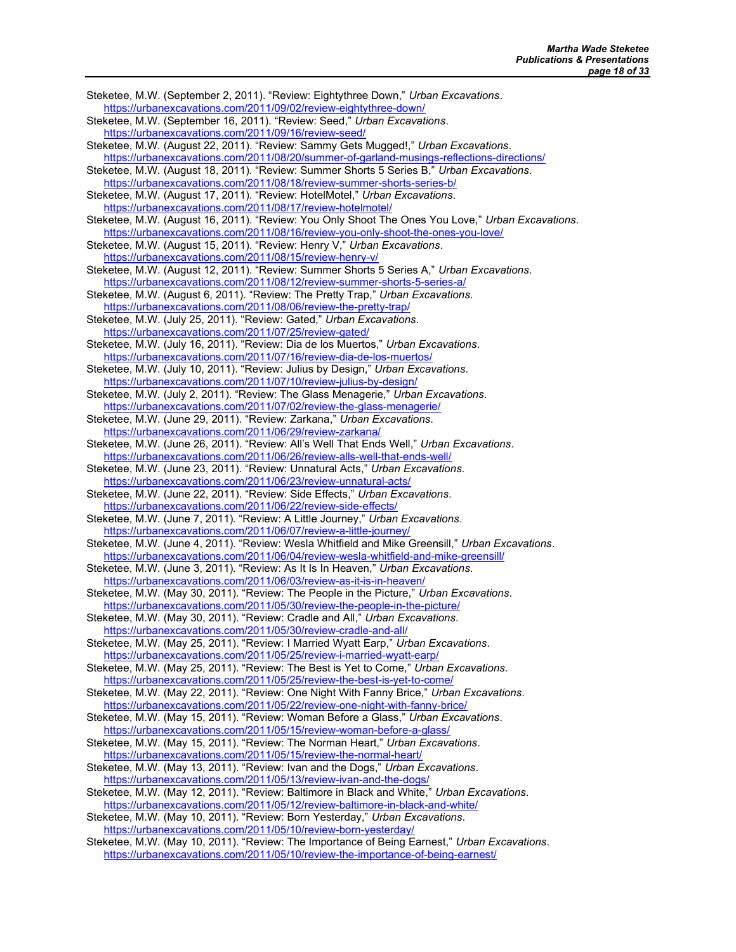Steketee, M.W. (September 2, 2011). "Review: Eightythree Down," Urban Excavations. https://urbanexcavations.com/2011/09/02/review-eightythree-down/ Steketee, M.W. (September 16, 2011). "Review: Seed," Urban Excavations. https://urbanexcavations.com/2011/09/16/review-seed/ Steketee, M.W. (August 22, 2011). "Review: Sammy Gets Mugged!," Urban Excavations. https://urbanexcavations.com/2011/08/20/summer-of-garland-musings-reflections-directions/ Steketee, M.W. (August 18, 2011). "Review: Summer Shorts 5 Series B," Urban Excavations. https://urbanexcavations.com/2011/08/18/review-summer-shorts-series-b/ Steketee, M.W. (August 17, 2011). "Review: HotelMotel," Urban Excavations. https://urbanexcavations.com/2011/08/17/review-hotelmotel/ Steketee, M.W. (August 16, 2011). "Review: You Only Shoot The Ones You Love," Urban Excavations. https://urbanexcavations.com/2011/08/16/review-you-only-shoot-the-ones-you-love/ Steketee, M.W. (August 15, 2011). "Review: Henry V," Urban Excavations. https://urbanexcavations.com/2011/08/15/review-henry-v/ Steketee, M.W. (August 12, 2011). "Review: Summer Shorts 5 Series A," Urban Excavations. https://urbanexcavations.com/2011/08/12/review-summer-shorts-5-series-a/ Steketee, M.W. (August 6, 2011). "Review: The Pretty Trap," Urban Excavations. https://urbanexcavations.com/2011/08/06/review-the-pretty-trap/ Steketee, M.W. (July 25, 2011). "Review: Gated," Urban Excavations. https://urbanexcavations.com/2011/07/25/review-gated/ Steketee, M.W. (July 16, 2011). "Review: Dia de los Muertos," Urban Excavations. https://urbanexcavations.com/2011/07/16/review-dia-de-los-muertos/ Steketee, M.W. (July 10, 2011). "Review: Julius by Design," Urban Excavations. https://urbanexcavations.com/2011/07/10/review-julius-by-design/ Steketee, M.W. (July 2, 2011). "Review: The Glass Menagerie," Urban Excavations. https://urbanexcavations.com/2011/07/02/review-the-glass-menagerie/ Steketee, M.W. (June 29, 2011). "Review: Zarkana," Urban Excavations. https://urbanexcavations.com/2011/06/29/review-zarkana/ Steketee, M.W. (June 26, 2011). "Review: All's Well That Ends Well," Urban Excavations. https://urbanexcavations.com/2011/06/26/review-alls-well-that-ends-well/ Steketee, M.W. (June 23, 2011). "Review: Unnatural Acts," Urban Excavations. https://urbanexcavations.com/2011/06/23/review-unnatural-acts/ Steketee, M.W. (June 22, 2011). "Review: Side Effects," Urban Excavations. https://urbanexcavations.com/2011/06/22/review-side-effects/ Steketee, M.W. (June 7, 2011). "Review: A Little Journey," Urban Excavations. https://urbanexcavations.com/2011/06/07/review-a-little-journey/ Steketee, M.W. (June 4, 2011). "Review: Wesla Whitfield and Mike Greensill," Urban Excavations. https://urbanexcavations.com/2011/06/04/review-wesla-whitfield-and-mike-greensill/ Steketee, M.W. (June 3, 2011). "Review: As It Is In Heaven," Urban Excavations. https://urbanexcavations.com/2011/06/03/review-as-it-is-in-heaven/ Steketee, M.W. (May 30, 2011). "Review: The People in the Picture," Urban Excavations. https://urbanexcavations.com/2011/05/30/review-the-people-in-the-picture/ Steketee, M.W. (May 30, 2011). "Review: Cradle and All," Urban Excavations. https://urbanexcavations.com/2011/05/30/review-cradle-and-all/ Steketee, M.W. (May 25, 2011). "Review: I Married Wyatt Earp," Urban Excavations. https://urbanexcavations.com/2011/05/25/review-i-married-wyatt-earp/ Steketee, M.W. (May 25, 2011). "Review: The Best is Yet to Come," Urban Excavations. https://urbanexcavations.com/2011/05/25/review-the-best-is-yet-to-come/ Steketee, M.W. (May 22, 2011). "Review: One Night With Fanny Brice," Urban Excavations. https://urbanexcavations.com/2011/05/22/review-one-night-with-fanny-brice/ Steketee, M.W. (May 15, 2011). "Review: Woman Before a Glass," Urban Excavations. https://urbanexcavations.com/2011/05/15/review-woman-before-a-glass/ Steketee, M.W. (May 15, 2011). "Review: The Norman Heart," Urban Excavations. https://urbanexcavations.com/2011/05/15/review-the-normal-heart/ Steketee, M.W. (May 13, 2011). "Review: Ivan and the Dogs," Urban Excavations. https://urbanexcavations.com/2011/05/13/review-ivan-and-the-dogs/ Steketee, M.W. (May 12, 2011). "Review: Baltimore in Black and White," Urban Excavations. https://urbanexcavations.com/2011/05/12/review-baltimore-in-black-and-white/ Steketee, M.W. (May 10, 2011). "Review: Born Yesterday," Urban Excavations. https://urbanexcavations.com/2011/05/10/review-born-yesterday/ Steketee, M.W. (May 10, 2011). "Review: The Importance of Being Earnest," Urban Excavations. https://urbanexcavations.com/2011/05/10/review-the-importance-of-being-earnest/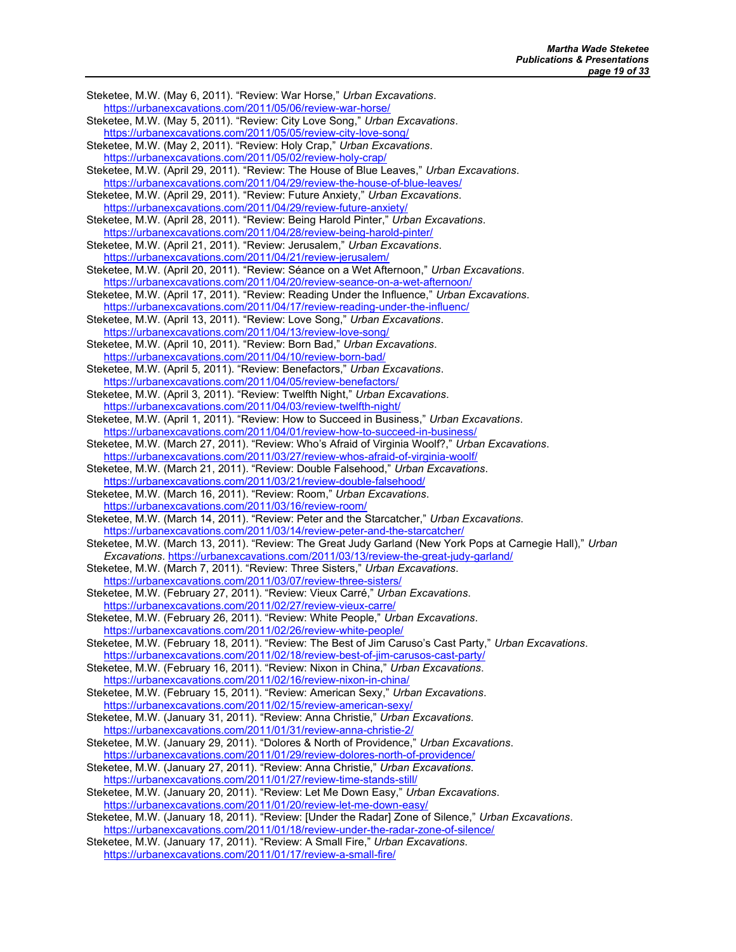Steketee, M.W. (May 6, 2011). "Review: War Horse," Urban Excavations. https://urbanexcavations.com/2011/05/06/review-war-horse/ Steketee, M.W. (May 5, 2011). "Review: City Love Song," Urban Excavations. https://urbanexcavations.com/2011/05/05/review-city-love-song/ Steketee, M.W. (May 2, 2011). "Review: Holy Crap," Urban Excavations. https://urbanexcavations.com/2011/05/02/review-holy-crap/ Steketee, M.W. (April 29, 2011). "Review: The House of Blue Leaves," Urban Excavations. https://urbanexcavations.com/2011/04/29/review-the-house-of-blue-leaves/ Steketee, M.W. (April 29, 2011). "Review: Future Anxiety," Urban Excavations. https://urbanexcavations.com/2011/04/29/review-future-anxiety/ Steketee, M.W. (April 28, 2011). "Review: Being Harold Pinter," Urban Excavations. https://urbanexcavations.com/2011/04/28/review-being-harold-pinter/ Steketee, M.W. (April 21, 2011). "Review: Jerusalem," Urban Excavations. https://urbanexcavations.com/2011/04/21/review-jerusalem/ Steketee, M.W. (April 20, 2011). "Review: Séance on a Wet Afternoon," Urban Excavations. https://urbanexcavations.com/2011/04/20/review-seance-on-a-wet-afternoon/ Steketee, M.W. (April 17, 2011). "Review: Reading Under the Influence," Urban Excavations. https://urbanexcavations.com/2011/04/17/review-reading-under-the-influenc/ Steketee, M.W. (April 13, 2011). "Review: Love Song," Urban Excavations. https://urbanexcavations.com/2011/04/13/review-love-song/ Steketee, M.W. (April 10, 2011). "Review: Born Bad," Urban Excavations. https://urbanexcavations.com/2011/04/10/review-born-bad/ Steketee, M.W. (April 5, 2011). "Review: Benefactors," Urban Excavations. https://urbanexcavations.com/2011/04/05/review-benefactors/ Steketee, M.W. (April 3, 2011). "Review: Twelfth Night," Urban Excavations. https://urbanexcavations.com/2011/04/03/review-twelfth-night/ Steketee, M.W. (April 1, 2011). "Review: How to Succeed in Business," Urban Excavations. https://urbanexcavations.com/2011/04/01/review-how-to-succeed-in-business/ Steketee, M.W. (March 27, 2011). "Review: Who's Afraid of Virginia Woolf?," Urban Excavations. https://urbanexcavations.com/2011/03/27/review-whos-afraid-of-virginia-woolf/ Steketee, M.W. (March 21, 2011). "Review: Double Falsehood," Urban Excavations. https://urbanexcavations.com/2011/03/21/review-double-falsehood/ Steketee, M.W. (March 16, 2011). "Review: Room," Urban Excavations. https://urbanexcavations.com/2011/03/16/review-room/ Steketee, M.W. (March 14, 2011). "Review: Peter and the Starcatcher," Urban Excavations. https://urbanexcavations.com/2011/03/14/review-peter-and-the-starcatcher/ Steketee, M.W. (March 13, 2011). "Review: The Great Judy Garland (New York Pops at Carnegie Hall)," Urban Excavations. https://urbanexcavations.com/2011/03/13/review-the-great-judy-garland/ Steketee, M.W. (March 7, 2011). "Review: Three Sisters," Urban Excavations. https://urbanexcavations.com/2011/03/07/review-three-sisters/ Steketee, M.W. (February 27, 2011). "Review: Vieux Carré," Urban Excavations. https://urbanexcavations.com/2011/02/27/review-vieux-carre/ Steketee, M.W. (February 26, 2011). "Review: White People," Urban Excavations. https://urbanexcavations.com/2011/02/26/review-white-people/ Steketee, M.W. (February 18, 2011). "Review: The Best of Jim Caruso's Cast Party," Urban Excavations. https://urbanexcavations.com/2011/02/18/review-best-of-jim-carusos-cast-party/ Steketee, M.W. (February 16, 2011). "Review: Nixon in China," Urban Excavations. https://urbanexcavations.com/2011/02/16/review-nixon-in-china/ Steketee, M.W. (February 15, 2011). "Review: American Sexy," Urban Excavations. https://urbanexcavations.com/2011/02/15/review-american-sexy/ Steketee, M.W. (January 31, 2011). "Review: Anna Christie," Urban Excavations. https://urbanexcavations.com/2011/01/31/review-anna-christie-2/ Steketee, M.W. (January 29, 2011). "Dolores & North of Providence," Urban Excavations. https://urbanexcavations.com/2011/01/29/review-dolores-north-of-providence/ Steketee, M.W. (January 27, 2011). "Review: Anna Christie," Urban Excavations. https://urbanexcavations.com/2011/01/27/review-time-stands-still/ Steketee, M.W. (January 20, 2011). "Review: Let Me Down Easy," Urban Excavations. https://urbanexcavations.com/2011/01/20/review-let-me-down-easy/ Steketee, M.W. (January 18, 2011). "Review: [Under the Radar] Zone of Silence," Urban Excavations. https://urbanexcavations.com/2011/01/18/review-under-the-radar-zone-of-silence/ Steketee, M.W. (January 17, 2011). "Review: A Small Fire," Urban Excavations. https://urbanexcavations.com/2011/01/17/review-a-small-fire/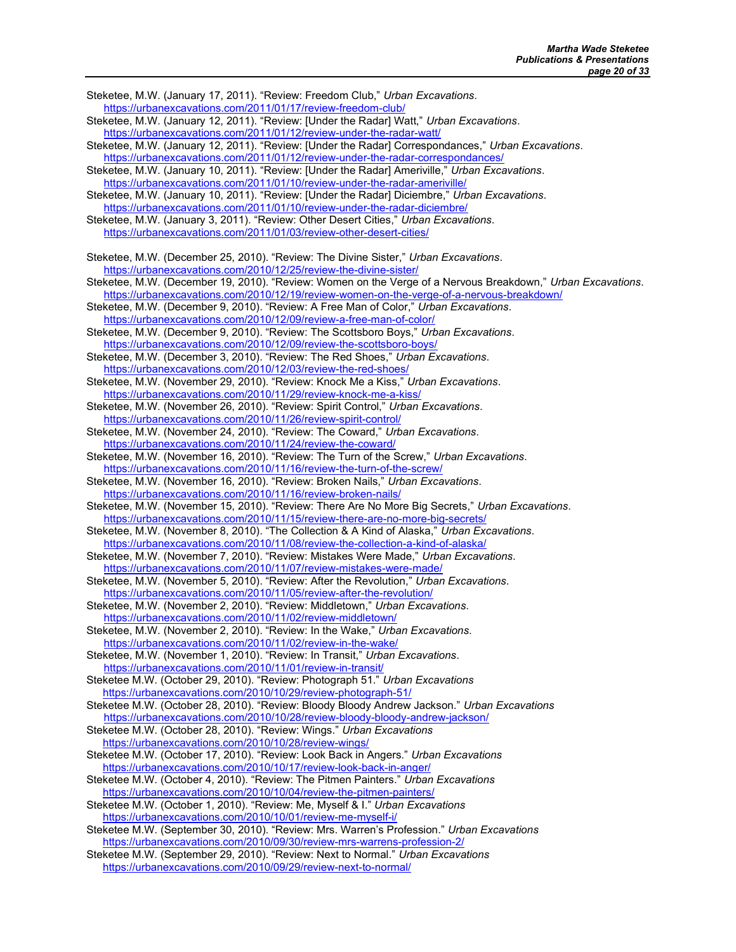Steketee, M.W. (January 17, 2011). "Review: Freedom Club," Urban Excavations. https://urbanexcavations.com/2011/01/17/review-freedom-club/ Steketee, M.W. (January 12, 2011). "Review: [Under the Radar] Watt," Urban Excavations. https://urbanexcavations.com/2011/01/12/review-under-the-radar-watt/ Steketee, M.W. (January 12, 2011). "Review: [Under the Radar] Correspondances," Urban Excavations. https://urbanexcavations.com/2011/01/12/review-under-the-radar-correspondances/ Steketee, M.W. (January 10, 2011). "Review: [Under the Radar] Ameriville," Urban Excavations. https://urbanexcavations.com/2011/01/10/review-under-the-radar-ameriville/ Steketee, M.W. (January 10, 2011). "Review: [Under the Radar] Diciembre," Urban Excavations. https://urbanexcavations.com/2011/01/10/review-under-the-radar-diciembre/ Steketee, M.W. (January 3, 2011). "Review: Other Desert Cities," Urban Excavations. https://urbanexcavations.com/2011/01/03/review-other-desert-cities/ Steketee, M.W. (December 25, 2010). "Review: The Divine Sister," Urban Excavations. https://urbanexcavations.com/2010/12/25/review-the-divine-sister/ Steketee, M.W. (December 19, 2010). "Review: Women on the Verge of a Nervous Breakdown," Urban Excavations. https://urbanexcavations.com/2010/12/19/review-women-on-the-verge-of-a-nervous-breakdown/ Steketee, M.W. (December 9, 2010). "Review: A Free Man of Color," Urban Excavations. https://urbanexcavations.com/2010/12/09/review-a-free-man-of-color/ Steketee, M.W. (December 9, 2010). "Review: The Scottsboro Boys," Urban Excavations. https://urbanexcavations.com/2010/12/09/review-the-scottsboro-boys/ Steketee, M.W. (December 3, 2010). "Review: The Red Shoes," Urban Excavations. https://urbanexcavations.com/2010/12/03/review-the-red-shoes/ Steketee, M.W. (November 29, 2010). "Review: Knock Me a Kiss," Urban Excavations. https://urbanexcavations.com/2010/11/29/review-knock-me-a-kiss/ Steketee, M.W. (November 26, 2010). "Review: Spirit Control," Urban Excavations. https://urbanexcavations.com/2010/11/26/review-spirit-control/ Steketee, M.W. (November 24, 2010). "Review: The Coward," Urban Excavations. https://urbanexcavations.com/2010/11/24/review-the-coward/ Steketee, M.W. (November 16, 2010). "Review: The Turn of the Screw," Urban Excavations. https://urbanexcavations.com/2010/11/16/review-the-turn-of-the-screw/ Steketee, M.W. (November 16, 2010). "Review: Broken Nails," Urban Excavations. https://urbanexcavations.com/2010/11/16/review-broken-nails/ Steketee, M.W. (November 15, 2010). "Review: There Are No More Big Secrets," Urban Excavations. https://urbanexcavations.com/2010/11/15/review-there-are-no-more-big-secrets/ Steketee, M.W. (November 8, 2010). "The Collection & A Kind of Alaska," Urban Excavations. https://urbanexcavations.com/2010/11/08/review-the-collection-a-kind-of-alaska/ Steketee, M.W. (November 7, 2010). "Review: Mistakes Were Made," Urban Excavations. https://urbanexcavations.com/2010/11/07/review-mistakes-were-made/ Steketee, M.W. (November 5, 2010). "Review: After the Revolution," Urban Excavations. https://urbanexcavations.com/2010/11/05/review-after-the-revolution/ Steketee, M.W. (November 2, 2010). "Review: Middletown," Urban Excavations. https://urbanexcavations.com/2010/11/02/review-middletown/ Steketee, M.W. (November 2, 2010). "Review: In the Wake," Urban Excavations. https://urbanexcavations.com/2010/11/02/review-in-the-wake/ Steketee, M.W. (November 1, 2010). "Review: In Transit," Urban Excavations. https://urbanexcavations.com/2010/11/01/review-in-transit/ Steketee M.W. (October 29, 2010). "Review: Photograph 51." Urban Excavations https://urbanexcavations.com/2010/10/29/review-photograph-51/ Steketee M.W. (October 28, 2010). "Review: Bloody Bloody Andrew Jackson." Urban Excavations https://urbanexcavations.com/2010/10/28/review-bloody-bloody-andrew-jackson/ Steketee M.W. (October 28, 2010). "Review: Wings." Urban Excavations https://urbanexcavations.com/2010/10/28/review-wings/ Steketee M.W. (October 17, 2010). "Review: Look Back in Angers." Urban Excavations https://urbanexcavations.com/2010/10/17/review-look-back-in-anger/ Steketee M.W. (October 4, 2010). "Review: The Pitmen Painters." Urban Excavations https://urbanexcavations.com/2010/10/04/review-the-pitmen-painters/ Steketee M.W. (October 1, 2010). "Review: Me, Myself & I." Urban Excavations https://urbanexcavations.com/2010/10/01/review-me-myself-i/ Steketee M.W. (September 30, 2010). "Review: Mrs. Warren's Profession." Urban Excavations https://urbanexcavations.com/2010/09/30/review-mrs-warrens-profession-2/ Steketee M.W. (September 29, 2010). "Review: Next to Normal." Urban Excavations https://urbanexcavations.com/2010/09/29/review-next-to-normal/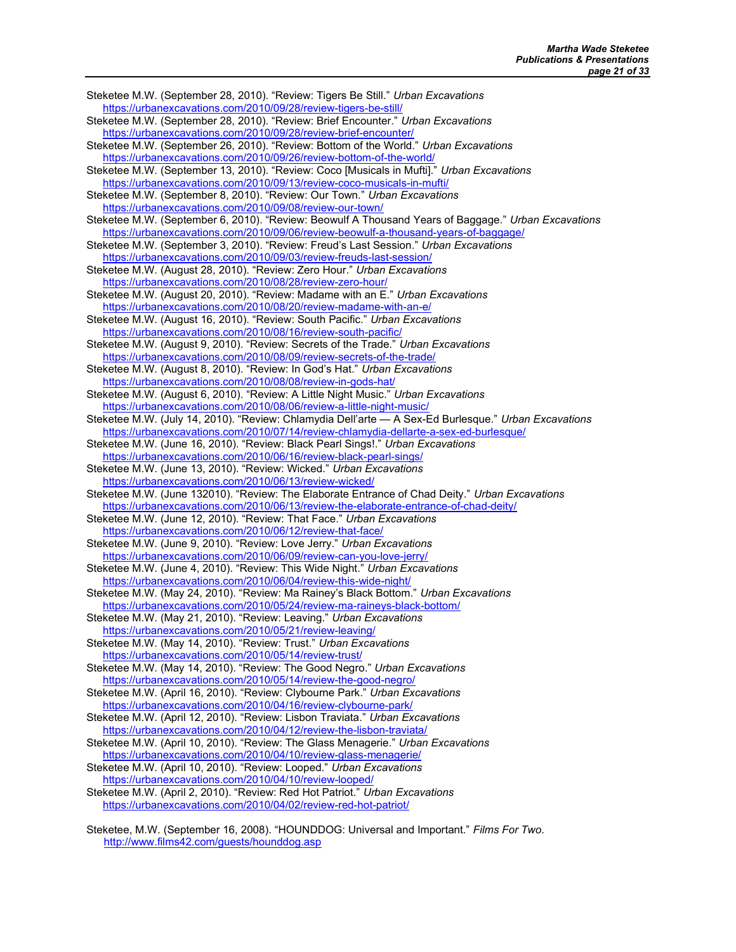Steketee M.W. (September 28, 2010). "Review: Tigers Be Still." Urban Excavations https://urbanexcavations.com/2010/09/28/review-tigers-be-still/ Steketee M.W. (September 28, 2010). "Review: Brief Encounter." Urban Excavations https://urbanexcavations.com/2010/09/28/review-brief-encounter/ Steketee M.W. (September 26, 2010). "Review: Bottom of the World." Urban Excavations https://urbanexcavations.com/2010/09/26/review-bottom-of-the-world/ Steketee M.W. (September 13, 2010). "Review: Coco [Musicals in Mufti]." Urban Excavations https://urbanexcavations.com/2010/09/13/review-coco-musicals-in-mufti/ Steketee M.W. (September 8, 2010). "Review: Our Town." Urban Excavations https://urbanexcavations.com/2010/09/08/review-our-town/ Steketee M.W. (September 6, 2010). "Review: Beowulf A Thousand Years of Baggage." Urban Excavations https://urbanexcavations.com/2010/09/06/review-beowulf-a-thousand-years-of-baggage/ Steketee M.W. (September 3, 2010). "Review: Freud's Last Session." Urban Excavations https://urbanexcavations.com/2010/09/03/review-freuds-last-session/ Steketee M.W. (August 28, 2010). "Review: Zero Hour." Urban Excavations https://urbanexcavations.com/2010/08/28/review-zero-hour/ Steketee M.W. (August 20, 2010). "Review: Madame with an E." Urban Excavations https://urbanexcavations.com/2010/08/20/review-madame-with-an-e/ Steketee M.W. (August 16, 2010). "Review: South Pacific." Urban Excavations https://urbanexcavations.com/2010/08/16/review-south-pacific/ Steketee M.W. (August 9, 2010). "Review: Secrets of the Trade." Urban Excavations https://urbanexcavations.com/2010/08/09/review-secrets-of-the-trade/ Steketee M.W. (August 8, 2010). "Review: In God's Hat." Urban Excavations https://urbanexcavations.com/2010/08/08/review-in-gods-hat/ Steketee M.W. (August 6, 2010). "Review: A Little Night Music." Urban Excavations https://urbanexcavations.com/2010/08/06/review-a-little-night-music/ Steketee M.W. (July 14, 2010). "Review: Chlamydia Dell'arte - A Sex-Ed Burlesque." Urban Excavations https://urbanexcavations.com/2010/07/14/review-chlamydia-dellarte-a-sex-ed-burlesque/ Steketee M.W. (June 16, 2010). "Review: Black Pearl Sings!." Urban Excavations https://urbanexcavations.com/2010/06/16/review-black-pearl-sings/ Steketee M.W. (June 13, 2010). "Review: Wicked." Urban Excavations https://urbanexcavations.com/2010/06/13/review-wicked/ Steketee M.W. (June 132010). "Review: The Elaborate Entrance of Chad Deity." Urban Excavations https://urbanexcavations.com/2010/06/13/review-the-elaborate-entrance-of-chad-deity/ Steketee M.W. (June 12, 2010). "Review: That Face." Urban Excavations https://urbanexcavations.com/2010/06/12/review-that-face/ Steketee M.W. (June 9, 2010). "Review: Love Jerry." Urban Excavations https://urbanexcavations.com/2010/06/09/review-can-you-love-jerry/ Steketee M.W. (June 4, 2010). "Review: This Wide Night." Urban Excavations https://urbanexcavations.com/2010/06/04/review-this-wide-night/ Steketee M.W. (May 24, 2010). "Review: Ma Rainey's Black Bottom." Urban Excavations https://urbanexcavations.com/2010/05/24/review-ma-raineys-black-bottom/ Steketee M.W. (May 21, 2010). "Review: Leaving." Urban Excavations https://urbanexcavations.com/2010/05/21/review-leaving/ Steketee M.W. (May 14, 2010). "Review: Trust." Urban Excavations https://urbanexcavations.com/2010/05/14/review-trust/ Steketee M.W. (May 14, 2010). "Review: The Good Negro." Urban Excavations https://urbanexcavations.com/2010/05/14/review-the-good-negro/ Steketee M.W. (April 16, 2010). "Review: Clybourne Park." Urban Excavations https://urbanexcavations.com/2010/04/16/review-clybourne-park/ Steketee M.W. (April 12, 2010). "Review: Lisbon Traviata." Urban Excavations https://urbanexcavations.com/2010/04/12/review-the-lisbon-traviata/ Steketee M.W. (April 10, 2010). "Review: The Glass Menagerie." Urban Excavations https://urbanexcavations.com/2010/04/10/review-glass-menagerie/ Steketee M.W. (April 10, 2010). "Review: Looped." Urban Excavations https://urbanexcavations.com/2010/04/10/review-looped/ Steketee M.W. (April 2, 2010). "Review: Red Hot Patriot." Urban Excavations https://urbanexcavations.com/2010/04/02/review-red-hot-patriot/

Steketee, M.W. (September 16, 2008). "HOUNDDOG: Universal and Important." Films For Two. http://www.films42.com/guests/hounddog.asp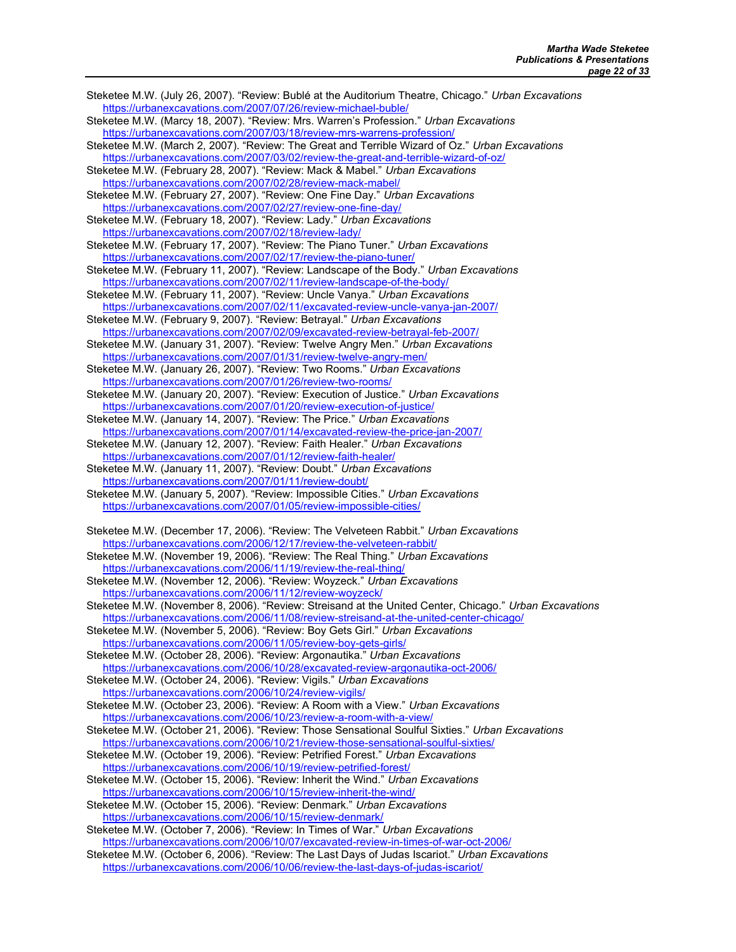Steketee M.W. (July 26, 2007). "Review: Bublé at the Auditorium Theatre, Chicago." Urban Excavations https://urbanexcavations.com/2007/07/26/review-michael-buble/ Steketee M.W. (Marcy 18, 2007). "Review: Mrs. Warren's Profession." Urban Excavations https://urbanexcavations.com/2007/03/18/review-mrs-warrens-profession/ Steketee M.W. (March 2, 2007). "Review: The Great and Terrible Wizard of Oz." Urban Excavations https://urbanexcavations.com/2007/03/02/review-the-great-and-terrible-wizard-of-oz/ Steketee M.W. (February 28, 2007). "Review: Mack & Mabel." Urban Excavations https://urbanexcavations.com/2007/02/28/review-mack-mabel/ Steketee M.W. (February 27, 2007). "Review: One Fine Day." Urban Excavations https://urbanexcavations.com/2007/02/27/review-one-fine-day/ Steketee M.W. (February 18, 2007). "Review: Lady." Urban Excavations https://urbanexcavations.com/2007/02/18/review-lady/ Steketee M.W. (February 17, 2007). "Review: The Piano Tuner." Urban Excavations https://urbanexcavations.com/2007/02/17/review-the-piano-tuner/ Steketee M.W. (February 11, 2007). "Review: Landscape of the Body." Urban Excavations https://urbanexcavations.com/2007/02/11/review-landscape-of-the-body/ Steketee M.W. (February 11, 2007). "Review: Uncle Vanya." Urban Excavations https://urbanexcavations.com/2007/02/11/excavated-review-uncle-vanya-jan-2007/ Steketee M.W. (February 9, 2007). "Review: Betrayal." Urban Excavations https://urbanexcavations.com/2007/02/09/excavated-review-betrayal-feb-2007/ Steketee M.W. (January 31, 2007). "Review: Twelve Angry Men." Urban Excavations https://urbanexcavations.com/2007/01/31/review-twelve-angry-men/ Steketee M.W. (January 26, 2007). "Review: Two Rooms." Urban Excavations https://urbanexcavations.com/2007/01/26/review-two-rooms/ Steketee M.W. (January 20, 2007). "Review: Execution of Justice." Urban Excavations https://urbanexcavations.com/2007/01/20/review-execution-of-justice/ Steketee M.W. (January 14, 2007). "Review: The Price." Urban Excavations https://urbanexcavations.com/2007/01/14/excavated-review-the-price-jan-2007/ Steketee M.W. (January 12, 2007). "Review: Faith Healer." Urban Excavations https://urbanexcavations.com/2007/01/12/review-faith-healer/ Steketee M.W. (January 11, 2007). "Review: Doubt." Urban Excavations https://urbanexcavations.com/2007/01/11/review-doubt/ Steketee M.W. (January 5, 2007). "Review: Impossible Cities." Urban Excavations https://urbanexcavations.com/2007/01/05/review-impossible-cities/ Steketee M.W. (December 17, 2006). "Review: The Velveteen Rabbit." Urban Excavations https://urbanexcavations.com/2006/12/17/review-the-velveteen-rabbit/ Steketee M.W. (November 19, 2006). "Review: The Real Thing." Urban Excavations https://urbanexcavations.com/2006/11/19/review-the-real-thing/ Steketee M.W. (November 12, 2006). "Review: Woyzeck." Urban Excavations https://urbanexcavations.com/2006/11/12/review-woyzeck/ Steketee M.W. (November 8, 2006). "Review: Streisand at the United Center, Chicago." Urban Excavations https://urbanexcavations.com/2006/11/08/review-streisand-at-the-united-center-chicago/ Steketee M.W. (November 5, 2006). "Review: Boy Gets Girl." Urban Excavations https://urbanexcavations.com/2006/11/05/review-boy-gets-girls/ Steketee M.W. (October 28, 2006). "Review: Argonautika." Urban Excavations https://urbanexcavations.com/2006/10/28/excavated-review-argonautika-oct-2006/ Steketee M.W. (October 24, 2006). "Review: Vigils." Urban Excavations https://urbanexcavations.com/2006/10/24/review-vigils/ Steketee M.W. (October 23, 2006). "Review: A Room with a View." Urban Excavations https://urbanexcavations.com/2006/10/23/review-a-room-with-a-view/ Steketee M.W. (October 21, 2006). "Review: Those Sensational Soulful Sixties." Urban Excavations https://urbanexcavations.com/2006/10/21/review-those-sensational-soulful-sixties/ Steketee M.W. (October 19, 2006). "Review: Petrified Forest." Urban Excavations https://urbanexcavations.com/2006/10/19/review-petrified-forest/ Steketee M.W. (October 15, 2006). "Review: Inherit the Wind." Urban Excavations https://urbanexcavations.com/2006/10/15/review-inherit-the-wind/ Steketee M.W. (October 15, 2006). "Review: Denmark." Urban Excavations https://urbanexcavations.com/2006/10/15/review-denmark/ Steketee M.W. (October 7, 2006). "Review: In Times of War." Urban Excavations https://urbanexcavations.com/2006/10/07/excavated-review-in-times-of-war-oct-2006/ Steketee M.W. (October 6, 2006). "Review: The Last Days of Judas Iscariot." Urban Excavations https://urbanexcavations.com/2006/10/06/review-the-last-days-of-judas-iscariot/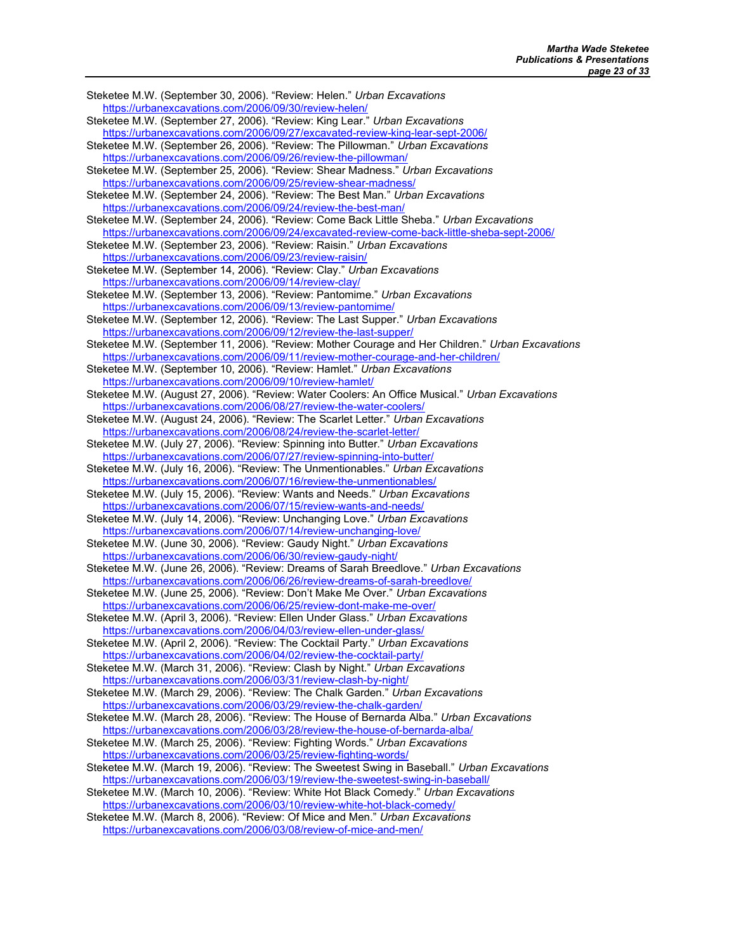Steketee M.W. (September 30, 2006). "Review: Helen." Urban Excavations https://urbanexcavations.com/2006/09/30/review-helen/ Steketee M.W. (September 27, 2006). "Review: King Lear." Urban Excavations https://urbanexcavations.com/2006/09/27/excavated-review-king-lear-sept-2006/ Steketee M.W. (September 26, 2006). "Review: The Pillowman." Urban Excavations https://urbanexcavations.com/2006/09/26/review-the-pillowman/ Steketee M.W. (September 25, 2006). "Review: Shear Madness." Urban Excavations https://urbanexcavations.com/2006/09/25/review-shear-madness/ Steketee M.W. (September 24, 2006). "Review: The Best Man." Urban Excavations https://urbanexcavations.com/2006/09/24/review-the-best-man/ Steketee M.W. (September 24, 2006). "Review: Come Back Little Sheba." Urban Excavations https://urbanexcavations.com/2006/09/24/excavated-review-come-back-little-sheba-sept-2006/ Steketee M.W. (September 23, 2006). "Review: Raisin." Urban Excavations https://urbanexcavations.com/2006/09/23/review-raisin/ Steketee M.W. (September 14, 2006). "Review: Clay." Urban Excavations https://urbanexcavations.com/2006/09/14/review-clay/ Steketee M.W. (September 13, 2006). "Review: Pantomime." Urban Excavations https://urbanexcavations.com/2006/09/13/review-pantomime/ Steketee M.W. (September 12, 2006). "Review: The Last Supper." Urban Excavations https://urbanexcavations.com/2006/09/12/review-the-last-supper/ Steketee M.W. (September 11, 2006). "Review: Mother Courage and Her Children." Urban Excavations https://urbanexcavations.com/2006/09/11/review-mother-courage-and-her-children/ Steketee M.W. (September 10, 2006). "Review: Hamlet." Urban Excavations https://urbanexcavations.com/2006/09/10/review-hamlet/ Steketee M.W. (August 27, 2006). "Review: Water Coolers: An Office Musical." Urban Excavations https://urbanexcavations.com/2006/08/27/review-the-water-coolers/ Steketee M.W. (August 24, 2006). "Review: The Scarlet Letter." Urban Excavations https://urbanexcavations.com/2006/08/24/review-the-scarlet-letter/ Steketee M.W. (July 27, 2006). "Review: Spinning into Butter." Urban Excavations https://urbanexcavations.com/2006/07/27/review-spinning-into-butter/ Steketee M.W. (July 16, 2006). "Review: The Unmentionables." Urban Excavations https://urbanexcavations.com/2006/07/16/review-the-unmentionables/ Steketee M.W. (July 15, 2006). "Review: Wants and Needs." Urban Excavations https://urbanexcavations.com/2006/07/15/review-wants-and-needs/ Steketee M.W. (July 14, 2006). "Review: Unchanging Love." Urban Excavations https://urbanexcavations.com/2006/07/14/review-unchanging-love/ Steketee M.W. (June 30, 2006). "Review: Gaudy Night." Urban Excavations https://urbanexcavations.com/2006/06/30/review-gaudy-night/ Steketee M.W. (June 26, 2006). "Review: Dreams of Sarah Breedlove." Urban Excavations https://urbanexcavations.com/2006/06/26/review-dreams-of-sarah-breedlove/ Steketee M.W. (June 25, 2006). "Review: Don't Make Me Over." Urban Excavations https://urbanexcavations.com/2006/06/25/review-dont-make-me-over/ Steketee M.W. (April 3, 2006). "Review: Ellen Under Glass." Urban Excavations https://urbanexcavations.com/2006/04/03/review-ellen-under-glass/ Steketee M.W. (April 2, 2006). "Review: The Cocktail Party." Urban Excavations https://urbanexcavations.com/2006/04/02/review-the-cocktail-party/ Steketee M.W. (March 31, 2006). "Review: Clash by Night." Urban Excavations https://urbanexcavations.com/2006/03/31/review-clash-by-night/ Steketee M.W. (March 29, 2006). "Review: The Chalk Garden." Urban Excavations https://urbanexcavations.com/2006/03/29/review-the-chalk-garden/ Steketee M.W. (March 28, 2006). "Review: The House of Bernarda Alba." Urban Excavations https://urbanexcavations.com/2006/03/28/review-the-house-of-bernarda-alba/ Steketee M.W. (March 25, 2006). "Review: Fighting Words." Urban Excavations https://urbanexcavations.com/2006/03/25/review-fighting-words/ Steketee M.W. (March 19, 2006). "Review: The Sweetest Swing in Baseball." Urban Excavations https://urbanexcavations.com/2006/03/19/review-the-sweetest-swing-in-baseball/ Steketee M.W. (March 10, 2006). "Review: White Hot Black Comedy." Urban Excavations https://urbanexcavations.com/2006/03/10/review-white-hot-black-comedy/ Steketee M.W. (March 8, 2006). "Review: Of Mice and Men." Urban Excavations https://urbanexcavations.com/2006/03/08/review-of-mice-and-men/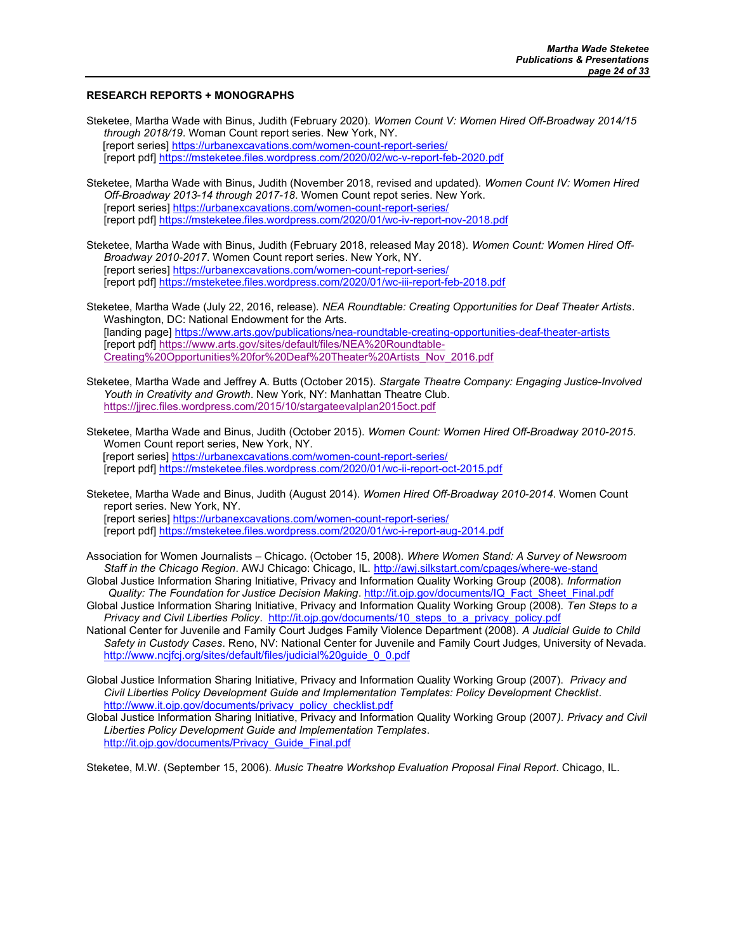## RESEARCH REPORTS + MONOGRAPHS

Steketee, Martha Wade with Binus, Judith (February 2020). Women Count V: Women Hired Off-Broadway 2014/15 through 2018/19. Woman Count report series. New York, NY. [report series] https://urbanexcavations.com/women-count-report-series/ [report pdf] https://msteketee.files.wordpress.com/2020/02/wc-v-report-feb-2020.pdf

- Steketee, Martha Wade with Binus, Judith (November 2018, revised and updated). Women Count IV: Women Hired Off-Broadway 2013-14 through 2017-18. Women Count repot series. New York. [report series] https://urbanexcavations.com/women-count-report-series/ [report pdf] https://msteketee.files.wordpress.com/2020/01/wc-iv-report-nov-2018.pdf
- Steketee, Martha Wade with Binus, Judith (February 2018, released May 2018). Women Count: Women Hired Off-Broadway 2010-2017. Women Count report series. New York, NY. [report series] https://urbanexcavations.com/women-count-report-series/ [report pdf] https://msteketee.files.wordpress.com/2020/01/wc-iii-report-feb-2018.pdf
- Steketee, Martha Wade (July 22, 2016, release). NEA Roundtable: Creating Opportunities for Deaf Theater Artists. Washington, DC: National Endowment for the Arts. [landing page] https://www.arts.gov/publications/nea-roundtable-creating-opportunities-deaf-theater-artists [report pdf] https://www.arts.gov/sites/default/files/NEA%20Roundtable-Creating%20Opportunities%20for%20Deaf%20Theater%20Artists\_Nov\_2016.pdf
- Steketee, Martha Wade and Jeffrey A. Butts (October 2015). Stargate Theatre Company: Engaging Justice-Involved Youth in Creativity and Growth. New York, NY: Manhattan Theatre Club. https://jjrec.files.wordpress.com/2015/10/stargateevalplan2015oct.pdf
- Steketee, Martha Wade and Binus, Judith (October 2015). Women Count: Women Hired Off-Broadway 2010-2015. Women Count report series, New York, NY. [report series] https://urbanexcavations.com/women-count-report-series/ [report pdf] https://msteketee.files.wordpress.com/2020/01/wc-ii-report-oct-2015.pdf
- Steketee, Martha Wade and Binus, Judith (August 2014). Women Hired Off-Broadway 2010-2014. Women Count report series. New York, NY. [report series] https://urbanexcavations.com/women-count-report-series/ [report pdf] https://msteketee.files.wordpress.com/2020/01/wc-i-report-aug-2014.pdf
- Association for Women Journalists Chicago. (October 15, 2008). Where Women Stand: A Survey of Newsroom Staff in the Chicago Region. AWJ Chicago: Chicago, IL. http://awj.silkstart.com/cpages/where-we-stand
- Global Justice Information Sharing Initiative, Privacy and Information Quality Working Group (2008). Information Quality: The Foundation for Justice Decision Making. http://it.ojp.gov/documents/IQ\_Fact\_Sheet\_Final.pdf
- Global Justice Information Sharing Initiative, Privacy and Information Quality Working Group (2008). Ten Steps to a Privacy and Civil Liberties Policy. http://it.ojp.gov/documents/10\_steps\_to\_a\_privacy\_policy.pdf
- National Center for Juvenile and Family Court Judges Family Violence Department (2008). A Judicial Guide to Child Safety in Custody Cases. Reno, NV: National Center for Juvenile and Family Court Judges, University of Nevada. http://www.ncjfcj.org/sites/default/files/judicial%20guide\_0\_0.pdf
- Global Justice Information Sharing Initiative, Privacy and Information Quality Working Group (2007). Privacy and Civil Liberties Policy Development Guide and Implementation Templates: Policy Development Checklist. http://www.it.ojp.gov/documents/privacy\_policy\_checklist.pdf
- Global Justice Information Sharing Initiative, Privacy and Information Quality Working Group (2007). Privacy and Civil Liberties Policy Development Guide and Implementation Templates. http://it.ojp.gov/documents/Privacy\_Guide\_Final.pdf

Steketee, M.W. (September 15, 2006). Music Theatre Workshop Evaluation Proposal Final Report. Chicago, IL.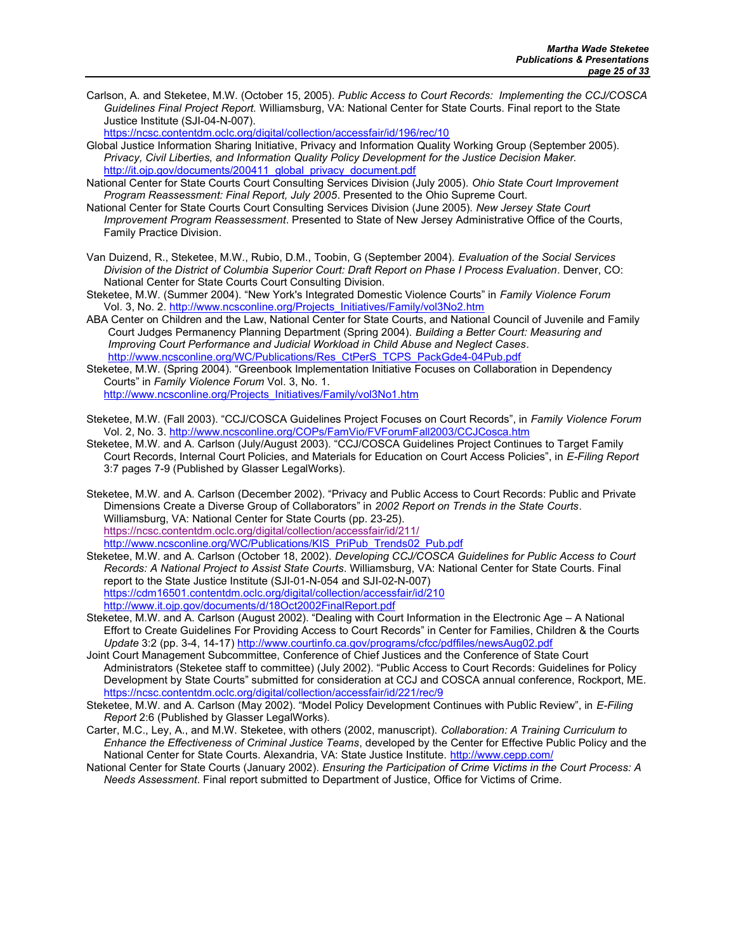Carlson, A. and Steketee, M.W. (October 15, 2005). Public Access to Court Records: Implementing the CCJ/COSCA Guidelines Final Project Report. Williamsburg, VA: National Center for State Courts. Final report to the State Justice Institute (SJI-04-N-007).

https://ncsc.contentdm.oclc.org/digital/collection/accessfair/id/196/rec/10

- Global Justice Information Sharing Initiative, Privacy and Information Quality Working Group (September 2005). Privacy, Civil Liberties, and Information Quality Policy Development for the Justice Decision Maker. http://it.ojp.gov/documents/200411\_global\_privacy\_document.pdf
- National Center for State Courts Court Consulting Services Division (July 2005). Ohio State Court Improvement Program Reassessment: Final Report, July 2005. Presented to the Ohio Supreme Court.
- National Center for State Courts Court Consulting Services Division (June 2005). New Jersey State Court Improvement Program Reassessment. Presented to State of New Jersey Administrative Office of the Courts, Family Practice Division.
- Van Duizend, R., Steketee, M.W., Rubio, D.M., Toobin, G (September 2004). Evaluation of the Social Services Division of the District of Columbia Superior Court: Draft Report on Phase I Process Evaluation. Denver, CO: National Center for State Courts Court Consulting Division.
- Steketee, M.W. (Summer 2004). "New York's Integrated Domestic Violence Courts" in Family Violence Forum Vol. 3, No. 2. http://www.ncsconline.org/Projects\_Initiatives/Family/vol3No2.htm
- ABA Center on Children and the Law, National Center for State Courts, and National Council of Juvenile and Family Court Judges Permanency Planning Department (Spring 2004). Building a Better Court: Measuring and Improving Court Performance and Judicial Workload in Child Abuse and Neglect Cases. http://www.ncsconline.org/WC/Publications/Res\_CtPerS\_TCPS\_PackGde4-04Pub.pdf
- Steketee, M.W. (Spring 2004). "Greenbook Implementation Initiative Focuses on Collaboration in Dependency Courts" in Family Violence Forum Vol. 3, No. 1. http://www.ncsconline.org/Projects\_Initiatives/Family/vol3No1.htm
- Steketee, M.W. (Fall 2003). "CCJ/COSCA Guidelines Project Focuses on Court Records", in Family Violence Forum
- Vol. 2, No. 3. http://www.ncsconline.org/COPs/FamVio/FVForumFall2003/CCJCosca.htm Steketee, M.W. and A. Carlson (July/August 2003). "CCJ/COSCA Guidelines Project Continues to Target Family Court Records, Internal Court Policies, and Materials for Education on Court Access Policies", in E-Filing Report 3:7 pages 7-9 (Published by Glasser LegalWorks).
- Steketee, M.W. and A. Carlson (December 2002). "Privacy and Public Access to Court Records: Public and Private Dimensions Create a Diverse Group of Collaborators" in 2002 Report on Trends in the State Courts. Williamsburg, VA: National Center for State Courts (pp. 23-25). https://ncsc.contentdm.oclc.org/digital/collection/accessfair/id/211/ http://www.ncsconline.org/WC/Publications/KIS\_PriPub\_Trends02\_Pub.pdf
- Steketee, M.W. and A. Carlson (October 18, 2002). Developing CCJ/COSCA Guidelines for Public Access to Court Records: A National Project to Assist State Courts. Williamsburg, VA: National Center for State Courts. Final report to the State Justice Institute (SJI-01-N-054 and SJI-02-N-007) https://cdm16501.contentdm.oclc.org/digital/collection/accessfair/id/210 http://www.it.ojp.gov/documents/d/18Oct2002FinalReport.pdf
- Steketee, M.W. and A. Carlson (August 2002). "Dealing with Court Information in the Electronic Age A National Effort to Create Guidelines For Providing Access to Court Records" in Center for Families, Children & the Courts Update 3:2 (pp. 3-4, 14-17) http://www.courtinfo.ca.gov/programs/cfcc/pdffiles/newsAug02.pdf
- Joint Court Management Subcommittee, Conference of Chief Justices and the Conference of State Court Administrators (Steketee staff to committee) (July 2002). "Public Access to Court Records: Guidelines for Policy Development by State Courts" submitted for consideration at CCJ and COSCA annual conference, Rockport, ME. https://ncsc.contentdm.oclc.org/digital/collection/accessfair/id/221/rec/9
- Steketee, M.W. and A. Carlson (May 2002). "Model Policy Development Continues with Public Review", in E-Filing Report 2:6 (Published by Glasser LegalWorks).
- Carter, M.C., Ley, A., and M.W. Steketee, with others (2002, manuscript). Collaboration: A Training Curriculum to Enhance the Effectiveness of Criminal Justice Teams, developed by the Center for Effective Public Policy and the National Center for State Courts. Alexandria, VA: State Justice Institute. http://www.cepp.com/
- National Center for State Courts (January 2002). Ensuring the Participation of Crime Victims in the Court Process: A Needs Assessment. Final report submitted to Department of Justice, Office for Victims of Crime.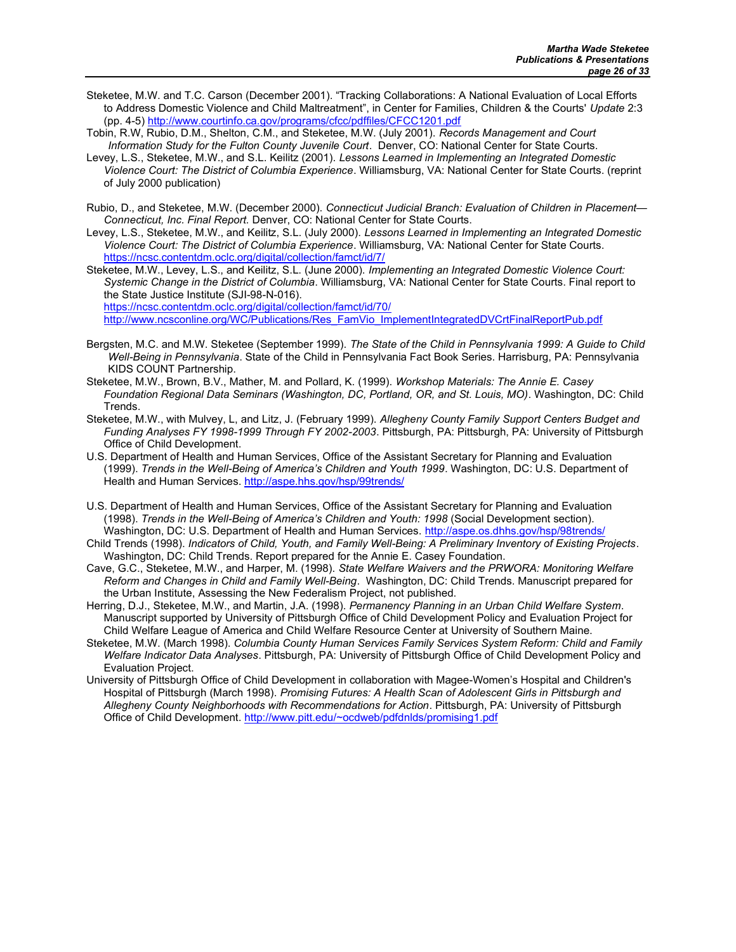- Steketee, M.W. and T.C. Carson (December 2001). "Tracking Collaborations: A National Evaluation of Local Efforts to Address Domestic Violence and Child Maltreatment", in Center for Families, Children & the Courts' Update 2:3 (pp. 4-5) http://www.courtinfo.ca.gov/programs/cfcc/pdffiles/CFCC1201.pdf
- Tobin, R.W, Rubio, D.M., Shelton, C.M., and Steketee, M.W. (July 2001). Records Management and Court Information Study for the Fulton County Juvenile Court. Denver, CO: National Center for State Courts.
- Levey, L.S., Steketee, M.W., and S.L. Keilitz (2001). Lessons Learned in Implementing an Integrated Domestic Violence Court: The District of Columbia Experience. Williamsburg, VA: National Center for State Courts. (reprint of July 2000 publication)
- Rubio, D., and Steketee, M.W. (December 2000). Connecticut Judicial Branch: Evaluation of Children in Placement— Connecticut, Inc. Final Report. Denver, CO: National Center for State Courts.
- Levey, L.S., Steketee, M.W., and Keilitz, S.L. (July 2000). Lessons Learned in Implementing an Integrated Domestic Violence Court: The District of Columbia Experience. Williamsburg, VA: National Center for State Courts. https://ncsc.contentdm.oclc.org/digital/collection/famct/id/7/
- Steketee, M.W., Levey, L.S., and Keilitz, S.L. (June 2000). Implementing an Integrated Domestic Violence Court: Systemic Change in the District of Columbia. Williamsburg, VA: National Center for State Courts. Final report to the State Justice Institute (SJI-98-N-016).

https://ncsc.contentdm.oclc.org/digital/collection/famct/id/70/

http://www.ncsconline.org/WC/Publications/Res\_FamVio\_ImplementIntegratedDVCrtFinalReportPub.pdf

- Bergsten, M.C. and M.W. Steketee (September 1999). The State of the Child in Pennsylvania 1999: A Guide to Child Well-Being in Pennsylvania. State of the Child in Pennsylvania Fact Book Series. Harrisburg, PA: Pennsylvania KIDS COUNT Partnership.
- Steketee, M.W., Brown, B.V., Mather, M. and Pollard, K. (1999). Workshop Materials: The Annie E. Casey Foundation Regional Data Seminars (Washington, DC, Portland, OR, and St. Louis, MO). Washington, DC: Child Trends.
- Steketee, M.W., with Mulvey, L. and Litz, J. (February 1999). Allegheny County Family Support Centers Budget and Funding Analyses FY 1998-1999 Through FY 2002-2003. Pittsburgh, PA: Pittsburgh, PA: University of Pittsburgh Office of Child Development.
- U.S. Department of Health and Human Services, Office of the Assistant Secretary for Planning and Evaluation (1999). Trends in the Well-Being of America's Children and Youth 1999. Washington, DC: U.S. Department of Health and Human Services. http://aspe.hhs.gov/hsp/99trends/
- U.S. Department of Health and Human Services, Office of the Assistant Secretary for Planning and Evaluation (1998). Trends in the Well-Being of America's Children and Youth: 1998 (Social Development section). Washington, DC: U.S. Department of Health and Human Services. http://aspe.os.dhhs.gov/hsp/98trends/
- Child Trends (1998). Indicators of Child, Youth, and Family Well-Being: A Preliminary Inventory of Existing Projects. Washington, DC: Child Trends. Report prepared for the Annie E. Casey Foundation.
- Cave, G.C., Steketee, M.W., and Harper, M. (1998). State Welfare Waivers and the PRWORA: Monitoring Welfare Reform and Changes in Child and Family Well-Being. Washington, DC: Child Trends. Manuscript prepared for the Urban Institute, Assessing the New Federalism Project, not published.
- Herring, D.J., Steketee, M.W., and Martin, J.A. (1998). Permanency Planning in an Urban Child Welfare System. Manuscript supported by University of Pittsburgh Office of Child Development Policy and Evaluation Project for Child Welfare League of America and Child Welfare Resource Center at University of Southern Maine.
- Steketee, M.W. (March 1998). Columbia County Human Services Family Services System Reform: Child and Family Welfare Indicator Data Analyses. Pittsburgh, PA: University of Pittsburgh Office of Child Development Policy and Evaluation Project.
- University of Pittsburgh Office of Child Development in collaboration with Magee-Women's Hospital and Children's Hospital of Pittsburgh (March 1998). Promising Futures: A Health Scan of Adolescent Girls in Pittsburgh and Allegheny County Neighborhoods with Recommendations for Action. Pittsburgh, PA: University of Pittsburgh Office of Child Development. http://www.pitt.edu/~ocdweb/pdfdnlds/promising1.pdf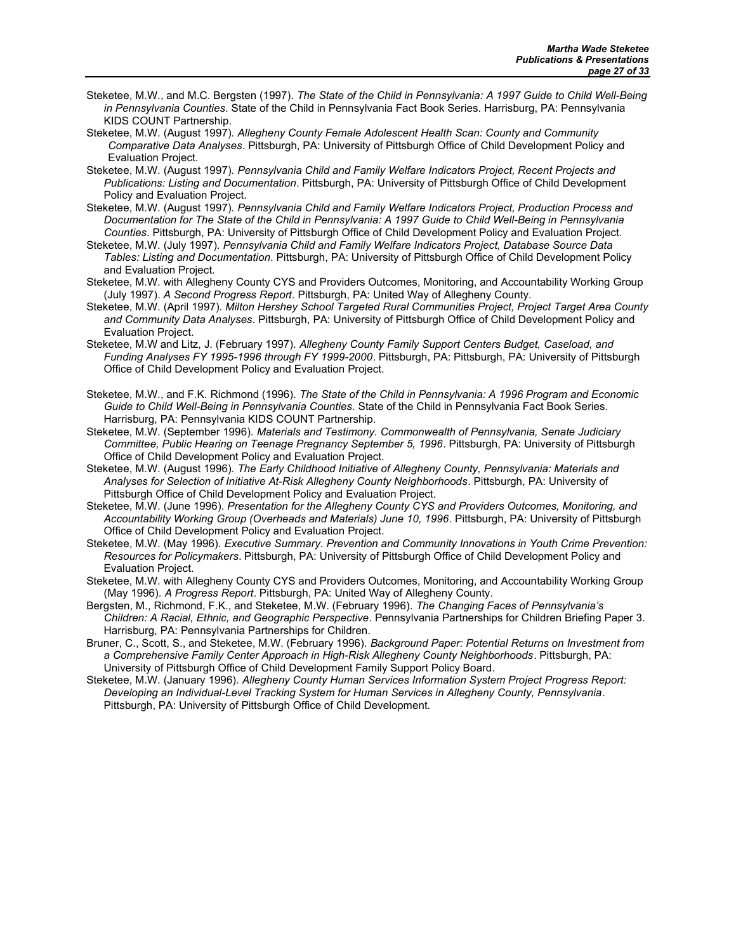- Steketee, M.W., and M.C. Bergsten (1997). The State of the Child in Pennsylvania: A 1997 Guide to Child Well-Being in Pennsylvania Counties. State of the Child in Pennsylvania Fact Book Series. Harrisburg, PA: Pennsylvania KIDS COUNT Partnership.
- Steketee, M.W. (August 1997). Allegheny County Female Adolescent Health Scan: County and Community Comparative Data Analyses. Pittsburgh, PA: University of Pittsburgh Office of Child Development Policy and Evaluation Project.
- Steketee, M.W. (August 1997). Pennsylvania Child and Family Welfare Indicators Project, Recent Projects and Publications: Listing and Documentation. Pittsburgh, PA: University of Pittsburgh Office of Child Development Policy and Evaluation Project.
- Steketee, M.W. (August 1997). Pennsylvania Child and Family Welfare Indicators Project, Production Process and Documentation for The State of the Child in Pennsylvania: A 1997 Guide to Child Well-Being in Pennsylvania Counties. Pittsburgh, PA: University of Pittsburgh Office of Child Development Policy and Evaluation Project.
- Steketee, M.W. (July 1997). Pennsylvania Child and Family Welfare Indicators Project, Database Source Data Tables: Listing and Documentation. Pittsburgh, PA: University of Pittsburgh Office of Child Development Policy and Evaluation Project.
- Steketee, M.W. with Allegheny County CYS and Providers Outcomes, Monitoring, and Accountability Working Group (July 1997). A Second Progress Report. Pittsburgh, PA: United Way of Allegheny County.
- Steketee, M.W. (April 1997). Milton Hershey School Targeted Rural Communities Project, Project Target Area County and Community Data Analyses. Pittsburgh, PA: University of Pittsburgh Office of Child Development Policy and Evaluation Project.
- Steketee, M.W and Litz, J. (February 1997). Allegheny County Family Support Centers Budget, Caseload, and Funding Analyses FY 1995-1996 through FY 1999-2000. Pittsburgh, PA: Pittsburgh, PA: University of Pittsburgh Office of Child Development Policy and Evaluation Project.
- Steketee, M.W., and F.K. Richmond (1996). The State of the Child in Pennsylvania: A 1996 Program and Economic Guide to Child Well-Being in Pennsylvania Counties. State of the Child in Pennsylvania Fact Book Series. Harrisburg, PA: Pennsylvania KIDS COUNT Partnership.
- Steketee, M.W. (September 1996). Materials and Testimony. Commonwealth of Pennsylvania, Senate Judiciary Committee, Public Hearing on Teenage Pregnancy September 5, 1996. Pittsburgh, PA: University of Pittsburgh Office of Child Development Policy and Evaluation Project.
- Steketee, M.W. (August 1996). The Early Childhood Initiative of Allegheny County, Pennsylvania: Materials and Analyses for Selection of Initiative At-Risk Allegheny County Neighborhoods. Pittsburgh, PA: University of Pittsburgh Office of Child Development Policy and Evaluation Project.
- Steketee, M.W. (June 1996). Presentation for the Allegheny County CYS and Providers Outcomes, Monitoring, and Accountability Working Group (Overheads and Materials) June 10, 1996. Pittsburgh, PA: University of Pittsburgh Office of Child Development Policy and Evaluation Project.
- Steketee, M.W. (May 1996). Executive Summary. Prevention and Community Innovations in Youth Crime Prevention: Resources for Policymakers. Pittsburgh, PA: University of Pittsburgh Office of Child Development Policy and Evaluation Project.
- Steketee, M.W. with Allegheny County CYS and Providers Outcomes, Monitoring, and Accountability Working Group (May 1996). A Progress Report. Pittsburgh, PA: United Way of Allegheny County.
- Bergsten, M., Richmond, F.K., and Steketee, M.W. (February 1996). The Changing Faces of Pennsylvania's Children: A Racial, Ethnic, and Geographic Perspective. Pennsylvania Partnerships for Children Briefing Paper 3. Harrisburg, PA: Pennsylvania Partnerships for Children.
- Bruner, C., Scott, S., and Steketee, M.W. (February 1996). Background Paper: Potential Returns on Investment from a Comprehensive Family Center Approach in High-Risk Allegheny County Neighborhoods. Pittsburgh, PA: University of Pittsburgh Office of Child Development Family Support Policy Board.
- Steketee, M.W. (January 1996). Allegheny County Human Services Information System Project Progress Report: Developing an Individual-Level Tracking System for Human Services in Allegheny County, Pennsylvania. Pittsburgh, PA: University of Pittsburgh Office of Child Development.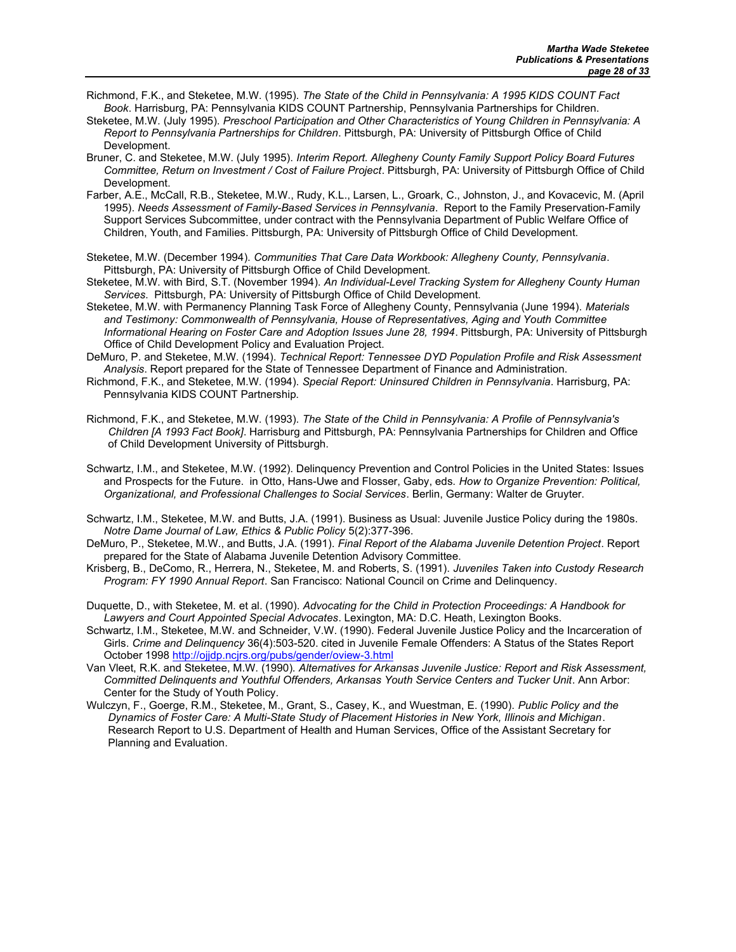- Richmond, F.K., and Steketee, M.W. (1995). The State of the Child in Pennsylvania: A 1995 KIDS COUNT Fact Book. Harrisburg, PA: Pennsylvania KIDS COUNT Partnership, Pennsylvania Partnerships for Children.
- Steketee, M.W. (July 1995). Preschool Participation and Other Characteristics of Young Children in Pennsylvania: A Report to Pennsylvania Partnerships for Children. Pittsburgh, PA: University of Pittsburgh Office of Child Development.
- Bruner, C. and Steketee, M.W. (July 1995). Interim Report. Allegheny County Family Support Policy Board Futures Committee, Return on Investment / Cost of Failure Project. Pittsburgh, PA: University of Pittsburgh Office of Child Development.
- Farber, A.E., McCall, R.B., Steketee, M.W., Rudy, K.L., Larsen, L., Groark, C., Johnston, J., and Kovacevic, M. (April 1995). Needs Assessment of Family-Based Services in Pennsylvania. Report to the Family Preservation-Family Support Services Subcommittee, under contract with the Pennsylvania Department of Public Welfare Office of Children, Youth, and Families. Pittsburgh, PA: University of Pittsburgh Office of Child Development.
- Steketee, M.W. (December 1994). Communities That Care Data Workbook: Allegheny County, Pennsylvania. Pittsburgh, PA: University of Pittsburgh Office of Child Development.
- Steketee, M.W. with Bird, S.T. (November 1994). An Individual-Level Tracking System for Allegheny County Human Services. Pittsburgh, PA: University of Pittsburgh Office of Child Development.
- Steketee, M.W. with Permanency Planning Task Force of Allegheny County, Pennsylvania (June 1994). Materials and Testimony: Commonwealth of Pennsylvania, House of Representatives, Aging and Youth Committee Informational Hearing on Foster Care and Adoption Issues June 28, 1994. Pittsburgh, PA: University of Pittsburgh Office of Child Development Policy and Evaluation Project.
- DeMuro, P. and Steketee, M.W. (1994). Technical Report: Tennessee DYD Population Profile and Risk Assessment Analysis. Report prepared for the State of Tennessee Department of Finance and Administration.
- Richmond, F.K., and Steketee, M.W. (1994). Special Report: Uninsured Children in Pennsylvania. Harrisburg, PA: Pennsylvania KIDS COUNT Partnership.
- Richmond, F.K., and Steketee, M.W. (1993). The State of the Child in Pennsylvania: A Profile of Pennsylvania's Children [A 1993 Fact Book]. Harrisburg and Pittsburgh, PA: Pennsylvania Partnerships for Children and Office of Child Development University of Pittsburgh.
- Schwartz, I.M., and Steketee, M.W. (1992). Delinquency Prevention and Control Policies in the United States: Issues and Prospects for the Future. in Otto, Hans-Uwe and Flosser, Gaby, eds. How to Organize Prevention: Political, Organizational, and Professional Challenges to Social Services. Berlin, Germany: Walter de Gruyter.
- Schwartz, I.M., Steketee, M.W. and Butts, J.A. (1991). Business as Usual: Juvenile Justice Policy during the 1980s. Notre Dame Journal of Law, Ethics & Public Policy 5(2):377-396.
- DeMuro, P., Steketee, M.W., and Butts, J.A. (1991). Final Report of the Alabama Juvenile Detention Project. Report prepared for the State of Alabama Juvenile Detention Advisory Committee.
- Krisberg, B., DeComo, R., Herrera, N., Steketee, M. and Roberts, S. (1991). Juveniles Taken into Custody Research Program: FY 1990 Annual Report. San Francisco: National Council on Crime and Delinquency.
- Duquette, D., with Steketee, M. et al. (1990). Advocating for the Child in Protection Proceedings: A Handbook for Lawyers and Court Appointed Special Advocates. Lexington, MA: D.C. Heath, Lexington Books.
- Schwartz, I.M., Steketee, M.W. and Schneider, V.W. (1990). Federal Juvenile Justice Policy and the Incarceration of Girls. Crime and Delinquency 36(4):503-520. cited in Juvenile Female Offenders: A Status of the States Report October 1998 http://ojjdp.ncjrs.org/pubs/gender/oview-3.html
- Van Vleet, R.K. and Steketee, M.W. (1990). Alternatives for Arkansas Juvenile Justice: Report and Risk Assessment, Committed Delinquents and Youthful Offenders, Arkansas Youth Service Centers and Tucker Unit. Ann Arbor: Center for the Study of Youth Policy.
- Wulczyn, F., Goerge, R.M., Steketee, M., Grant, S., Casey, K., and Wuestman, E. (1990). Public Policy and the Dynamics of Foster Care: A Multi-State Study of Placement Histories in New York, Illinois and Michigan. Research Report to U.S. Department of Health and Human Services, Office of the Assistant Secretary for Planning and Evaluation.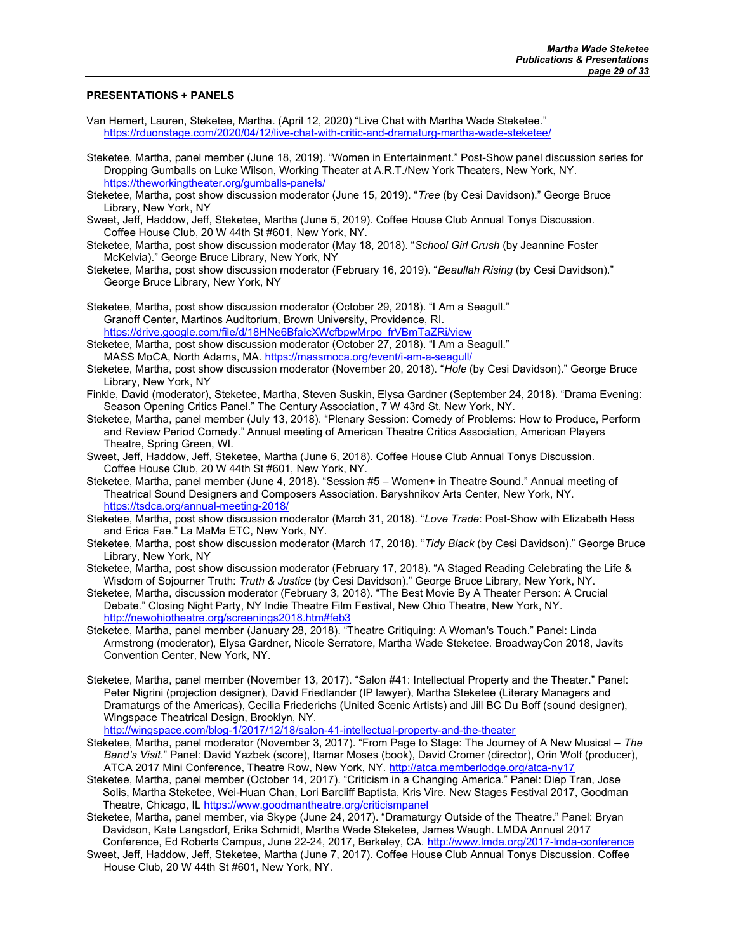### PRESENTATIONS + PANELS

- Van Hemert, Lauren, Steketee, Martha. (April 12, 2020) "Live Chat with Martha Wade Steketee." https://rduonstage.com/2020/04/12/live-chat-with-critic-and-dramaturg-martha-wade-steketee/
- Steketee, Martha, panel member (June 18, 2019). "Women in Entertainment." Post-Show panel discussion series for Dropping Gumballs on Luke Wilson, Working Theater at A.R.T./New York Theaters, New York, NY. https://theworkingtheater.org/gumballs-panels/
- Steketee, Martha, post show discussion moderator (June 15, 2019). "Tree (by Cesi Davidson)." George Bruce Library, New York, NY
- Sweet, Jeff, Haddow, Jeff, Steketee, Martha (June 5, 2019). Coffee House Club Annual Tonys Discussion. Coffee House Club, 20 W 44th St #601, New York, NY.
- Steketee, Martha, post show discussion moderator (May 18, 2018). "School Girl Crush (by Jeannine Foster McKelvia)." George Bruce Library, New York, NY
- Steketee, Martha, post show discussion moderator (February 16, 2019). "Beaullah Rising (by Cesi Davidson)." George Bruce Library, New York, NY
- Steketee, Martha, post show discussion moderator (October 29, 2018). "I Am a Seagull." Granoff Center, Martinos Auditorium, Brown University, Providence, RI. https://drive.google.com/file/d/18HNe6BfaIcXWcfbpwMrpo\_frVBmTaZRi/view

Steketee, Martha, post show discussion moderator (October 27, 2018). "I Am a Seagull." MASS MoCA, North Adams, MA. https://massmoca.org/event/i-am-a-seagull/

- Steketee, Martha, post show discussion moderator (November 20, 2018). "Hole (by Cesi Davidson)." George Bruce Library, New York, NY
- Finkle, David (moderator), Steketee, Martha, Steven Suskin, Elysa Gardner (September 24, 2018). "Drama Evening: Season Opening Critics Panel." The Century Association, 7 W 43rd St, New York, NY.
- Steketee, Martha, panel member (July 13, 2018). "Plenary Session: Comedy of Problems: How to Produce, Perform and Review Period Comedy." Annual meeting of American Theatre Critics Association, American Players Theatre, Spring Green, WI.
- Sweet, Jeff, Haddow, Jeff, Steketee, Martha (June 6, 2018). Coffee House Club Annual Tonys Discussion. Coffee House Club, 20 W 44th St #601, New York, NY.
- Steketee, Martha, panel member (June 4, 2018). "Session #5 Women+ in Theatre Sound." Annual meeting of Theatrical Sound Designers and Composers Association. Baryshnikov Arts Center, New York, NY. https://tsdca.org/annual-meeting-2018/
- Steketee, Martha, post show discussion moderator (March 31, 2018). "Love Trade: Post-Show with Elizabeth Hess and Erica Fae." La MaMa ETC, New York, NY.
- Steketee, Martha, post show discussion moderator (March 17, 2018). "Tidy Black (by Cesi Davidson)." George Bruce Library, New York, NY
- Steketee, Martha, post show discussion moderator (February 17, 2018). "A Staged Reading Celebrating the Life & Wisdom of Sojourner Truth: Truth & Justice (by Cesi Davidson)." George Bruce Library, New York, NY.
- Steketee, Martha, discussion moderator (February 3, 2018). "The Best Movie By A Theater Person: A Crucial Debate." Closing Night Party, NY Indie Theatre Film Festival, New Ohio Theatre, New York, NY. http://newohiotheatre.org/screenings2018.htm#feb3
- Steketee, Martha, panel member (January 28, 2018). "Theatre Critiquing: A Woman's Touch." Panel: Linda Armstrong (moderator), Elysa Gardner, Nicole Serratore, Martha Wade Steketee. BroadwayCon 2018, Javits Convention Center, New York, NY.
- Steketee, Martha, panel member (November 13, 2017). "Salon #41: Intellectual Property and the Theater." Panel: Peter Nigrini (projection designer), David Friedlander (IP lawyer), Martha Steketee (Literary Managers and Dramaturgs of the Americas), Cecilia Friederichs (United Scenic Artists) and Jill BC Du Boff (sound designer), Wingspace Theatrical Design, Brooklyn, NY.

http://wingspace.com/blog-1/2017/12/18/salon-41-intellectual-property-and-the-theater

- Steketee, Martha, panel moderator (November 3, 2017). "From Page to Stage: The Journey of A New Musical The Band's Visit." Panel: David Yazbek (score), Itamar Moses (book), David Cromer (director), Orin Wolf (producer), ATCA 2017 Mini Conference, Theatre Row, New York, NY. http://atca.memberlodge.org/atca-ny17
- Steketee, Martha, panel member (October 14, 2017). "Criticism in a Changing America." Panel: Diep Tran, Jose Solis, Martha Steketee, Wei-Huan Chan, Lori Barcliff Baptista, Kris Vire. New Stages Festival 2017, Goodman Theatre, Chicago, IL https://www.goodmantheatre.org/criticismpanel
- Steketee, Martha, panel member, via Skype (June 24, 2017). "Dramaturgy Outside of the Theatre." Panel: Bryan Davidson, Kate Langsdorf, Erika Schmidt, Martha Wade Steketee, James Waugh. LMDA Annual 2017
- Conference, Ed Roberts Campus, June 22-24, 2017, Berkeley, CA. http://www.lmda.org/2017-Imda-conference Sweet, Jeff, Haddow, Jeff, Steketee, Martha (June 7, 2017). Coffee House Club Annual Tonys Discussion. Coffee House Club, 20 W 44th St #601, New York, NY.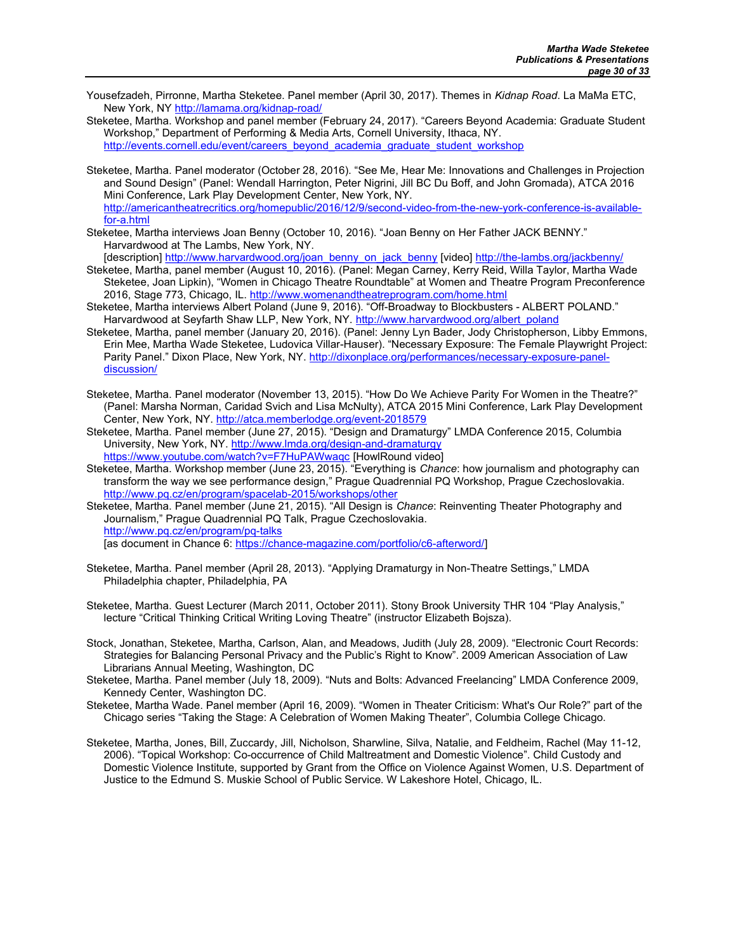Yousefzadeh, Pirronne, Martha Steketee. Panel member (April 30, 2017). Themes in Kidnap Road. La MaMa ETC. New York, NY http://lamama.org/kidnap-road/

Steketee, Martha. Workshop and panel member (February 24, 2017). "Careers Beyond Academia: Graduate Student Workshop," Department of Performing & Media Arts, Cornell University, Ithaca, NY. http://events.cornell.edu/event/careers\_beyond\_academia\_graduate\_student\_workshop

Steketee, Martha. Panel moderator (October 28, 2016). "See Me, Hear Me: Innovations and Challenges in Projection and Sound Design" (Panel: Wendall Harrington, Peter Nigrini, Jill BC Du Boff, and John Gromada), ATCA 2016 Mini Conference, Lark Play Development Center, New York, NY. http://americantheatrecritics.org/homepublic/2016/12/9/second-video-from-the-new-york-conference-is-availablefor-a.html

Steketee, Martha interviews Joan Benny (October 10, 2016). "Joan Benny on Her Father JACK BENNY." Harvardwood at The Lambs, New York, NY.

[description] http://www.harvardwood.org/joan\_benny\_on\_jack\_benny [video] http://the-lambs.org/jackbenny/

- Steketee, Martha, panel member (August 10, 2016). (Panel: Megan Carney, Kerry Reid, Willa Taylor, Martha Wade Steketee, Joan Lipkin), "Women in Chicago Theatre Roundtable" at Women and Theatre Program Preconference 2016, Stage 773, Chicago, IL. http://www.womenandtheatreprogram.com/home.html
- Steketee, Martha interviews Albert Poland (June 9, 2016). "Off-Broadway to Blockbusters ALBERT POLAND." Harvardwood at Seyfarth Shaw LLP, New York, NY. http://www.harvardwood.org/albert\_poland
- Steketee, Martha, panel member (January 20, 2016). (Panel: Jenny Lyn Bader, Jody Christopherson, Libby Emmons, Erin Mee, Martha Wade Steketee, Ludovica Villar-Hauser). "Necessary Exposure: The Female Playwright Project: Parity Panel." Dixon Place, New York, NY. http://dixonplace.org/performances/necessary-exposure-paneldiscussion/
- Steketee, Martha. Panel moderator (November 13, 2015). "How Do We Achieve Parity For Women in the Theatre?" (Panel: Marsha Norman, Caridad Svich and Lisa McNulty), ATCA 2015 Mini Conference, Lark Play Development Center, New York, NY. http://atca.memberlodge.org/event-2018579
- Steketee, Martha. Panel member (June 27, 2015). "Design and Dramaturgy" LMDA Conference 2015, Columbia University, New York, NY. http://www.lmda.org/design-and-dramaturgy https://www.youtube.com/watch?v=F7HuPAWwaqc [HowlRound video]
- Steketee, Martha. Workshop member (June 23, 2015). "Everything is Chance: how journalism and photography can transform the way we see performance design," Prague Quadrennial PQ Workshop, Prague Czechoslovakia. http://www.pq.cz/en/program/spacelab-2015/workshops/other

Steketee, Martha. Panel member (June 21, 2015). "All Design is Chance: Reinventing Theater Photography and Journalism," Prague Quadrennial PQ Talk, Prague Czechoslovakia. http://www.pq.cz/en/program/pq-talks

[as document in Chance 6: https://chance-magazine.com/portfolio/c6-afterword/]

Steketee, Martha. Panel member (April 28, 2013). "Applying Dramaturgy in Non-Theatre Settings," LMDA Philadelphia chapter, Philadelphia, PA

Steketee, Martha. Guest Lecturer (March 2011, October 2011). Stony Brook University THR 104 "Play Analysis," lecture "Critical Thinking Critical Writing Loving Theatre" (instructor Elizabeth Bojsza).

- Stock, Jonathan, Steketee, Martha, Carlson, Alan, and Meadows, Judith (July 28, 2009). "Electronic Court Records: Strategies for Balancing Personal Privacy and the Public's Right to Know". 2009 American Association of Law Librarians Annual Meeting, Washington, DC
- Steketee, Martha. Panel member (July 18, 2009). "Nuts and Bolts: Advanced Freelancing" LMDA Conference 2009, Kennedy Center, Washington DC.
- Steketee, Martha Wade. Panel member (April 16, 2009). "Women in Theater Criticism: What's Our Role?" part of the Chicago series "Taking the Stage: A Celebration of Women Making Theater", Columbia College Chicago.
- Steketee, Martha, Jones, Bill, Zuccardy, Jill, Nicholson, Sharwline, Silva, Natalie, and Feldheim, Rachel (May 11-12, 2006). "Topical Workshop: Co-occurrence of Child Maltreatment and Domestic Violence". Child Custody and Domestic Violence Institute, supported by Grant from the Office on Violence Against Women, U.S. Department of Justice to the Edmund S. Muskie School of Public Service. W Lakeshore Hotel, Chicago, IL.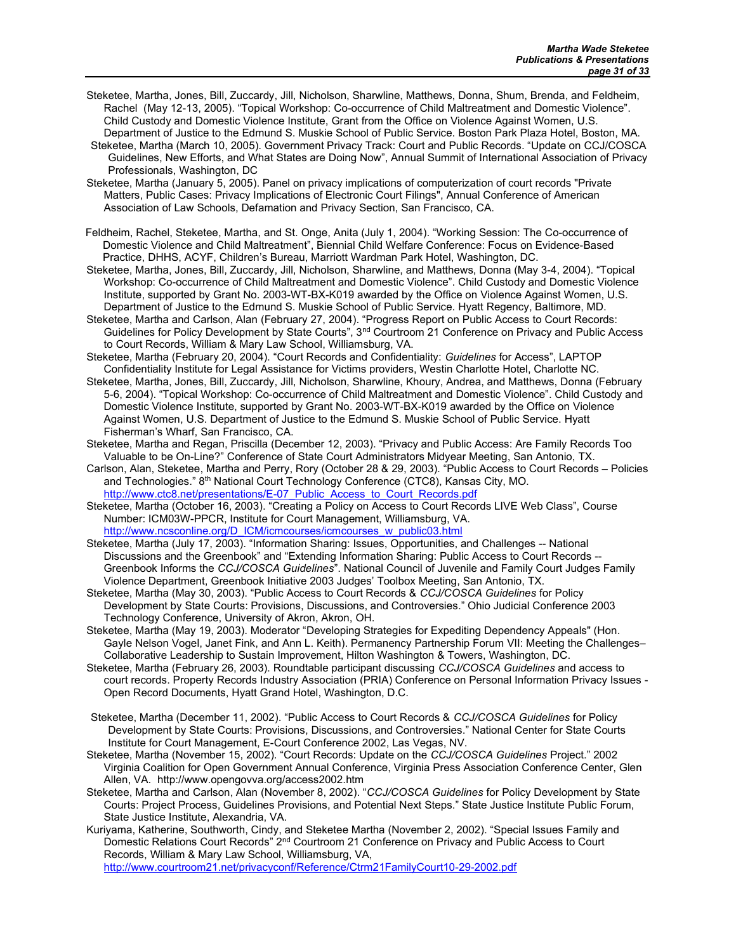- Steketee, Martha, Jones, Bill, Zuccardy, Jill, Nicholson, Sharwline, Matthews, Donna, Shum, Brenda, and Feldheim, Rachel (May 12-13, 2005). "Topical Workshop: Co-occurrence of Child Maltreatment and Domestic Violence". Child Custody and Domestic Violence Institute, Grant from the Office on Violence Against Women, U.S. Department of Justice to the Edmund S. Muskie School of Public Service. Boston Park Plaza Hotel, Boston, MA.
- Steketee, Martha (March 10, 2005). Government Privacy Track: Court and Public Records. "Update on CCJ/COSCA Guidelines, New Efforts, and What States are Doing Now", Annual Summit of International Association of Privacy Professionals, Washington, DC

Steketee, Martha (January 5, 2005). Panel on privacy implications of computerization of court records "Private Matters, Public Cases: Privacy Implications of Electronic Court Filings", Annual Conference of American Association of Law Schools, Defamation and Privacy Section, San Francisco, CA.

- Feldheim, Rachel, Steketee, Martha, and St. Onge, Anita (July 1, 2004). "Working Session: The Co-occurrence of Domestic Violence and Child Maltreatment", Biennial Child Welfare Conference: Focus on Evidence-Based Practice, DHHS, ACYF, Children's Bureau, Marriott Wardman Park Hotel, Washington, DC.
- Steketee, Martha, Jones, Bill, Zuccardy, Jill, Nicholson, Sharwline, and Matthews, Donna (May 3-4, 2004). "Topical Workshop: Co-occurrence of Child Maltreatment and Domestic Violence". Child Custody and Domestic Violence Institute, supported by Grant No. 2003-WT-BX-K019 awarded by the Office on Violence Against Women, U.S. Department of Justice to the Edmund S. Muskie School of Public Service. Hyatt Regency, Baltimore, MD.
- Steketee, Martha and Carlson, Alan (February 27, 2004). "Progress Report on Public Access to Court Records: Guidelines for Policy Development by State Courts", 3<sup>nd</sup> Courtroom 21 Conference on Privacy and Public Access to Court Records, William & Mary Law School, Williamsburg, VA.
- Steketee, Martha (February 20, 2004). "Court Records and Confidentiality: Guidelines for Access", LAPTOP Confidentiality Institute for Legal Assistance for Victims providers, Westin Charlotte Hotel, Charlotte NC.
- Steketee, Martha, Jones, Bill, Zuccardy, Jill, Nicholson, Sharwline, Khoury, Andrea, and Matthews, Donna (February 5-6, 2004). "Topical Workshop: Co-occurrence of Child Maltreatment and Domestic Violence". Child Custody and Domestic Violence Institute, supported by Grant No. 2003-WT-BX-K019 awarded by the Office on Violence Against Women, U.S. Department of Justice to the Edmund S. Muskie School of Public Service. Hyatt Fisherman's Wharf, San Francisco, CA.
- Steketee, Martha and Regan, Priscilla (December 12, 2003). "Privacy and Public Access: Are Family Records Too Valuable to be On-Line?" Conference of State Court Administrators Midyear Meeting, San Antonio, TX.
- Carlson, Alan, Steketee, Martha and Perry, Rory (October 28 & 29, 2003). "Public Access to Court Records Policies and Technologies." 8th National Court Technology Conference (CTC8), Kansas City, MO. http://www.ctc8.net/presentations/E-07\_Public\_Access\_to\_Court\_Records.pdf
- Steketee, Martha (October 16, 2003). "Creating a Policy on Access to Court Records LIVE Web Class", Course Number: ICM03W-PPCR, Institute for Court Management, Williamsburg, VA. http://www.ncsconline.org/D\_ICM/icmcourses/icmcourses\_w\_public03.html
- Steketee, Martha (July 17, 2003). "Information Sharing: Issues, Opportunities, and Challenges -- National Discussions and the Greenbook" and "Extending Information Sharing: Public Access to Court Records -- Greenbook Informs the CCJ/COSCA Guidelines". National Council of Juvenile and Family Court Judges Family Violence Department, Greenbook Initiative 2003 Judges' Toolbox Meeting, San Antonio, TX.
- Steketee, Martha (May 30, 2003). "Public Access to Court Records & CCJ/COSCA Guidelines for Policy Development by State Courts: Provisions, Discussions, and Controversies." Ohio Judicial Conference 2003 Technology Conference, University of Akron, Akron, OH.
- Steketee, Martha (May 19, 2003). Moderator "Developing Strategies for Expediting Dependency Appeals" (Hon. Gayle Nelson Vogel, Janet Fink, and Ann L. Keith). Permanency Partnership Forum VII: Meeting the Challenges– Collaborative Leadership to Sustain Improvement, Hilton Washington & Towers, Washington, DC.
- Steketee, Martha (February 26, 2003). Roundtable participant discussing CCJ/COSCA Guidelines and access to court records. Property Records Industry Association (PRIA) Conference on Personal Information Privacy Issues - Open Record Documents, Hyatt Grand Hotel, Washington, D.C.
- Steketee, Martha (December 11, 2002). "Public Access to Court Records & CCJ/COSCA Guidelines for Policy Development by State Courts: Provisions, Discussions, and Controversies." National Center for State Courts Institute for Court Management, E-Court Conference 2002, Las Vegas, NV.
- Steketee, Martha (November 15, 2002). "Court Records: Update on the CCJ/COSCA Guidelines Project." 2002 Virginia Coalition for Open Government Annual Conference, Virginia Press Association Conference Center, Glen Allen, VA. http://www.opengovva.org/access2002.htm
- Steketee, Martha and Carlson, Alan (November 8, 2002). "CCJ/COSCA Guidelines for Policy Development by State Courts: Project Process, Guidelines Provisions, and Potential Next Steps." State Justice Institute Public Forum, State Justice Institute, Alexandria, VA.
- Kuriyama, Katherine, Southworth, Cindy, and Steketee Martha (November 2, 2002). "Special Issues Family and Domestic Relations Court Records" 2nd Courtroom 21 Conference on Privacy and Public Access to Court Records, William & Mary Law School, Williamsburg, VA, http://www.courtroom21.net/privacyconf/Reference/Ctrm21FamilyCourt10-29-2002.pdf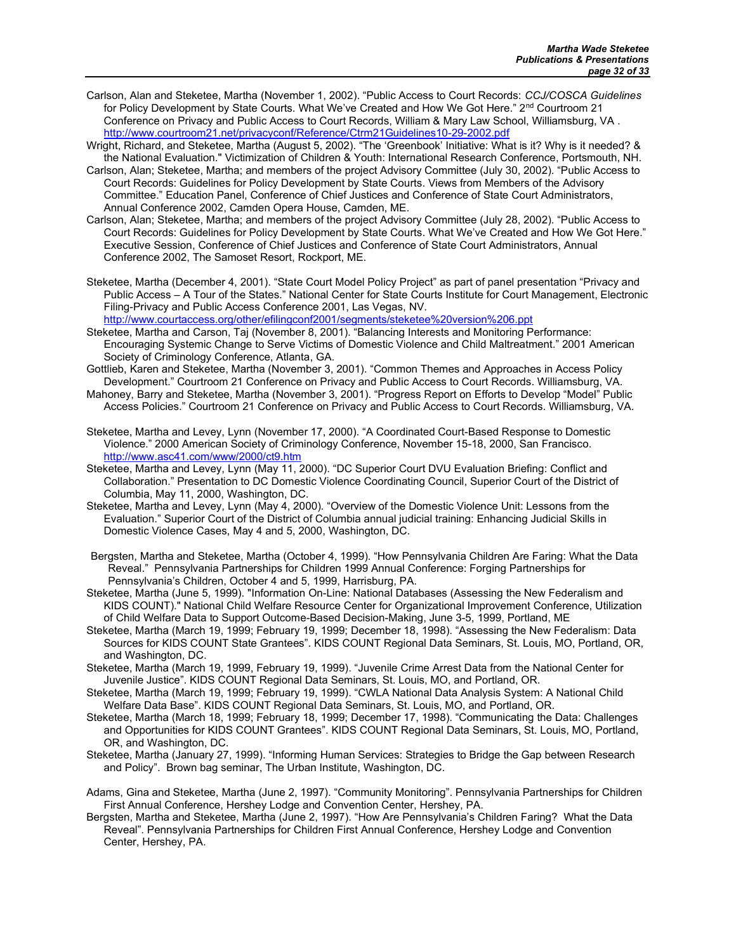- Carlson, Alan and Steketee, Martha (November 1, 2002). "Public Access to Court Records: CCJ/COSCA Guidelines for Policy Development by State Courts. What We've Created and How We Got Here." 2<sup>nd</sup> Courtroom 21 Conference on Privacy and Public Access to Court Records, William & Mary Law School, Williamsburg, VA . http://www.courtroom21.net/privacyconf/Reference/Ctrm21Guidelines10-29-2002.pdf
- Wright, Richard, and Steketee, Martha (August 5, 2002). "The 'Greenbook' Initiative: What is it? Why is it needed? & the National Evaluation." Victimization of Children & Youth: International Research Conference, Portsmouth, NH.
- Carlson, Alan; Steketee, Martha; and members of the project Advisory Committee (July 30, 2002). "Public Access to Court Records: Guidelines for Policy Development by State Courts. Views from Members of the Advisory Committee." Education Panel, Conference of Chief Justices and Conference of State Court Administrators, Annual Conference 2002, Camden Opera House, Camden, ME.
- Carlson, Alan; Steketee, Martha; and members of the project Advisory Committee (July 28, 2002). "Public Access to Court Records: Guidelines for Policy Development by State Courts. What We've Created and How We Got Here." Executive Session, Conference of Chief Justices and Conference of State Court Administrators, Annual Conference 2002, The Samoset Resort, Rockport, ME.
- Steketee, Martha (December 4, 2001). "State Court Model Policy Project" as part of panel presentation "Privacy and Public Access – A Tour of the States." National Center for State Courts Institute for Court Management, Electronic Filing-Privacy and Public Access Conference 2001, Las Vegas, NV.

http://www.courtaccess.org/other/efilingconf2001/segments/steketee%20version%206.ppt

- Steketee, Martha and Carson, Taj (November 8, 2001). "Balancing Interests and Monitoring Performance: Encouraging Systemic Change to Serve Victims of Domestic Violence and Child Maltreatment." 2001 American Society of Criminology Conference, Atlanta, GA.
- Gottlieb, Karen and Steketee, Martha (November 3, 2001). "Common Themes and Approaches in Access Policy Development." Courtroom 21 Conference on Privacy and Public Access to Court Records. Williamsburg, VA.
- Mahoney, Barry and Steketee, Martha (November 3, 2001). "Progress Report on Efforts to Develop "Model" Public Access Policies." Courtroom 21 Conference on Privacy and Public Access to Court Records. Williamsburg, VA.
- Steketee, Martha and Levey, Lynn (November 17, 2000). "A Coordinated Court-Based Response to Domestic Violence." 2000 American Society of Criminology Conference, November 15-18, 2000, San Francisco. http://www.asc41.com/www/2000/ct9.htm
- Steketee, Martha and Levey, Lynn (May 11, 2000). "DC Superior Court DVU Evaluation Briefing: Conflict and Collaboration." Presentation to DC Domestic Violence Coordinating Council, Superior Court of the District of Columbia, May 11, 2000, Washington, DC.
- Steketee, Martha and Levey, Lynn (May 4, 2000). "Overview of the Domestic Violence Unit: Lessons from the Evaluation." Superior Court of the District of Columbia annual judicial training: Enhancing Judicial Skills in Domestic Violence Cases, May 4 and 5, 2000, Washington, DC.
- Bergsten, Martha and Steketee, Martha (October 4, 1999). "How Pennsylvania Children Are Faring: What the Data Reveal." Pennsylvania Partnerships for Children 1999 Annual Conference: Forging Partnerships for Pennsylvania's Children, October 4 and 5, 1999, Harrisburg, PA.
- Steketee, Martha (June 5, 1999). "Information On-Line: National Databases (Assessing the New Federalism and KIDS COUNT)." National Child Welfare Resource Center for Organizational Improvement Conference, Utilization of Child Welfare Data to Support Outcome-Based Decision-Making, June 3-5, 1999, Portland, ME
- Steketee, Martha (March 19, 1999; February 19, 1999; December 18, 1998). "Assessing the New Federalism: Data Sources for KIDS COUNT State Grantees". KIDS COUNT Regional Data Seminars, St. Louis, MO, Portland, OR, and Washington, DC.
- Steketee, Martha (March 19, 1999, February 19, 1999). "Juvenile Crime Arrest Data from the National Center for Juvenile Justice". KIDS COUNT Regional Data Seminars, St. Louis, MO, and Portland, OR.
- Steketee, Martha (March 19, 1999; February 19, 1999). "CWLA National Data Analysis System: A National Child Welfare Data Base". KIDS COUNT Regional Data Seminars, St. Louis, MO, and Portland, OR.
- Steketee, Martha (March 18, 1999; February 18, 1999; December 17, 1998). "Communicating the Data: Challenges and Opportunities for KIDS COUNT Grantees". KIDS COUNT Regional Data Seminars, St. Louis, MO, Portland, OR, and Washington, DC.
- Steketee, Martha (January 27, 1999). "Informing Human Services: Strategies to Bridge the Gap between Research and Policy". Brown bag seminar, The Urban Institute, Washington, DC.
- Adams, Gina and Steketee, Martha (June 2, 1997). "Community Monitoring". Pennsylvania Partnerships for Children First Annual Conference, Hershey Lodge and Convention Center, Hershey, PA.
- Bergsten, Martha and Steketee, Martha (June 2, 1997). "How Are Pennsylvania's Children Faring? What the Data Reveal". Pennsylvania Partnerships for Children First Annual Conference, Hershey Lodge and Convention Center, Hershey, PA.